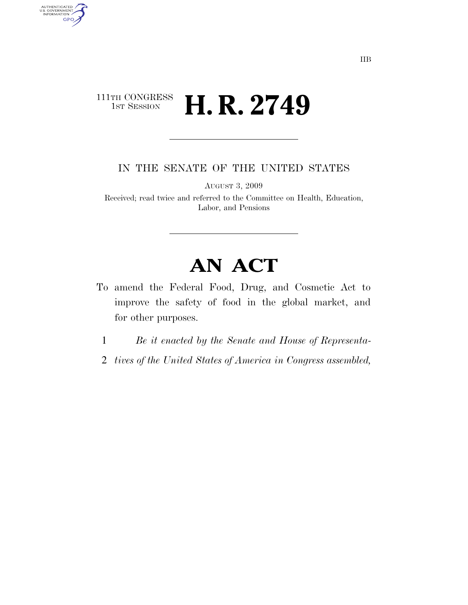# $\begin{array}{c} \textbf{111TH CONGRESS} \\ \textbf{1ST SESION} \end{array}$ H. R. 2749

AUTHENTICATED<br>U.S. GOVERNMENT<br>INFORMATION **GPO** 

IN THE SENATE OF THE UNITED STATES

AUGUST 3, 2009

Received; read twice and referred to the Committee on Health, Education, Labor, and Pensions

# **AN ACT**

- To amend the Federal Food, Drug, and Cosmetic Act to improve the safety of food in the global market, and for other purposes.
	- 1 *Be it enacted by the Senate and House of Representa-*
- 2 *tives of the United States of America in Congress assembled,*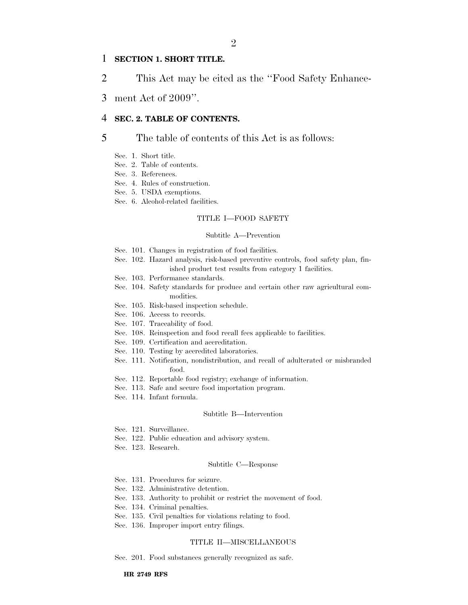## 1 **SECTION 1. SHORT TITLE.**

2 This Act may be cited as the ''Food Safety Enhance-

3 ment Act of 2009''.

# 4 **SEC. 2. TABLE OF CONTENTS.**

# 5 The table of contents of this Act is as follows:

- Sec. 1. Short title.
- Sec. 2. Table of contents.
- Sec. 3. References.
- Sec. 4. Rules of construction.
- Sec. 5. USDA exemptions.
- Sec. 6. Alcohol-related facilities.

### TITLE I—FOOD SAFETY

#### Subtitle A—Prevention

- Sec. 101. Changes in registration of food facilities.
- Sec. 102. Hazard analysis, risk-based preventive controls, food safety plan, finished product test results from category 1 facilities.
- Sec. 103. Performance standards.
- Sec. 104. Safety standards for produce and certain other raw agricultural commodities.
- Sec. 105. Risk-based inspection schedule.
- Sec. 106. Access to records.
- Sec. 107. Traceability of food.
- Sec. 108. Reinspection and food recall fees applicable to facilities.
- Sec. 109. Certification and accreditation.
- Sec. 110. Testing by accredited laboratories.
- Sec. 111. Notification, nondistribution, and recall of adulterated or misbranded food.
- Sec. 112. Reportable food registry; exchange of information.
- Sec. 113. Safe and secure food importation program.
- Sec. 114. Infant formula.

#### Subtitle B—Intervention

- Sec. 121. Surveillance.
- Sec. 122. Public education and advisory system.
- Sec. 123. Research.

#### Subtitle C—Response

- Sec. 131. Procedures for seizure.
- Sec. 132. Administrative detention.
- Sec. 133. Authority to prohibit or restrict the movement of food.
- Sec. 134. Criminal penalties.
- Sec. 135. Civil penalties for violations relating to food.
- Sec. 136. Improper import entry filings.

#### TITLE II—MISCELLANEOUS

Sec. 201. Food substances generally recognized as safe.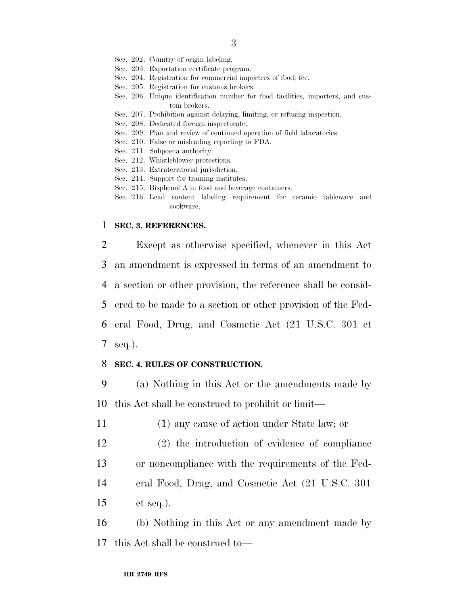- Sec. 202. Country of origin labeling.
- Sec. 203. Exportation certificate program.
- Sec. 204. Registration for commercial importers of food; fee.
- Sec. 205. Registration for customs brokers.
- Sec. 206. Unique identification number for food facilities, importers, and custom brokers.
- Sec. 207. Prohibition against delaying, limiting, or refusing inspection.
- Sec. 208. Dedicated foreign inspectorate.
- Sec. 209. Plan and review of continued operation of field laboratories.
- Sec. 210. False or misleading reporting to FDA.
- Sec. 211. Subpoena authority.
- Sec. 212. Whistleblower protections.
- Sec. 213. Extraterritorial jurisdiction.
- Sec. 214. Support for training institutes.
- Sec. 215. Bisphenol A in food and beverage containers.
- Sec. 216. Lead content labeling requirement for ceramic tableware and cookware.

## 1 **SEC. 3. REFERENCES.**

 Except as otherwise specified, whenever in this Act an amendment is expressed in terms of an amendment to a section or other provision, the reference shall be consid- ered to be made to a section or other provision of the Fed- eral Food, Drug, and Cosmetic Act (21 U.S.C. 301 et 7 seq.).

# 8 **SEC. 4. RULES OF CONSTRUCTION.**

9 (a) Nothing in this Act or the amendments made by 10 this Act shall be construed to prohibit or limit—

11 (1) any cause of action under State law; or

- 12 (2) the introduction of evidence of compliance
- 13 or noncompliance with the requirements of the Fed-
- 14 eral Food, Drug, and Cosmetic Act (21 U.S.C. 301
- 15 et seq.).

16 (b) Nothing in this Act or any amendment made by 17 this Act shall be construed to—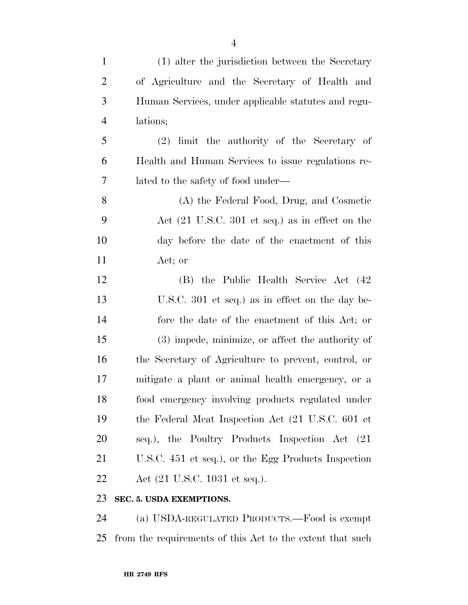| $\mathbf{1}$   | (1) alter the jurisdiction between the Secretary                   |
|----------------|--------------------------------------------------------------------|
| $\overline{2}$ | of Agriculture and the Secretary of Health and                     |
| 3              | Human Services, under applicable statutes and regu-                |
| $\overline{4}$ | lations;                                                           |
| 5              | limit the authority of the Secretary of<br>(2)                     |
| 6              | Health and Human Services to issue regulations re-                 |
| 7              | lated to the safety of food under—                                 |
| 8              | (A) the Federal Food, Drug, and Cosmetic                           |
| 9              | Act $(21 \text{ U.S.C. } 301 \text{ et seq.})$ as in effect on the |
| 10             | day before the date of the enactment of this                       |
| 11             | Act; or                                                            |
| 12             | (B) the Public Health Service Act (42)                             |
| 13             | U.S.C. 301 et seq.) as in effect on the day be-                    |
| 14             | fore the date of the enactment of this Act; or                     |
| 15             | (3) impede, minimize, or affect the authority of                   |
| 16             | the Secretary of Agriculture to prevent, control, or               |
| 17             | mitigate a plant or animal health emergency, or a                  |
| 18             | food emergency involving products regulated under                  |
| 19             | the Federal Meat Inspection Act (21 U.S.C. 601 et                  |
| 20             | seq.), the Poultry Products Inspection Act (21)                    |
| 21             | U.S.C. 451 et seq.), or the Egg Products Inspection                |
| <u>22</u>      | Act (21 U.S.C. 1031 et seq.).                                      |
|                |                                                                    |

# **SEC. 5. USDA EXEMPTIONS.**

 (a) USDA-REGULATED PRODUCTS.—Food is exempt from the requirements of this Act to the extent that such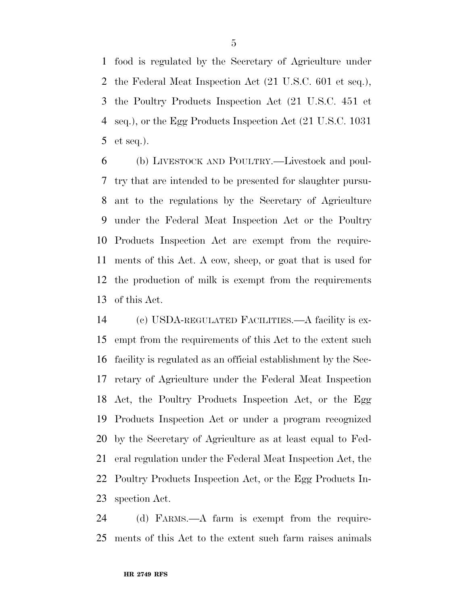food is regulated by the Secretary of Agriculture under the Federal Meat Inspection Act (21 U.S.C. 601 et seq.), the Poultry Products Inspection Act (21 U.S.C. 451 et seq.), or the Egg Products Inspection Act (21 U.S.C. 1031 et seq.).

 (b) LIVESTOCK AND POULTRY.—Livestock and poul- try that are intended to be presented for slaughter pursu- ant to the regulations by the Secretary of Agriculture under the Federal Meat Inspection Act or the Poultry Products Inspection Act are exempt from the require- ments of this Act. A cow, sheep, or goat that is used for the production of milk is exempt from the requirements of this Act.

 (c) USDA-REGULATED FACILITIES.—A facility is ex- empt from the requirements of this Act to the extent such facility is regulated as an official establishment by the Sec- retary of Agriculture under the Federal Meat Inspection Act, the Poultry Products Inspection Act, or the Egg Products Inspection Act or under a program recognized by the Secretary of Agriculture as at least equal to Fed- eral regulation under the Federal Meat Inspection Act, the Poultry Products Inspection Act, or the Egg Products In-spection Act.

 (d) FARMS.—A farm is exempt from the require-ments of this Act to the extent such farm raises animals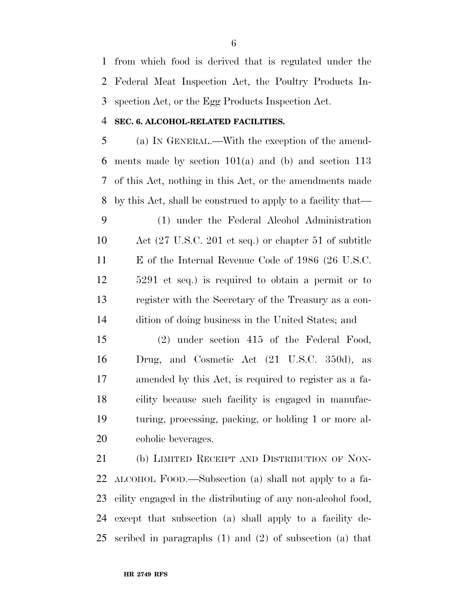from which food is derived that is regulated under the Federal Meat Inspection Act, the Poultry Products In-spection Act, or the Egg Products Inspection Act.

# **SEC. 6. ALCOHOL-RELATED FACILITIES.**

 (a) IN GENERAL.—With the exception of the amend- ments made by section 101(a) and (b) and section 113 of this Act, nothing in this Act, or the amendments made by this Act, shall be construed to apply to a facility that—

 (1) under the Federal Alcohol Administration Act (27 U.S.C. 201 et seq.) or chapter 51 of subtitle E of the Internal Revenue Code of 1986 (26 U.S.C. 5291 et seq.) is required to obtain a permit or to register with the Secretary of the Treasury as a con-dition of doing business in the United States; and

 (2) under section 415 of the Federal Food, Drug, and Cosmetic Act (21 U.S.C. 350d), as amended by this Act, is required to register as a fa- cility because such facility is engaged in manufac- turing, processing, packing, or holding 1 or more al-coholic beverages.

 (b) LIMITED RECEIPT AND DISTRIBUTION OF NON- ALCOHOL FOOD.—Subsection (a) shall not apply to a fa- cility engaged in the distributing of any non-alcohol food, except that subsection (a) shall apply to a facility de-scribed in paragraphs (1) and (2) of subsection (a) that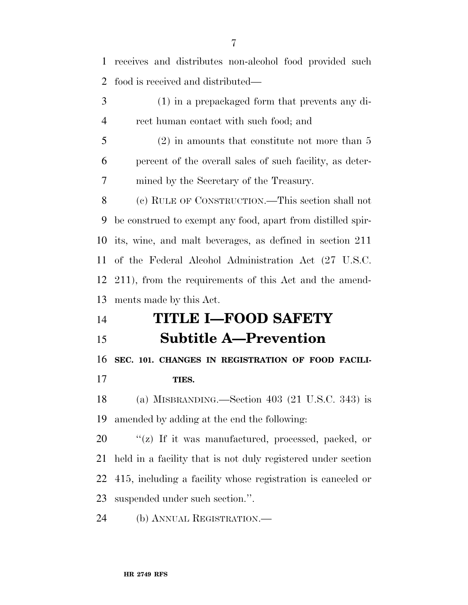| 1              | receives and distributes non-alcohol food provided such      |
|----------------|--------------------------------------------------------------|
| $\overline{2}$ | food is received and distributed—                            |
| 3              | $(1)$ in a prepackaged form that prevents any di-            |
| $\overline{4}$ | rect human contact with such food; and                       |
| 5              | $(2)$ in amounts that constitute not more than 5             |
| 6              | percent of the overall sales of such facility, as deter-     |
| 7              | mined by the Secretary of the Treasury.                      |
| 8              | (c) RULE OF CONSTRUCTION.—This section shall not             |
| 9              | be construed to exempt any food, apart from distilled spir-  |
| 10             | its, wine, and malt beverages, as defined in section 211     |
| 11             | of the Federal Alcohol Administration Act (27 U.S.C.         |
| 12             | 211), from the requirements of this Act and the amend-       |
| 13             | ments made by this Act.                                      |
| 14             | <b>TITLE I-FOOD SAFETY</b>                                   |
|                |                                                              |
| 15             | <b>Subtitle A-Prevention</b>                                 |
| 16             | SEC. 101. CHANGES IN REGISTRATION OF FOOD FACILI-            |
| 17             | TIES.                                                        |
| 18             | (a) MISBRANDING.—Section $403$ (21 U.S.C. 343) is            |
| 19             | amended by adding at the end the following:                  |
| 20             | "(z) If it was manufactured, processed, packed, or           |
| 21             | held in a facility that is not duly registered under section |
| 22             | 415, including a facility whose registration is canceled or  |
| 23             | suspended under such section.".                              |

(b) ANNUAL REGISTRATION.—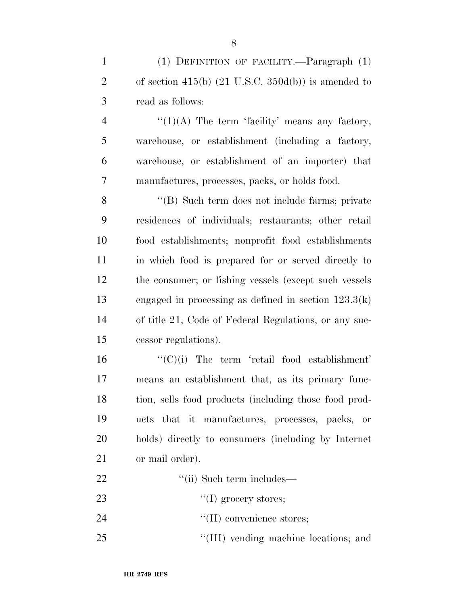(1) DEFINITION OF FACILITY.—Paragraph (1) 2 of section 415(b)  $(21 \text{ U.S.C. } 350d(b))$  is amended to read as follows:

 $\frac{4}{10(A)}$  The term 'facility' means any factory, warehouse, or establishment (including a factory, warehouse, or establishment of an importer) that manufactures, processes, packs, or holds food.

 ''(B) Such term does not include farms; private residences of individuals; restaurants; other retail food establishments; nonprofit food establishments in which food is prepared for or served directly to the consumer; or fishing vessels (except such vessels engaged in processing as defined in section 123.3(k) of title 21, Code of Federal Regulations, or any suc-cessor regulations).

 ''(C)(i) The term 'retail food establishment' means an establishment that, as its primary func- tion, sells food products (including those food prod- ucts that it manufactures, processes, packs, or holds) directly to consumers (including by Internet or mail order).

22 ''(ii) Such term includes— 23  $\qquad$   $\qquad$   $\qquad$   $\qquad$   $\qquad$   $\qquad$   $\qquad$   $\qquad$   $\qquad$   $\qquad$   $\qquad$   $\qquad$   $\qquad$   $\qquad$   $\qquad$   $\qquad$   $\qquad$   $\qquad$   $\qquad$   $\qquad$   $\qquad$   $\qquad$   $\qquad$   $\qquad$   $\qquad$   $\qquad$   $\qquad$   $\qquad$   $\qquad$   $\qquad$   $\qquad$   $\qquad$   $\qquad$   $\qquad$   $\qquad$   $\qquad$   $\$ 24  $\text{``(II)}$  convenience stores;

''(III) vending machine locations; and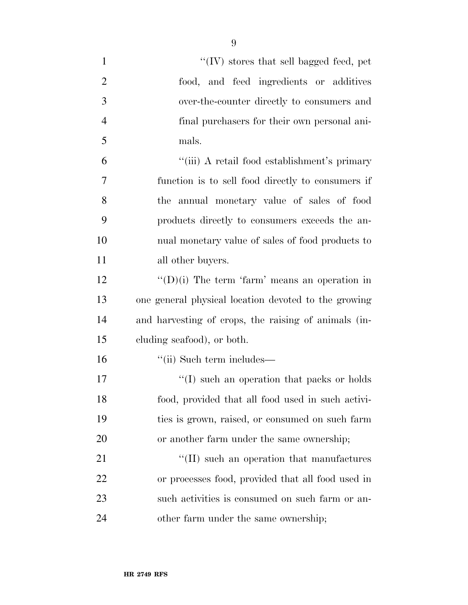| $\mathbf{1}$   | "(IV) stores that sell bagged feed, pet               |
|----------------|-------------------------------------------------------|
| $\overline{2}$ | food, and feed ingredients or additives               |
| 3              | over-the-counter directly to consumers and            |
| $\overline{4}$ | final purchasers for their own personal ani-          |
| 5              | mals.                                                 |
| 6              | "(iii) A retail food establishment's primary          |
| $\overline{7}$ | function is to sell food directly to consumers if     |
| 8              | the annual monetary value of sales of food            |
| 9              | products directly to consumers exceeds the an-        |
| 10             | nual monetary value of sales of food products to      |
| 11             | all other buyers.                                     |
| 12             | $\lq\lq$ (D)(i) The term 'farm' means an operation in |
| 13             | one general physical location devoted to the growing  |
| 14             | and harvesting of crops, the raising of animals (in-  |
| 15             | cluding seafood), or both.                            |
| 16             | $``$ (ii) Such term includes—                         |
| 17             | $\lq\lq$ such an operation that packs or holds        |
| 18             | food, provided that all food used in such activi-     |
| 19             | ties is grown, raised, or consumed on such farm       |
| 20             | or another farm under the same ownership;             |
| 21             | $\lq\lq$ (II) such an operation that manufactures     |
| 22             | or processes food, provided that all food used in     |
| 23             | such activities is consumed on such farm or an-       |
| 24             | other farm under the same ownership;                  |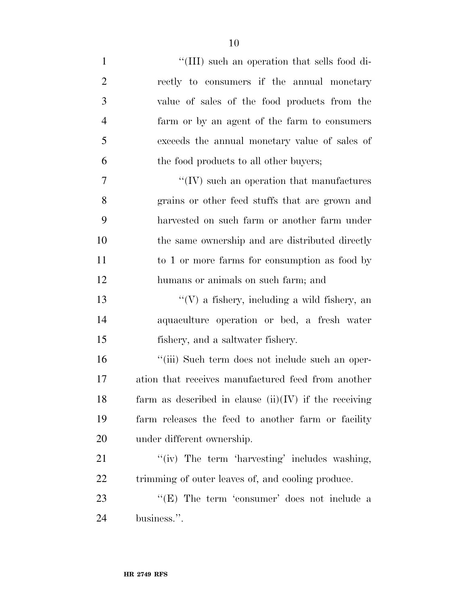1 ''(III) such an operation that sells food di- rectly to consumers if the annual monetary value of sales of the food products from the farm or by an agent of the farm to consumers exceeds the annual monetary value of sales of the food products to all other buyers;  $\gamma$  ''(IV) such an operation that manufactures grains or other feed stuffs that are grown and harvested on such farm or another farm under the same ownership and are distributed directly 11 to 1 or more farms for consumption as food by humans or animals on such farm; and ''(V) a fishery, including a wild fishery, an aquaculture operation or bed, a fresh water fishery, and a saltwater fishery. ''(iii) Such term does not include such an oper- ation that receives manufactured feed from another 18 farm as described in clause  $(ii)(IV)$  if the receiving farm releases the feed to another farm or facility under different ownership. 21 ''(iv) The term 'harvesting' includes washing, 22 trimming of outer leaves of, and cooling produce. 23 "(E) The term 'consumer' does not include a

business.''.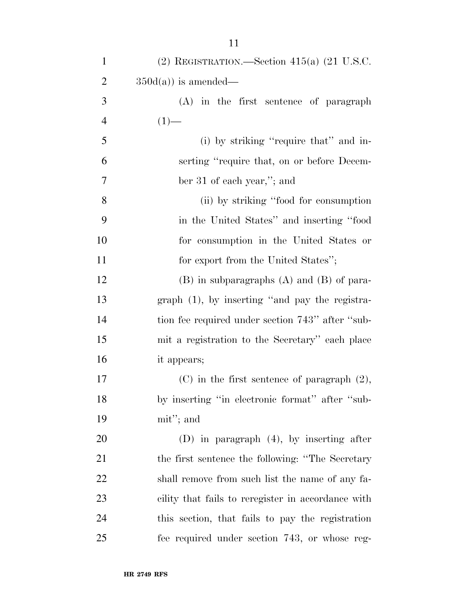| $\mathbf{1}$   | (2) REGISTRATION.—Section 415(a) $(21 \text{ U.S.C.})$ |
|----------------|--------------------------------------------------------|
| $\overline{c}$ | $350d(a)$ is amended—                                  |
| 3              | $(A)$ in the first sentence of paragraph               |
| 4              | $(1)$ —                                                |
| 5              | (i) by striking "require that" and in-                 |
| 6              | serting "require that, on or before Decem-             |
| $\overline{7}$ | ber 31 of each year,"; and                             |
| 8              | (ii) by striking "food for consumption                 |
| 9              | in the United States" and inserting "food              |
| 10             | for consumption in the United States or                |
| 11             | for export from the United States";                    |
| 12             | $(B)$ in subparagraphs $(A)$ and $(B)$ of para-        |
| 13             | $graph (1)$ , by inserting "and pay the registra-      |
| 14             | tion fee required under section 743" after "sub-       |
| 15             | mit a registration to the Secretary" each place        |
| 16             | it appears;                                            |
| 17             | $(C)$ in the first sentence of paragraph $(2)$ ,       |
| 18             | by inserting "in electronic format" after "sub-        |
| 19             | mit"; and                                              |
| 20             | $(D)$ in paragraph $(4)$ , by inserting after          |
| 21             | the first sentence the following: "The Secretary       |
| 22             | shall remove from such list the name of any fa-        |
| 23             | cility that fails to reregister in accordance with     |
| 24             | this section, that fails to pay the registration       |
| 25             | fee required under section 743, or whose reg-          |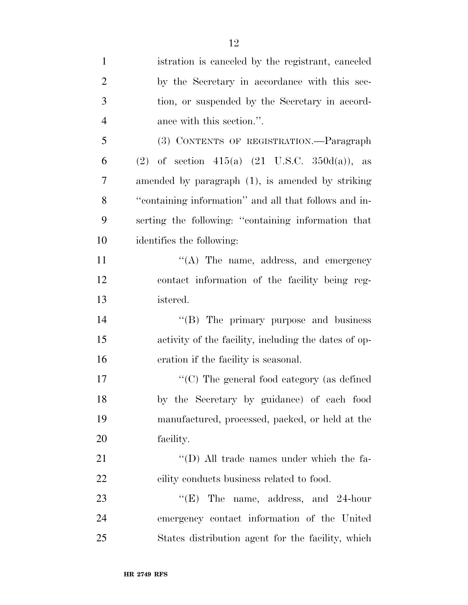| $\mathbf{1}$   | istration is canceled by the registrant, canceled         |
|----------------|-----------------------------------------------------------|
| $\overline{2}$ | by the Secretary in accordance with this sec-             |
| 3              | tion, or suspended by the Secretary in accord-            |
| $\overline{4}$ | ance with this section.".                                 |
| 5              | (3) CONTENTS OF REGISTRATION.—Paragraph                   |
| 6              | (2) of section 415(a) $(21 \text{ U.S.C. } 350d(a))$ , as |
| 7              | amended by paragraph (1), is amended by striking          |
| 8              | "containing information" and all that follows and in-     |
| 9              | serting the following: "containing information that       |
| 10             | identifies the following:                                 |
| 11             | $\lq\lq$ . The name, address, and emergency               |
| 12             | contact information of the facility being reg-            |
| 13             | istered.                                                  |
| 14             | "(B) The primary purpose and business                     |
| 15             | activity of the facility, including the dates of op-      |
| 16             | eration if the facility is seasonal.                      |
| 17             | " $(C)$ The general food category (as defined             |
| 18             | by the Secretary by guidance) of each food                |
| 19             | manufactured, processed, packed, or held at the           |
| 20             | facility.                                                 |
| 21             | "(D) All trade names under which the fa-                  |
| 22             | cility conducts business related to food.                 |
| 23             | The name, address, and 24-hour<br>``(E)                   |
| 24             | emergency contact information of the United               |
| 25             | States distribution agent for the facility, which         |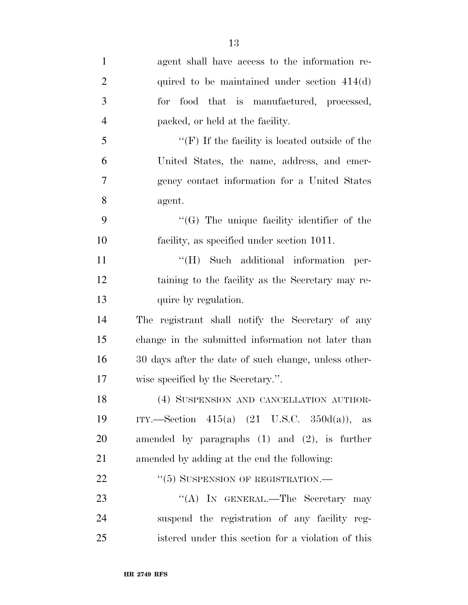| $\mathbf{1}$   | agent shall have access to the information re-          |
|----------------|---------------------------------------------------------|
| $\overline{2}$ | quired to be maintained under section $414(d)$          |
| 3              | for food that is manufactured, processed,               |
| $\overline{4}$ | packed, or held at the facility.                        |
| 5              | "(F) If the facility is located outside of the          |
| 6              | United States, the name, address, and emer-             |
| 7              | gency contact information for a United States           |
| 8              | agent.                                                  |
| 9              | $\lq\lq(G)$ The unique facility identifier of the       |
| 10             | facility, as specified under section 1011.              |
| 11             | "(H) Such additional information per-                   |
| 12             | taining to the facility as the Secretary may re-        |
| 13             | quire by regulation.                                    |
| 14             | The registrant shall notify the Secretary of any        |
| 15             | change in the submitted information not later than      |
| 16             | 30 days after the date of such change, unless other-    |
| 17             | wise specified by the Secretary.".                      |
| 18             | (4) SUSPENSION AND CANCELLATION AUTHOR-                 |
| 19             | ITY.—Section 415(a) $(21 \text{ U.S.C. } 350d(a))$ , as |
| 20             | amended by paragraphs $(1)$ and $(2)$ , is further      |
| 21             | amended by adding at the end the following:             |
| 22             | $``(5)$ SUSPENSION OF REGISTRATION.—                    |
| 23             | "(A) IN GENERAL.—The Secretary may                      |
| 24             | suspend the registration of any facility reg-           |
| 25             | istered under this section for a violation of this      |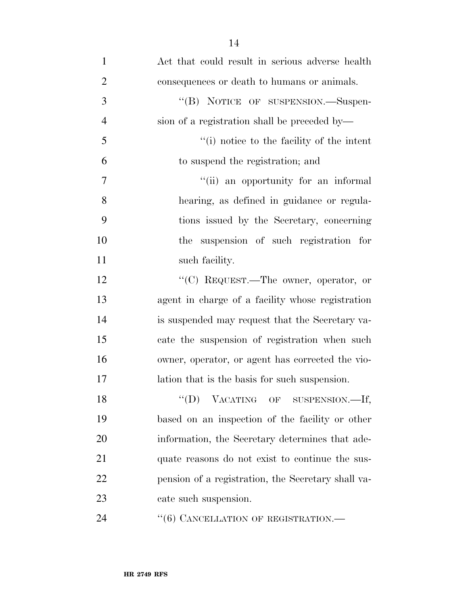| $\mathbf{1}$   | Act that could result in serious adverse health    |
|----------------|----------------------------------------------------|
| $\overline{2}$ | consequences or death to humans or animals.        |
| 3              | "(B) NOTICE OF SUSPENSION.-Suspen-                 |
| $\overline{4}$ | sion of a registration shall be preceded by—       |
| 5              | "(i) notice to the facility of the intent          |
| 6              | to suspend the registration; and                   |
| $\tau$         | "(ii) an opportunity for an informal               |
| 8              | hearing, as defined in guidance or regula-         |
| 9              | tions issued by the Secretary, concerning          |
| 10             | the suspension of such registration for            |
| 11             | such facility.                                     |
| 12             | " $(C)$ REQUEST.—The owner, operator, or           |
| 13             | agent in charge of a facility whose registration   |
| 14             | is suspended may request that the Secretary va-    |
| 15             | cate the suspension of registration when such      |
| 16             | owner, operator, or agent has corrected the vio-   |
| 17             | lation that is the basis for such suspension.      |
| 18             | "(D) VACATING OF SUSPENSION.-If,                   |
| 19             | based on an inspection of the facility or other    |
| 20             | information, the Secretary determines that ade-    |
| 21             | quate reasons do not exist to continue the sus-    |
| 22             | pension of a registration, the Secretary shall va- |
| 23             | cate such suspension.                              |
| 24             | "(6) CANCELLATION OF REGISTRATION.-                |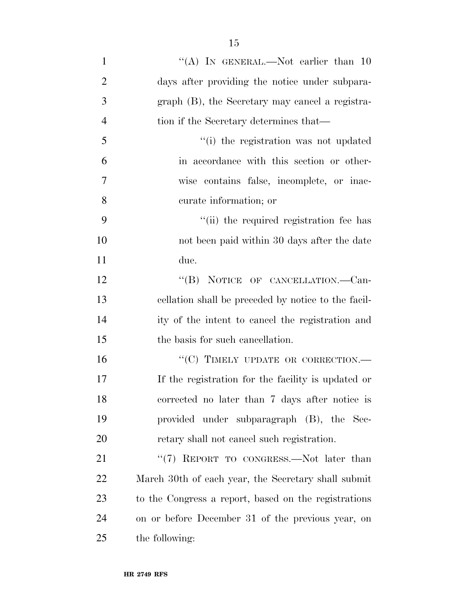1 "(A) In GENERAL.—Not earlier than 10 days after providing the notice under subpara- graph (B), the Secretary may cancel a registra- tion if the Secretary determines that— ''(i) the registration was not updated in accordance with this section or other- wise contains false, incomplete, or inac- curate information; or 9 ''(ii) the required registration fee has not been paid within 30 days after the date due. 12 "(B) NOTICE OF CANCELLATION.—Can- cellation shall be preceded by notice to the facil- ity of the intent to cancel the registration and the basis for such cancellation. 16 "(C) TIMELY UPDATE OR CORRECTION.— If the registration for the facility is updated or corrected no later than 7 days after notice is provided under subparagraph (B), the Sec- retary shall not cancel such registration. 21 "(7) REPORT TO CONGRESS.—Not later than

 March 30th of each year, the Secretary shall submit to the Congress a report, based on the registrations on or before December 31 of the previous year, on the following: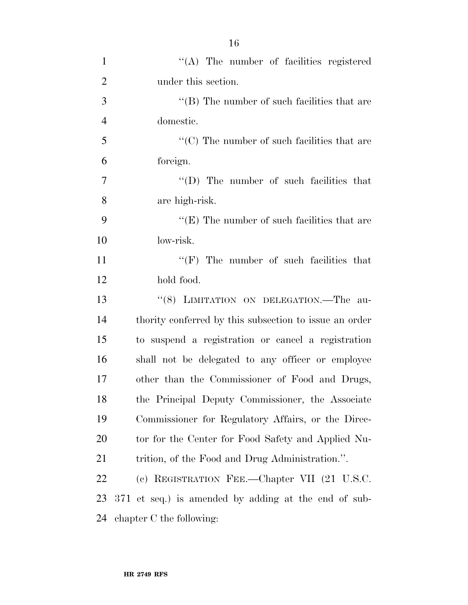| $\mathbf{1}$   | $\lq\lq$ . The number of facilities registered         |
|----------------|--------------------------------------------------------|
| $\overline{2}$ | under this section.                                    |
| 3              | $\lq\lq$ (B) The number of such facilities that are    |
| $\overline{4}$ | domestic.                                              |
| 5              | $\cdot$ (C) The number of such facilities that are     |
| 6              | foreign.                                               |
| $\tau$         | $\lq\lq$ (D) The number of such facilities that        |
| 8              | are high-risk.                                         |
| 9              | " $(E)$ The number of such facilities that are         |
| 10             | low-risk.                                              |
| 11             | $\lq\lq(F)$ The number of such facilities that         |
| 12             | hold food.                                             |
| 13             | "(8) LIMITATION ON DELEGATION.-The au-                 |
| 14             | thority conferred by this subsection to issue an order |
| 15             | to suspend a registration or cancel a registration     |
| 16             | shall not be delegated to any officer or employee      |
| 17             | other than the Commissioner of Food and Drugs,         |
| 18             | the Principal Deputy Commissioner, the Associate       |
| 19             | Commissioner for Regulatory Affairs, or the Direc-     |
| 20             | tor for the Center for Food Safety and Applied Nu-     |
| 21             | trition, of the Food and Drug Administration.".        |
| 22             | (c) REGISTRATION FEE.—Chapter VII (21 U.S.C.           |
| 23             | 371 et seq.) is amended by adding at the end of sub-   |
| 24             | chapter C the following:                               |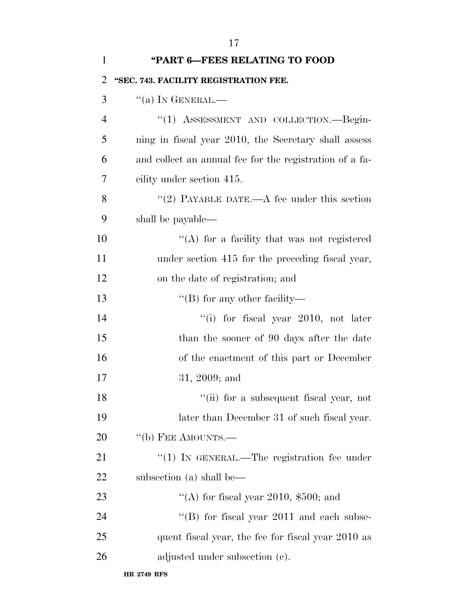| $\mathbf{1}$   | "PART 6-FEES RELATING TO FOOD                           |
|----------------|---------------------------------------------------------|
| $\overline{2}$ | "SEC. 743. FACILITY REGISTRATION FEE.                   |
| 3              | $\lq\lq$ (a) In GENERAL.—                               |
| $\overline{4}$ | "(1) ASSESSMENT AND COLLECTION.—Begin-                  |
| 5              | ning in fiscal year 2010, the Secretary shall assess    |
| 6              | and collect an annual fee for the registration of a fa- |
| 7              | cility under section 415.                               |
| 8              | "(2) PAYABLE DATE.—A fee under this section             |
| 9              | shall be payable—                                       |
| 10             | $\lq\lq$ for a facility that was not registered         |
| 11             | under section 415 for the preceding fiscal year,        |
| 12             | on the date of registration; and                        |
| 13             | $\lq\lq$ (B) for any other facility—                    |
| 14             | "(i) for fiscal year 2010, not later                    |
| 15             | than the sooner of 90 days after the date               |
| 16             | of the enactment of this part or December               |
| 17             | $31, 2009;$ and                                         |
| 18             | "(ii) for a subsequent fiscal year, not                 |
| 19             | later than December 31 of such fiscal year.             |
| 20             | $\lq\lq(b)$ FEE AMOUNTS.—                               |
| 21             | $\cdot$ (1) In GENERAL.—The registration fee under      |
| 22             | subsection (a) shall be—                                |
| 23             | "(A) for fiscal year 2010, $$500$ ; and                 |
| 24             | $\lq$ (B) for fiscal year 2011 and each subse-          |
| 25             | quent fiscal year, the fee for fiscal year 2010 as      |
| 26             | adjusted under subsection (c).                          |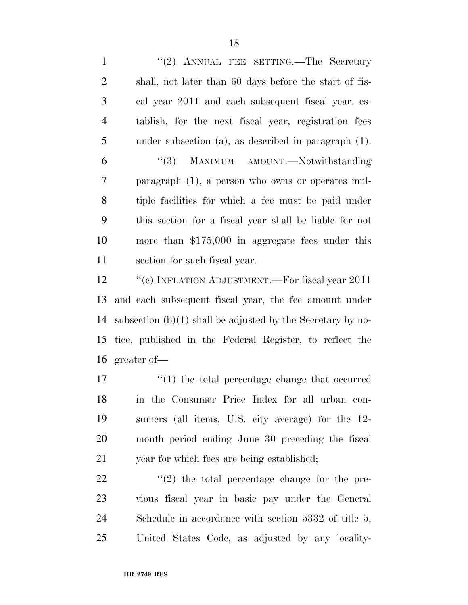1 "(2) ANNUAL FEE SETTING.—The Secretary shall, not later than 60 days before the start of fis- cal year 2011 and each subsequent fiscal year, es- tablish, for the next fiscal year, registration fees under subsection (a), as described in paragraph (1). ''(3) MAXIMUM AMOUNT.—Notwithstanding paragraph (1), a person who owns or operates mul- tiple facilities for which a fee must be paid under this section for a fiscal year shall be liable for not more than \$175,000 in aggregate fees under this section for such fiscal year.

12 "(c) INFLATION ADJUSTMENT.—For fiscal year 2011 and each subsequent fiscal year, the fee amount under subsection (b)(1) shall be adjusted by the Secretary by no- tice, published in the Federal Register, to reflect the greater of—

 $\frac{1}{2}$  (1) the total percentage change that occurred in the Consumer Price Index for all urban con- sumers (all items; U.S. city average) for the 12- month period ending June 30 preceding the fiscal year for which fees are being established;

  $\qquad$  ''(2) the total percentage change for the pre- vious fiscal year in basic pay under the General Schedule in accordance with section 5332 of title 5, United States Code, as adjusted by any locality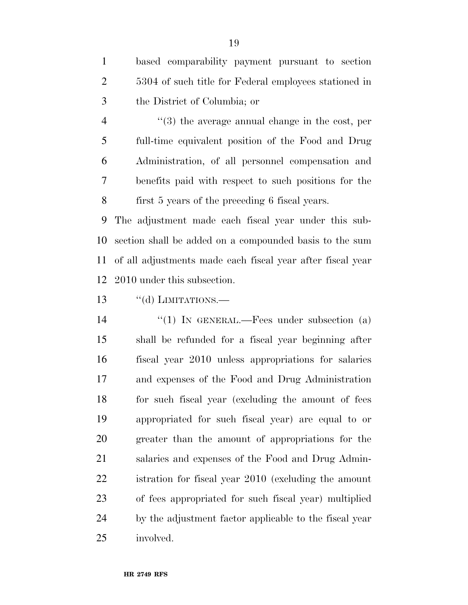based comparability payment pursuant to section 5304 of such title for Federal employees stationed in the District of Columbia; or

4 ''(3) the average annual change in the cost, per full-time equivalent position of the Food and Drug Administration, of all personnel compensation and benefits paid with respect to such positions for the first 5 years of the preceding 6 fiscal years.

 The adjustment made each fiscal year under this sub- section shall be added on a compounded basis to the sum of all adjustments made each fiscal year after fiscal year 2010 under this subsection.

"(d) LIMITATIONS.

14 "(1) IN GENERAL.—Fees under subsection (a) shall be refunded for a fiscal year beginning after fiscal year 2010 unless appropriations for salaries and expenses of the Food and Drug Administration for such fiscal year (excluding the amount of fees appropriated for such fiscal year) are equal to or greater than the amount of appropriations for the salaries and expenses of the Food and Drug Admin- istration for fiscal year 2010 (excluding the amount of fees appropriated for such fiscal year) multiplied by the adjustment factor applicable to the fiscal year involved.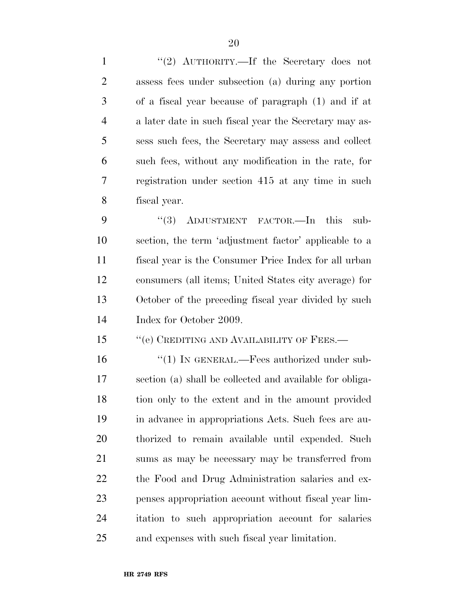1 "(2) AUTHORITY.—If the Secretary does not assess fees under subsection (a) during any portion of a fiscal year because of paragraph (1) and if at a later date in such fiscal year the Secretary may as- sess such fees, the Secretary may assess and collect such fees, without any modification in the rate, for registration under section 415 at any time in such fiscal year. 9 "(3) ADJUSTMENT FACTOR.—In this sub- section, the term 'adjustment factor' applicable to a fiscal year is the Consumer Price Index for all urban consumers (all items; United States city average) for October of the preceding fiscal year divided by such Index for October 2009. 15 "(e) CREDITING AND AVAILABILITY OF FEES.— 16 "(1) IN GENERAL.—Fees authorized under sub- section (a) shall be collected and available for obliga- tion only to the extent and in the amount provided in advance in appropriations Acts. Such fees are au- thorized to remain available until expended. Such sums as may be necessary may be transferred from the Food and Drug Administration salaries and ex- penses appropriation account without fiscal year lim- itation to such appropriation account for salaries and expenses with such fiscal year limitation.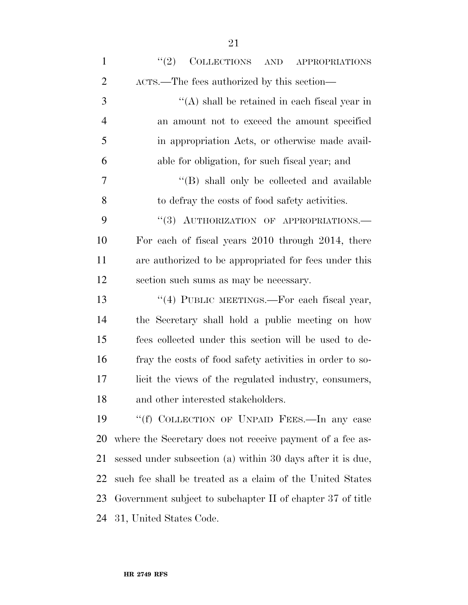| $\mathbf{1}$   | (2)<br>COLLECTIONS AND APPROPRIATIONS                       |
|----------------|-------------------------------------------------------------|
| $\overline{2}$ | ACTS.—The fees authorized by this section—                  |
| 3              | $\lq\lq$ shall be retained in each fiscal year in           |
| $\overline{4}$ | an amount not to exceed the amount specified                |
| 5              | in appropriation Acts, or otherwise made avail-             |
| 6              | able for obligation, for such fiscal year; and              |
| 7              | "(B) shall only be collected and available                  |
| 8              | to defray the costs of food safety activities.              |
| 9              | "(3) AUTHORIZATION OF APPROPRIATIONS.-                      |
| 10             | For each of fiscal years 2010 through 2014, there           |
| 11             | are authorized to be appropriated for fees under this       |
| 12             | section such sums as may be necessary.                      |
| 13             | "(4) PUBLIC MEETINGS.—For each fiscal year,                 |
| 14             | the Secretary shall hold a public meeting on how            |
| 15             | fees collected under this section will be used to de-       |
| 16             | fray the costs of food safety activities in order to so-    |
| 17             | licit the views of the regulated industry, consumers,       |
| 18             | and other interested stakeholders.                          |
| 19             | "(f) COLLECTION OF UNPAID FEES.—In any case                 |
| 20             | where the Secretary does not receive payment of a fee as-   |
| 21             | sessed under subsection (a) within 30 days after it is due, |
| 22             | such fee shall be treated as a claim of the United States   |
| 23             | Government subject to subchapter II of chapter 37 of title  |
| 24             | 31, United States Code.                                     |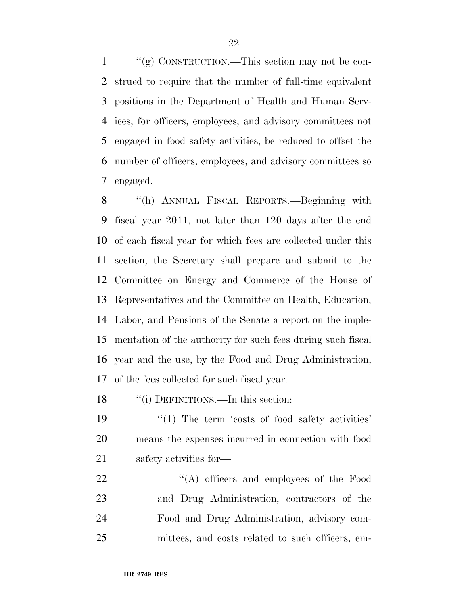''(g) CONSTRUCTION.—This section may not be con- strued to require that the number of full-time equivalent positions in the Department of Health and Human Serv- ices, for officers, employees, and advisory committees not engaged in food safety activities, be reduced to offset the number of officers, employees, and advisory committees so engaged.

 ''(h) ANNUAL FISCAL REPORTS.—Beginning with fiscal year 2011, not later than 120 days after the end of each fiscal year for which fees are collected under this section, the Secretary shall prepare and submit to the Committee on Energy and Commerce of the House of Representatives and the Committee on Health, Education, Labor, and Pensions of the Senate a report on the imple- mentation of the authority for such fees during such fiscal year and the use, by the Food and Drug Administration, of the fees collected for such fiscal year.

18 "(i) DEFINITIONS.—In this section:

19  $\frac{1}{2}$  The term 'costs of food safety activities' means the expenses incurred in connection with food safety activities for—

 $\langle (A)$  officers and employees of the Food and Drug Administration, contractors of the Food and Drug Administration, advisory com-mittees, and costs related to such officers, em-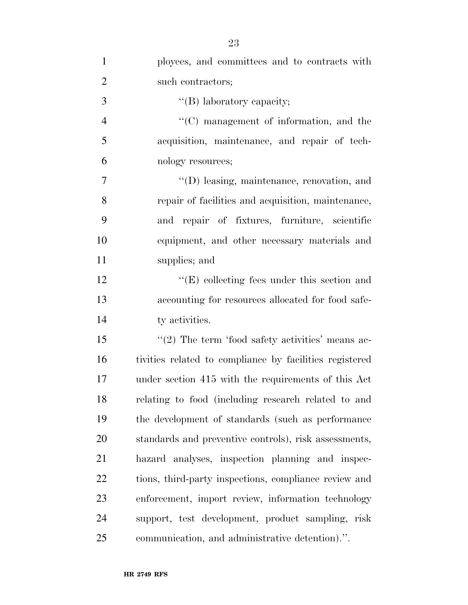| $\mathbf{1}$   | ployees, and committees and to contracts with           |
|----------------|---------------------------------------------------------|
| $\overline{2}$ | such contractors;                                       |
| 3              |                                                         |
|                | "(B) laboratory capacity;                               |
| $\overline{4}$ | $\cdot$ (C) management of information, and the          |
| 5              | acquisition, maintenance, and repair of tech-           |
| 6              | nology resources;                                       |
| 7              | "(D) leasing, maintenance, renovation, and              |
| 8              | repair of facilities and acquisition, maintenance,      |
| 9              | and repair of fixtures, furniture, scientific           |
| 10             | equipment, and other necessary materials and            |
| 11             | supplies; and                                           |
| 12             | $\lq\lq(E)$ collecting fees under this section and      |
| 13             | accounting for resources allocated for food safe-       |
| 14             | ty activities.                                          |
| 15             | $\lq(2)$ The term 'food safety activities' means ac-    |
| 16             | tivities related to compliance by facilities registered |
| 17             | under section 415 with the requirements of this Act     |
| 18             | relating to food (including research related to and     |
| 19             | the development of standards (such as performance)      |
| 20             | standards and preventive controls), risk assessments,   |
| 21             | hazard analyses, inspection planning and inspec-        |
| 22             | tions, third-party inspections, compliance review and   |
| 23             | enforcement, import review, information technology      |
| 24             | support, test development, product sampling, risk       |
| 25             | communication, and administrative detention).".         |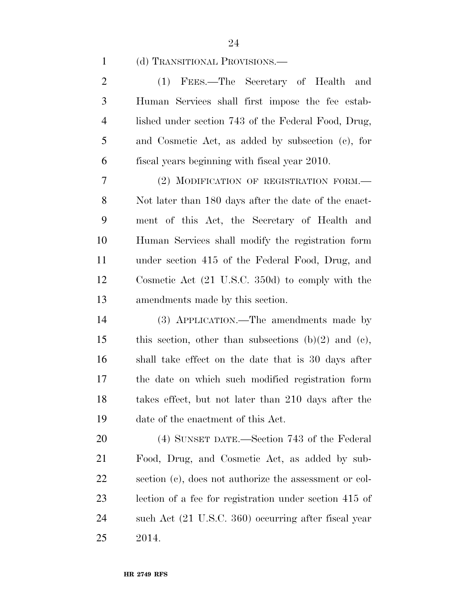# (d) TRANSITIONAL PROVISIONS.—

 (1) FEES.—The Secretary of Health and Human Services shall first impose the fee estab- lished under section 743 of the Federal Food, Drug, and Cosmetic Act, as added by subsection (c), for fiscal years beginning with fiscal year 2010.

 (2) MODIFICATION OF REGISTRATION FORM.— Not later than 180 days after the date of the enact- ment of this Act, the Secretary of Health and Human Services shall modify the registration form under section 415 of the Federal Food, Drug, and Cosmetic Act (21 U.S.C. 350d) to comply with the amendments made by this section.

 (3) APPLICATION.—The amendments made by 15 this section, other than subsections  $(b)(2)$  and  $(c)$ , shall take effect on the date that is 30 days after the date on which such modified registration form takes effect, but not later than 210 days after the date of the enactment of this Act.

 (4) SUNSET DATE.—Section 743 of the Federal Food, Drug, and Cosmetic Act, as added by sub- section (c), does not authorize the assessment or col- lection of a fee for registration under section 415 of such Act (21 U.S.C. 360) occurring after fiscal year 2014.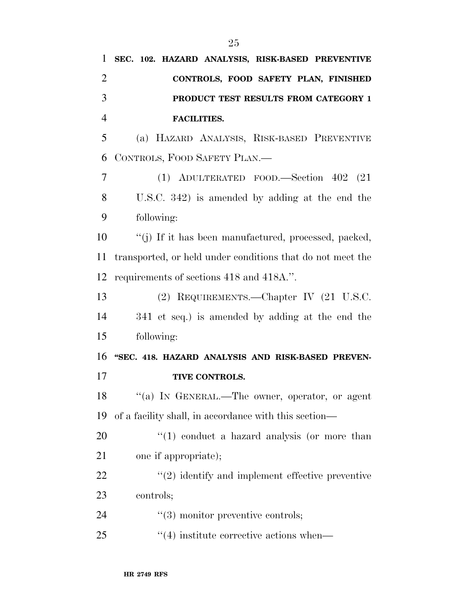| $\mathbf{1}$   | SEC. 102. HAZARD ANALYSIS, RISK-BASED PREVENTIVE           |
|----------------|------------------------------------------------------------|
| $\overline{2}$ | CONTROLS, FOOD SAFETY PLAN, FINISHED                       |
| 3              | PRODUCT TEST RESULTS FROM CATEGORY 1                       |
| $\overline{4}$ | <b>FACILITIES.</b>                                         |
| 5              | (a) HAZARD ANALYSIS, RISK-BASED PREVENTIVE                 |
| 6              | CONTROLS, FOOD SAFETY PLAN.—                               |
| 7              | (1) ADULTERATED FOOD.—Section $402$ (21)                   |
| 8              | U.S.C. $342$ ) is amended by adding at the end the         |
| 9              | following:                                                 |
| 10             | "(j) If it has been manufactured, processed, packed,       |
| 11             | transported, or held under conditions that do not meet the |
| 12             | requirements of sections 418 and 418A.".                   |
| 13             | (2) REQUIREMENTS.—Chapter IV (21 U.S.C.                    |
| 14             | 341 et seq.) is amended by adding at the end the           |
| 15             | following:                                                 |
| 16             | "SEC. 418. HAZARD ANALYSIS AND RISK-BASED PREVEN-          |
| 17             | TIVE CONTROLS.                                             |
| 18             | "(a) IN GENERAL.—The owner, operator, or agent             |
| 19             | of a facility shall, in accordance with this section—      |
| 20             | $\lq(1)$ conduct a hazard analysis (or more than           |
| 21             | one if appropriate);                                       |
| 22             | $\lq(2)$ identify and implement effective preventive       |
| 23             | controls;                                                  |
| 24             | $"$ (3) monitor preventive controls;                       |
| 25             | $\cdot\cdot\cdot(4)$ institute corrective actions when—    |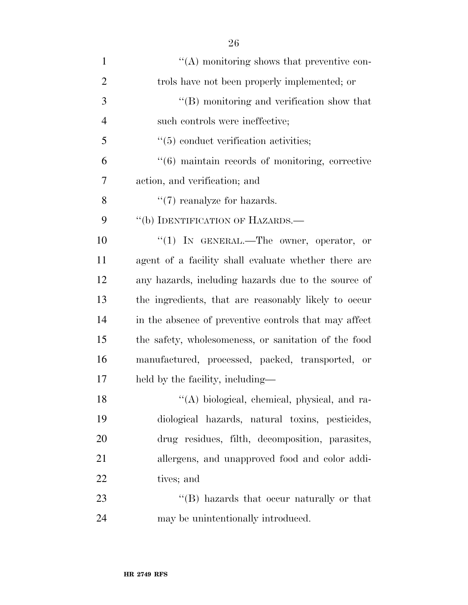| $\mathbf{1}$   | $\lq\lq$ monitoring shows that preventive con-        |
|----------------|-------------------------------------------------------|
| $\overline{2}$ | trols have not been properly implemented; or          |
| 3              | "(B) monitoring and verification show that            |
| $\overline{4}$ | such controls were ineffective;                       |
| 5              | $\lq(5)$ conduct verification activities;             |
| 6              | "(6) maintain records of monitoring, corrective       |
| 7              | action, and verification; and                         |
| 8              | $\lq(7)$ reanalyze for hazards.                       |
| 9              | "(b) IDENTIFICATION OF HAZARDS.—                      |
| 10             | "(1) IN GENERAL.—The owner, operator, or              |
| 11             | agent of a facility shall evaluate whether there are  |
| 12             | any hazards, including hazards due to the source of   |
| 13             | the ingredients, that are reasonably likely to occur  |
| 14             | in the absence of preventive controls that may affect |
| 15             | the safety, wholesomeness, or sanitation of the food  |
| 16             | manufactured, processed, packed, transported, or      |
| 17             | held by the facility, including—                      |
| 18             | "(A) biological, chemical, physical, and ra-          |
| 19             | diological hazards, natural toxins, pesticides,       |
| 20             | drug residues, filth, decomposition, parasites,       |
| 21             | allergens, and unapproved food and color addi-        |
| 22             | tives; and                                            |
| 23             | "(B) hazards that occur naturally or that             |
| 24             | may be unintentionally introduced.                    |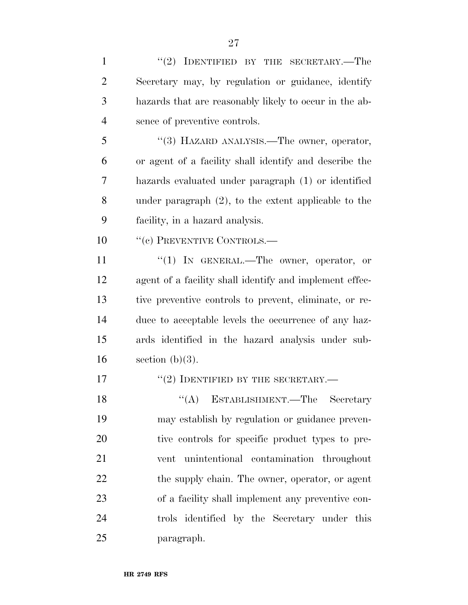| $\mathbf{1}$   | "(2) IDENTIFIED BY THE SECRETARY.—The                   |
|----------------|---------------------------------------------------------|
| $\overline{2}$ | Secretary may, by regulation or guidance, identify      |
| 3              | hazards that are reasonably likely to occur in the ab-  |
| $\overline{4}$ | sence of preventive controls.                           |
| 5              | "(3) HAZARD ANALYSIS.—The owner, operator,              |
| 6              | or agent of a facility shall identify and describe the  |
| 7              | hazards evaluated under paragraph (1) or identified     |
| 8              | under paragraph $(2)$ , to the extent applicable to the |
| 9              | facility, in a hazard analysis.                         |
| 10             | "(c) PREVENTIVE CONTROLS.—                              |
| 11             | "(1) IN GENERAL.—The owner, operator, or                |
| 12             | agent of a facility shall identify and implement effec- |
| 13             | tive preventive controls to prevent, eliminate, or re-  |
| 14             | duce to acceptable levels the occurrence of any haz-    |
| 15             | ards identified in the hazard analysis under sub-       |
| 16             | section $(b)(3)$ .                                      |
| 17             | $``(2)$ IDENTIFIED BY THE SECRETARY.—                   |
| 18             | $(4)$ ESTABLISHMENT.—The Secretary                      |
| 19             | may establish by regulation or guidance preven-         |
| 20             | tive controls for specific product types to pre-        |
| 21             | unintentional contamination throughout<br>vent          |
| 22             | the supply chain. The owner, operator, or agent         |
| 23             | of a facility shall implement any preventive con-       |
| 24             | trols identified by the Secretary under this            |
| 25             | paragraph.                                              |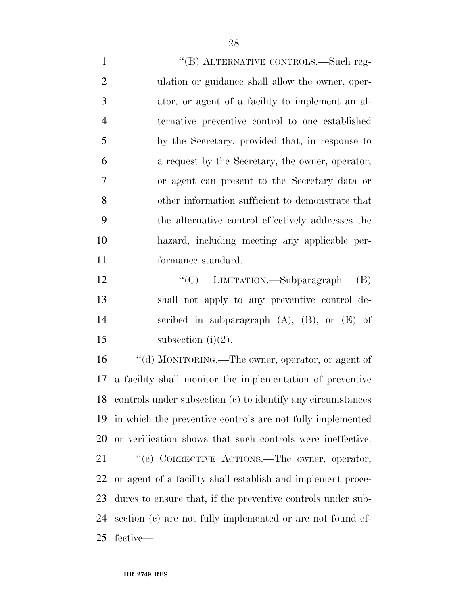1 "(B) ALTERNATIVE CONTROLS.—Such reg- ulation or guidance shall allow the owner, oper- ator, or agent of a facility to implement an al- ternative preventive control to one established by the Secretary, provided that, in response to a request by the Secretary, the owner, operator, or agent can present to the Secretary data or other information sufficient to demonstrate that the alternative control effectively addresses the hazard, including meeting any applicable per-formance standard.

12 "'(C) LIMITATION.—Subparagraph (B) shall not apply to any preventive control de- scribed in subparagraph (A), (B), or (E) of 15 subsection  $(i)(2)$ .

 ''(d) MONITORING.—The owner, operator, or agent of a facility shall monitor the implementation of preventive controls under subsection (c) to identify any circumstances in which the preventive controls are not fully implemented or verification shows that such controls were ineffective.

21 "(e) CORRECTIVE ACTIONS.—The owner, operator, or agent of a facility shall establish and implement proce- dures to ensure that, if the preventive controls under sub- section (c) are not fully implemented or are not found ef-fective—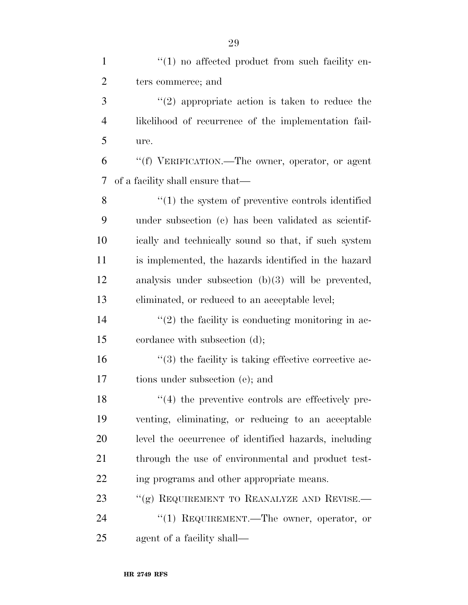| $\mathbf{1}$   | $\lq(1)$ no affected product from such facility en-      |
|----------------|----------------------------------------------------------|
| $\overline{2}$ | ters commerce; and                                       |
| 3              | $(2)$ appropriate action is taken to reduce the          |
| $\overline{4}$ | likelihood of recurrence of the implementation fail-     |
| 5              | ure.                                                     |
| 6              | "(f) VERIFICATION.—The owner, operator, or agent         |
| 7              | of a facility shall ensure that—                         |
| 8              | $\cdot$ (1) the system of preventive controls identified |
| 9              | under subsection (c) has been validated as scientif-     |
| 10             | ically and technically sound so that, if such system     |
| 11             | is implemented, the hazards identified in the hazard     |
| 12             | analysis under subsection $(b)(3)$ will be prevented,    |
| 13             | eliminated, or reduced to an acceptable level;           |
| 14             | $"(2)$ the facility is conducting monitoring in ac-      |
| 15             | cordance with subsection (d);                            |
| 16             | $\lq(3)$ the facility is taking effective corrective ac- |
| 17             | tions under subsection (e); and                          |
| 18             | $\lq(4)$ the preventive controls are effectively pre-    |
| 19             | venting, eliminating, or reducing to an acceptable       |
| 20             | level the occurrence of identified hazards, including    |
| 21             | through the use of environmental and product test-       |
| 22             | ing programs and other appropriate means.                |
| 23             | "(g) REQUIREMENT TO REANALYZE AND REVISE.—               |
| 24             | "(1) REQUIREMENT.—The owner, operator, or                |
| 25             | agent of a facility shall—                               |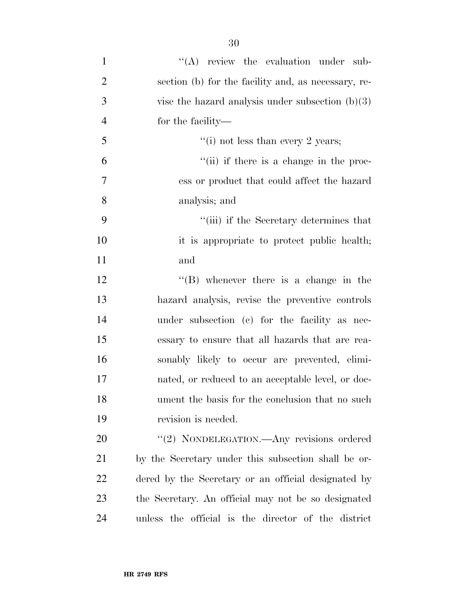| $\mathbf{1}$   | $\lq\lq$ review the evaluation under sub-           |
|----------------|-----------------------------------------------------|
| $\overline{2}$ | section (b) for the facility and, as necessary, re- |
| 3              | vise the hazard analysis under subsection $(b)(3)$  |
| $\overline{4}$ | for the facility-                                   |
| 5              | "(i) not less than every 2 years;                   |
| 6              | "(ii) if there is a change in the proc-             |
| 7              | ess or product that could affect the hazard         |
| 8              | analysis; and                                       |
| 9              | "(iii) if the Secretary determines that             |
| 10             | it is appropriate to protect public health;         |
| 11             | and                                                 |
| 12             | $\lq\lq (B)$ whenever there is a change in the      |
| 13             | hazard analysis, revise the preventive controls     |
| 14             | under subsection (c) for the facility as nec-       |
| 15             | essary to ensure that all hazards that are rea-     |
| 16             | sonably likely to occur are prevented, elimi-       |
| 17             | nated, or reduced to an acceptable level, or doc-   |
| 18             | ument the basis for the conclusion that no such     |
| 19             | revision is needed.                                 |
| 20             | "(2) NONDELEGATION.—Any revisions ordered           |
| 21             | by the Secretary under this subsection shall be or- |
| 22             | dered by the Secretary or an official designated by |
| 23             | the Secretary. An official may not be so designated |

unless the official is the director of the district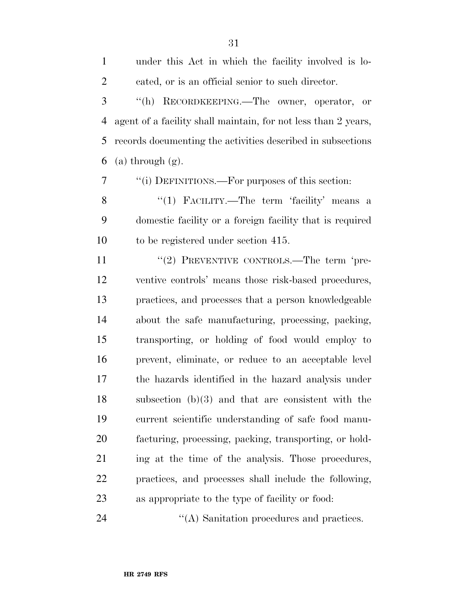| $\mathbf{1}$   | under this Act in which the facility involved is lo-           |
|----------------|----------------------------------------------------------------|
| $\overline{c}$ | cated, or is an official senior to such director.              |
| 3              | "(h) RECORDKEEPING.—The owner, operator, or                    |
| 4              | agent of a facility shall maintain, for not less than 2 years, |
| 5              | records documenting the activities described in subsections    |
| 6              | $(a)$ through $(g)$ .                                          |
| 7              | "(i) DEFINITIONS.—For purposes of this section:                |
| 8              | "(1) FACILITY.—The term 'facility' means a                     |
| 9              | domestic facility or a foreign facility that is required       |
| 10             | to be registered under section 415.                            |
| 11             | "(2) PREVENTIVE CONTROLS.—The term 'pre-                       |
| 12             | ventive controls' means those risk-based procedures,           |
| 13             | practices, and processes that a person knowledgeable           |
| 14             | about the safe manufacturing, processing, packing,             |
| 15             | transporting, or holding of food would employ to               |
| 16             | prevent, eliminate, or reduce to an acceptable level           |

the hazards identified in the hazard analysis under

subsection (b)(3) and that are consistent with the

current scientific understanding of safe food manu-

facturing, processing, packing, transporting, or hold-

ing at the time of the analysis. Those procedures,

practices, and processes shall include the following,

24 ''(A) Sanitation procedures and practices.

as appropriate to the type of facility or food: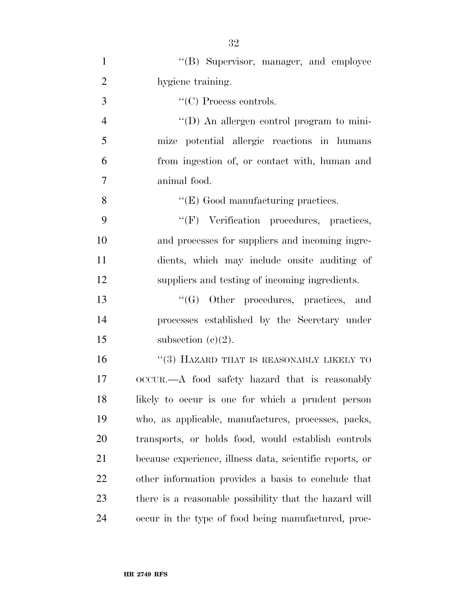| $\mathbf{1}$   | "(B) Supervisor, manager, and employee                   |
|----------------|----------------------------------------------------------|
| $\overline{2}$ | hygiene training.                                        |
| 3              | $\lq\lq$ (C) Process controls.                           |
| $\overline{4}$ | $\lq\lq$ (D) An allergen control program to mini-        |
| 5              | mize potential allergic reactions in humans              |
| 6              | from ingestion of, or contact with, human and            |
| 7              | animal food.                                             |
| 8              | $\lq\lq$ (E) Good manufacturing practices.               |
| 9              | "(F) Verification procedures, practices,                 |
| 10             | and processes for suppliers and incoming ingre-          |
| 11             | dients, which may include onsite auditing of             |
| 12             | suppliers and testing of incoming ingredients.           |
| 13             | $\lq\lq(G)$ Other procedures, practices, and             |
| 14             | processes established by the Secretary under             |
| 15             | subsection $(c)(2)$ .                                    |
| 16             | "(3) HAZARD THAT IS REASONABLY LIKELY TO                 |
| 17             | OCCUR.—A food safety hazard that is reasonably           |
| 18             | likely to occur is one for which a prudent person        |
| 19             | who, as applicable, manufactures, processes, packs,      |
| 20             | transports, or holds food, would establish controls      |
| 21             | because experience, illness data, scientific reports, or |
| 22             | other information provides a basis to conclude that      |
| 23             | there is a reasonable possibility that the hazard will   |
| 24             | occur in the type of food being manufactured, proc-      |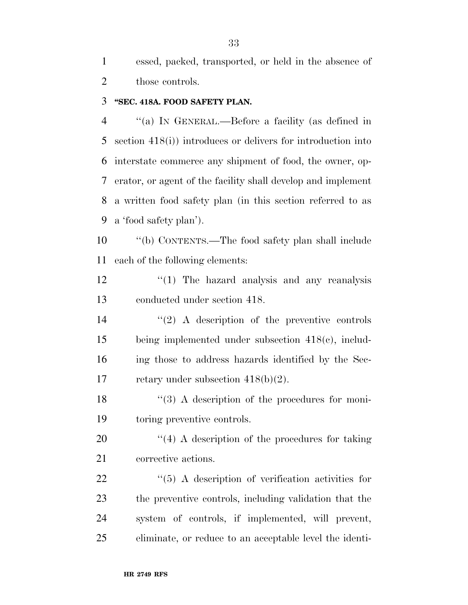essed, packed, transported, or held in the absence of 2 those controls.

# **''SEC. 418A. FOOD SAFETY PLAN.**

 ''(a) IN GENERAL.—Before a facility (as defined in section 418(i)) introduces or delivers for introduction into interstate commerce any shipment of food, the owner, op- erator, or agent of the facility shall develop and implement a written food safety plan (in this section referred to as a 'food safety plan').

 ''(b) CONTENTS.—The food safety plan shall include each of the following elements:

12 ''(1) The hazard analysis and any reanalysis conducted under section 418.

 $(2)$  A description of the preventive controls being implemented under subsection 418(c), includ- ing those to address hazards identified by the Sec-17 retary under subsection  $418(b)(2)$ .

18 ''(3) A description of the procedures for moni-toring preventive controls.

20  $\frac{1}{4}$  A description of the procedures for taking corrective actions.

 $\frac{1}{2}$  (5) A description of verification activities for the preventive controls, including validation that the system of controls, if implemented, will prevent, eliminate, or reduce to an acceptable level the identi-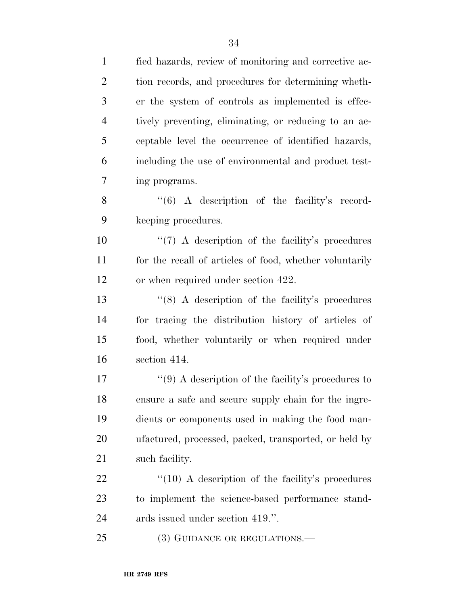fied hazards, review of monitoring and corrective ac- tion records, and procedures for determining wheth- er the system of controls as implemented is effec- tively preventing, eliminating, or reducing to an ac- ceptable level the occurrence of identified hazards, including the use of environmental and product test- ing programs. 8 "(6) A description of the facility's record- keeping procedures.  $\frac{1}{2}$  (7) A description of the facility's procedures for the recall of articles of food, whether voluntarily or when required under section 422. 13 ''(8) A description of the facility's procedures for tracing the distribution history of articles of food, whether voluntarily or when required under section 414.  $\frac{17}{2}$  (9) A description of the facility's procedures to ensure a safe and secure supply chain for the ingre- dients or components used in making the food man- ufactured, processed, packed, transported, or held by such facility.  $\frac{4}{10}$  A description of the facility's procedures to implement the science-based performance stand- ards issued under section 419.''. 25 (3) GUIDANCE OR REGULATIONS.—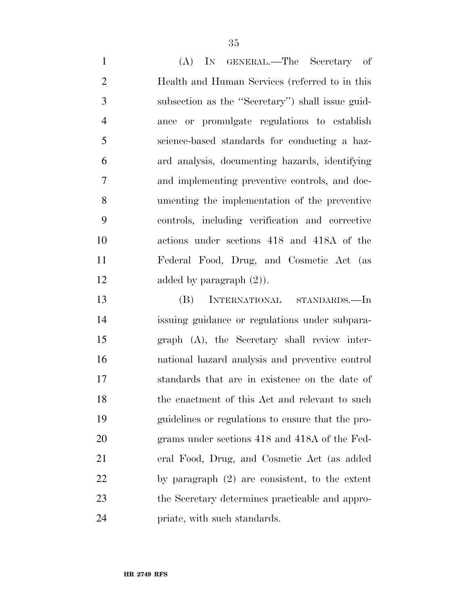(A) IN GENERAL.—The Secretary of Health and Human Services (referred to in this subsection as the ''Secretary'') shall issue guid- ance or promulgate regulations to establish science-based standards for conducting a haz- ard analysis, documenting hazards, identifying and implementing preventive controls, and doc- umenting the implementation of the preventive controls, including verification and corrective actions under sections 418 and 418A of the Federal Food, Drug, and Cosmetic Act (as 12 added by paragraph  $(2)$ ).

 (B) INTERNATIONAL STANDARDS.—In issuing guidance or regulations under subpara- graph (A), the Secretary shall review inter- national hazard analysis and preventive control standards that are in existence on the date of 18 the enactment of this Act and relevant to such guidelines or regulations to ensure that the pro- grams under sections 418 and 418A of the Fed- eral Food, Drug, and Cosmetic Act (as added by paragraph (2) are consistent, to the extent the Secretary determines practicable and appro-priate, with such standards.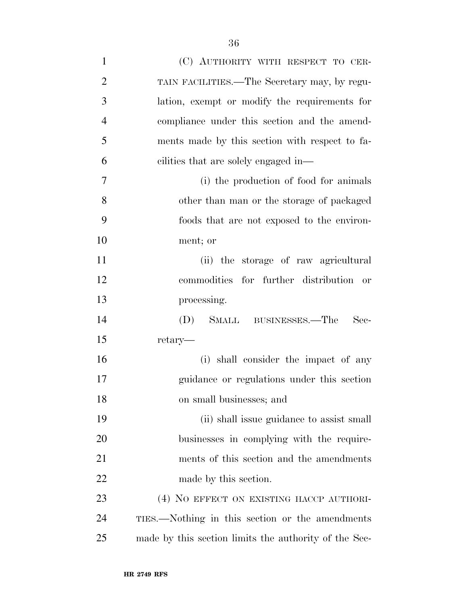| $\mathbf{1}$   | (C) AUTHORITY WITH RESPECT TO CER-                    |
|----------------|-------------------------------------------------------|
| $\overline{2}$ | TAIN FACILITIES.—The Secretary may, by regu-          |
| 3              | lation, exempt or modify the requirements for         |
| $\overline{4}$ | compliance under this section and the amend-          |
| 5              | ments made by this section with respect to fa-        |
| 6              | cilities that are solely engaged in—                  |
| 7              | (i) the production of food for animals                |
| 8              | other than man or the storage of packaged             |
| 9              | foods that are not exposed to the environ-            |
| 10             | ment; or                                              |
| 11             | (ii) the storage of raw agricultural                  |
| 12             | commodities for further distribution or               |
| 13             | processing.                                           |
| 14             | (D) SMALL BUSINESSES.—The<br>Sec-                     |
| 15             | retary—                                               |
| 16             | (i) shall consider the impact of any                  |
| 17             | guidance or regulations under this section            |
| 18             | on small businesses; and                              |
| 19             | (ii) shall issue guidance to assist small             |
| 20             | businesses in complying with the require-             |
| 21             | ments of this section and the amendments              |
| 22             | made by this section.                                 |
| 23             | (4) NO EFFECT ON EXISTING HACCP AUTHORI-              |
| 24             | TIES.—Nothing in this section or the amendments       |
| 25             | made by this section limits the authority of the Sec- |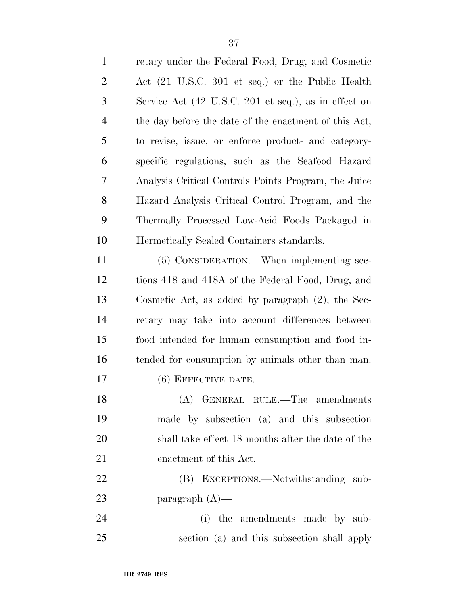| $\mathbf{1}$   | retary under the Federal Food, Drug, and Cosmetic                     |
|----------------|-----------------------------------------------------------------------|
| $\overline{2}$ | Act (21 U.S.C. 301 et seq.) or the Public Health                      |
| 3              | Service Act (42 U.S.C. 201 et seq.), as in effect on                  |
| $\overline{4}$ | the day before the date of the enactment of this Act,                 |
| 5              | to revise, issue, or enforce product- and category-                   |
| 6              | specific regulations, such as the Seafood Hazard                      |
| 7              | Analysis Critical Controls Points Program, the Juice                  |
| 8              | Hazard Analysis Critical Control Program, and the                     |
| 9              | Thermally Processed Low-Acid Foods Packaged in                        |
| 10             | Hermetically Sealed Containers standards.                             |
| 11             | (5) CONSIDERATION.—When implementing sec-                             |
| 12             | tions 418 and 418A of the Federal Food, Drug, and                     |
| 13             | Cosmetic Act, as added by paragraph $(2)$ , the Sec-                  |
| 14             | retary may take into account differences between                      |
| 15             | food intended for human consumption and food in-                      |
| 16             | tended for consumption by animals other than man.                     |
| 17             | $(6)$ EFFECTIVE DATE.—                                                |
| 18             | ${\bf (A)} \quad {\bf GENERAL\quad RULE.}-{\bf The\quad\,amendments}$ |
| 19             | made by subsection (a) and this subsection                            |
| 20             | shall take effect 18 months after the date of the                     |
| 21             | enactment of this Act.                                                |
| 22             | (B) EXCEPTIONS.—Notwithstanding sub-                                  |
| 23             | paragraph $(A)$ —                                                     |
| 24             | the amendments made by sub-<br>(i)                                    |
| 25             | section (a) and this subsection shall apply                           |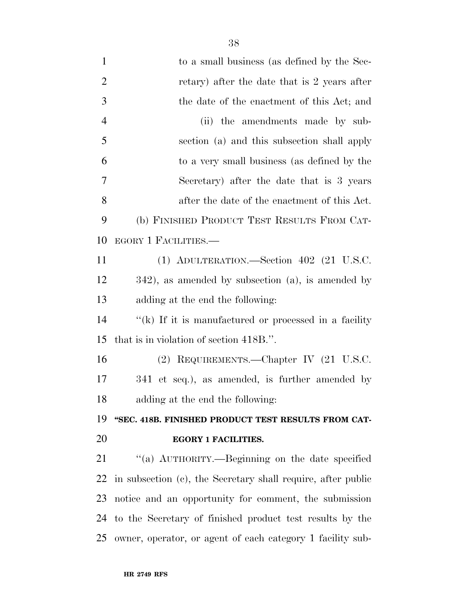| $\mathbf{1}$   | to a small business (as defined by the Sec-                  |
|----------------|--------------------------------------------------------------|
| $\overline{2}$ | retary) after the date that is 2 years after                 |
| 3              | the date of the enactment of this Act; and                   |
| $\overline{4}$ | (ii) the amendments made by sub-                             |
| 5              | section (a) and this subsection shall apply                  |
| 6              | to a very small business (as defined by the                  |
| 7              | Secretary) after the date that is 3 years                    |
| 8              | after the date of the enactment of this Act.                 |
| 9              | (b) FINISHED PRODUCT TEST RESULTS FROM CAT-                  |
| 10             | EGORY 1 FACILITIES.—                                         |
| 11             | (1) ADULTERATION.—Section 402 (21 U.S.C.                     |
| 12             | $342$ , as amended by subsection (a), is amended by          |
| 13             | adding at the end the following:                             |
| 14             | $f'(k)$ If it is manufactured or processed in a facility     |
| 15             | that is in violation of section 418B.".                      |
| 16             | (2) REQUIREMENTS.—Chapter IV (21 U.S.C.                      |
| 17             | 341 et seq.), as amended, is further amended by              |
| 18             | adding at the end the following:                             |
| 19             | "SEC. 418B. FINISHED PRODUCT TEST RESULTS FROM CAT-          |
| 20             | <b>EGORY 1 FACILITIES.</b>                                   |
| 21             | "(a) AUTHORITY.—Beginning on the date specified              |
| 22             | in subsection (c), the Secretary shall require, after public |
| 23             | notice and an opportunity for comment, the submission        |
| 24             | to the Secretary of finished product test results by the     |
| 25             | owner, operator, or agent of each category 1 facility sub-   |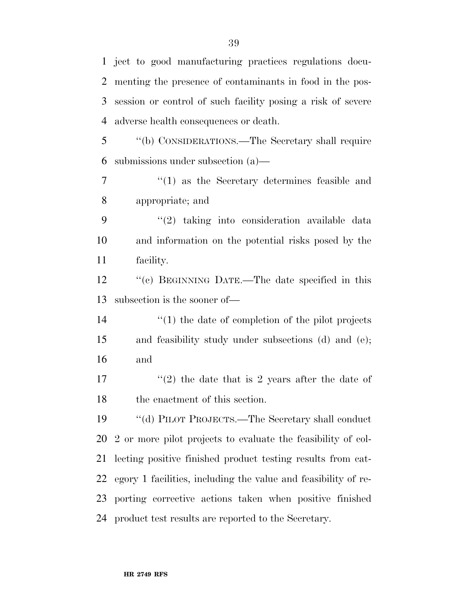ject to good manufacturing practices regulations docu- menting the presence of contaminants in food in the pos- session or control of such facility posing a risk of severe adverse health consequences or death. ''(b) CONSIDERATIONS.—The Secretary shall require submissions under subsection (a)— ''(1) as the Secretary determines feasible and appropriate; and ''(2) taking into consideration available data and information on the potential risks posed by the facility. 12 "(c) BEGINNING DATE.—The date specified in this subsection is the sooner of—  $\frac{1}{2}$  (1) the date of completion of the pilot projects and feasibility study under subsections (d) and (e); and  $\frac{17}{2}$  the date that is 2 years after the date of the enactment of this section. 19 "(d) PILOT PROJECTS.—The Secretary shall conduct 2 or more pilot projects to evaluate the feasibility of col- lecting positive finished product testing results from cat- egory 1 facilities, including the value and feasibility of re- porting corrective actions taken when positive finished product test results are reported to the Secretary.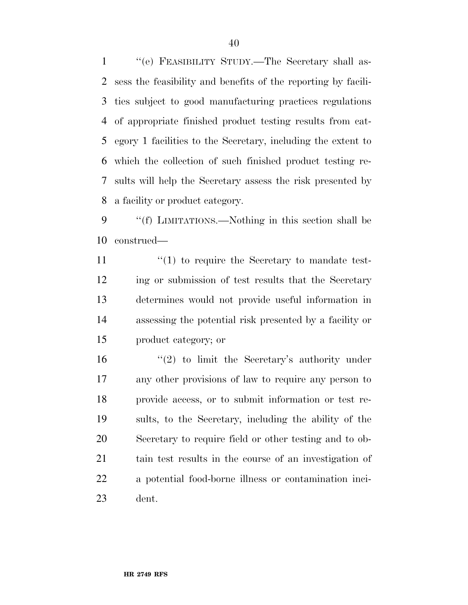''(e) FEASIBILITY STUDY.—The Secretary shall as- sess the feasibility and benefits of the reporting by facili- ties subject to good manufacturing practices regulations of appropriate finished product testing results from cat- egory 1 facilities to the Secretary, including the extent to which the collection of such finished product testing re- sults will help the Secretary assess the risk presented by a facility or product category.

 ''(f) LIMITATIONS.—Nothing in this section shall be construed—

 $\frac{1}{10}$  to require the Secretary to mandate test- ing or submission of test results that the Secretary determines would not provide useful information in assessing the potential risk presented by a facility or product category; or

 $(2)$  to limit the Secretary's authority under any other provisions of law to require any person to provide access, or to submit information or test re- sults, to the Secretary, including the ability of the Secretary to require field or other testing and to ob- tain test results in the course of an investigation of a potential food-borne illness or contamination inci-dent.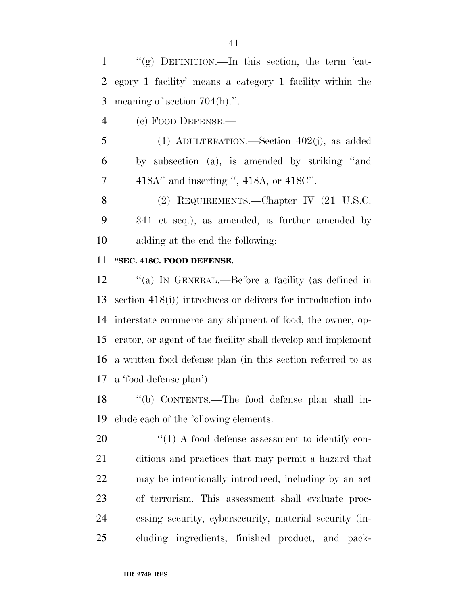1  $\langle \langle \mathbf{g} \rangle$  DEFINITION.—In this section, the term 'cat- egory 1 facility' means a category 1 facility within the meaning of section 704(h).''.

(c) FOOD DEFENSE.—

 (1) ADULTERATION.—Section 402(j), as added by subsection (a), is amended by striking ''and 418A'' and inserting '', 418A, or 418C''.

 (2) REQUIREMENTS.—Chapter IV (21 U.S.C. 341 et seq.), as amended, is further amended by adding at the end the following:

### **''SEC. 418C. FOOD DEFENSE.**

 ''(a) IN GENERAL.—Before a facility (as defined in section 418(i)) introduces or delivers for introduction into interstate commerce any shipment of food, the owner, op- erator, or agent of the facility shall develop and implement a written food defense plan (in this section referred to as a 'food defense plan').

 ''(b) CONTENTS.—The food defense plan shall in-clude each of the following elements:

 $\frac{1}{20}$  (1) A food defense assessment to identify con- ditions and practices that may permit a hazard that may be intentionally introduced, including by an act of terrorism. This assessment shall evaluate proc- essing security, cybersecurity, material security (in-cluding ingredients, finished product, and pack-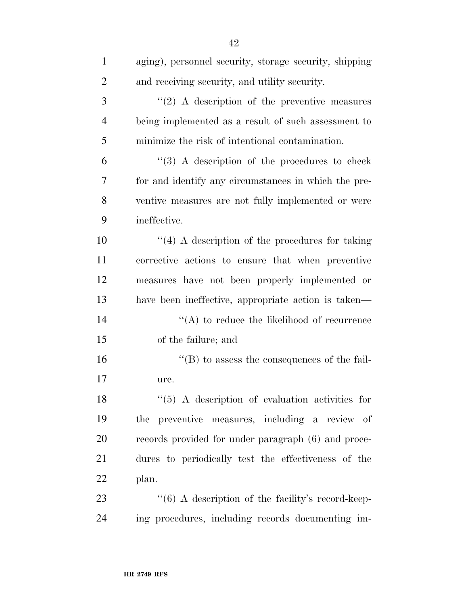| $\mathbf{1}$   | aging), personnel security, storage security, shipping |
|----------------|--------------------------------------------------------|
| $\overline{2}$ | and receiving security, and utility security.          |
| 3              | $\lq(2)$ A description of the preventive measures      |
| $\overline{4}$ | being implemented as a result of such assessment to    |
| 5              | minimize the risk of intentional contamination.        |
| 6              | $(3)$ A description of the procedures to check         |
| 7              | for and identify any circumstances in which the pre-   |
| 8              | ventive measures are not fully implemented or were     |
| 9              | ineffective.                                           |
| 10             | $\lq(4)$ A description of the procedures for taking    |
| 11             | corrective actions to ensure that when preventive      |
| 12             | measures have not been properly implemented or         |
| 13             | have been ineffective, appropriate action is taken—    |
| 14             | $\lq\lq$ to reduce the likelihood of recurrence        |
| 15             | of the failure; and                                    |
| 16             | $\lq\lq$ to assess the consequences of the fail-       |
| 17             | ure.                                                   |
| 18             | $\lq(5)$ A description of evaluation activities for    |
| 19             | preventive measures, including a review of<br>the      |
| 20             | records provided for under paragraph (6) and proce-    |
| 21             | dures to periodically test the effectiveness of the    |
| 22             | plan.                                                  |
| 23             | $``(6)$ A description of the facility's record-keep-   |
| 24             | ing procedures, including records documenting im-      |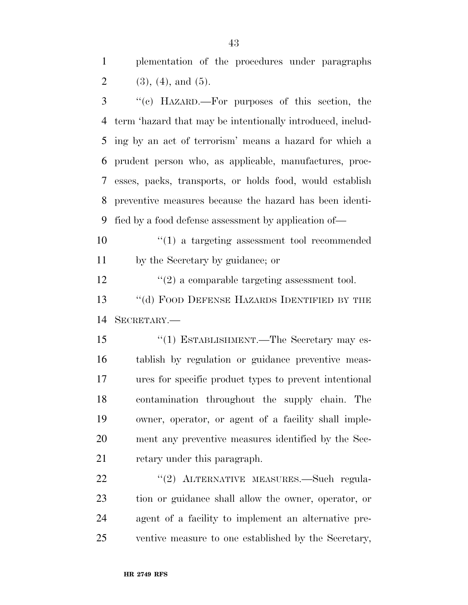plementation of the procedures under paragraphs 2 (3), (4), and (5).

 ''(c) HAZARD.—For purposes of this section, the term 'hazard that may be intentionally introduced, includ- ing by an act of terrorism' means a hazard for which a prudent person who, as applicable, manufactures, proc- esses, packs, transports, or holds food, would establish preventive measures because the hazard has been identi-fied by a food defense assessment by application of—

 ''(1) a targeting assessment tool recommended by the Secretary by guidance; or

 $\binom{12}{2}$  a comparable targeting assessment tool. 13 "(d) FOOD DEFENSE HAZARDS IDENTIFIED BY THE SECRETARY.—

15 "(1) ESTABLISHMENT.—The Secretary may es- tablish by regulation or guidance preventive meas- ures for specific product types to prevent intentional contamination throughout the supply chain. The owner, operator, or agent of a facility shall imple- ment any preventive measures identified by the Sec-retary under this paragraph.

22 "(2) ALTERNATIVE MEASURES.—Such regula- tion or guidance shall allow the owner, operator, or agent of a facility to implement an alternative pre-ventive measure to one established by the Secretary,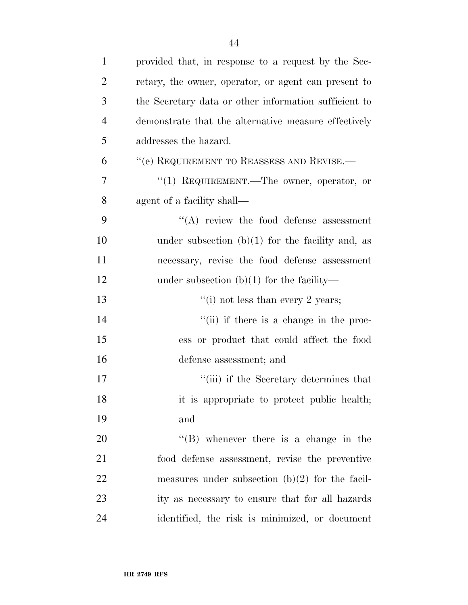| $\mathbf{1}$   | provided that, in response to a request by the Sec-   |
|----------------|-------------------------------------------------------|
| $\overline{2}$ | retary, the owner, operator, or agent can present to  |
| 3              | the Secretary data or other information sufficient to |
| $\overline{4}$ | demonstrate that the alternative measure effectively  |
| 5              | addresses the hazard.                                 |
| 6              | "(e) REQUIREMENT TO REASSESS AND REVISE.—             |
| 7              | "(1) REQUIREMENT.—The owner, operator, or             |
| 8              | agent of a facility shall—                            |
| 9              | $\lq\lq$ review the food defense assessment           |
| 10             | under subsection $(b)(1)$ for the facility and, as    |
| 11             | necessary, revise the food defense assessment         |
| 12             | under subsection $(b)(1)$ for the facility—           |
| 13             | "(i) not less than every 2 years;                     |
| 14             | "(ii) if there is a change in the proc-               |
| 15             | ess or product that could affect the food             |
| 16             | defense assessment; and                               |
| 17             | "(iii) if the Secretary determines that               |
| 18             | it is appropriate to protect public health;           |
| 19             | and                                                   |
| 20             | $\lq\lq (B)$ whenever there is a change in the        |
| 21             | food defense assessment, revise the preventive        |
| 22             | measures under subsection $(b)(2)$ for the facil-     |
| 23             | ity as necessary to ensure that for all hazards       |
| 24             | identified, the risk is minimized, or document        |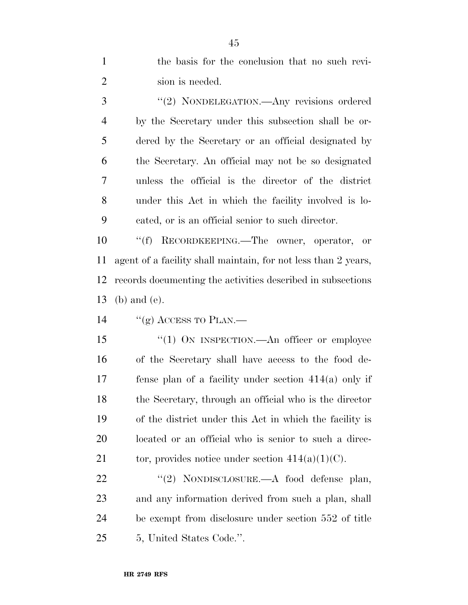| $\mathbf{1}$   | the basis for the conclusion that no such revi-                |
|----------------|----------------------------------------------------------------|
| $\overline{2}$ | sion is needed.                                                |
| 3              | "(2) NONDELEGATION.—Any revisions ordered                      |
| $\overline{4}$ | by the Secretary under this subsection shall be or-            |
| 5              | dered by the Secretary or an official designated by            |
| 6              | the Secretary. An official may not be so designated            |
| 7              | unless the official is the director of the district            |
| 8              | under this Act in which the facility involved is lo-           |
| 9              | cated, or is an official senior to such director.              |
| 10             | ``(f)<br>RECORDKEEPING.—The owner, operator, or                |
| 11             | agent of a facility shall maintain, for not less than 2 years, |
| 12             | records documenting the activities described in subsections    |
|                |                                                                |
| 13             | $(b)$ and $(e)$ .                                              |
| 14             | "(g) ACCESS TO PLAN.—                                          |
| 15             | "(1) ON INSPECTION.—An officer or employee                     |
| 16             | of the Secretary shall have access to the food de-             |
| 17             | fense plan of a facility under section $414(a)$ only if        |
| 18             | the Secretary, through an official who is the director         |
| 19             | of the district under this Act in which the facility is        |
| 20             | located or an official who is senior to such a direc-          |
| 21             | tor, provides notice under section $414(a)(1)(C)$ .            |
| 22             | "(2) NONDISCLOSURE.—A food defense plan,                       |
| 23             | and any information derived from such a plan, shall            |
| 24             | be exempt from disclosure under section 552 of title           |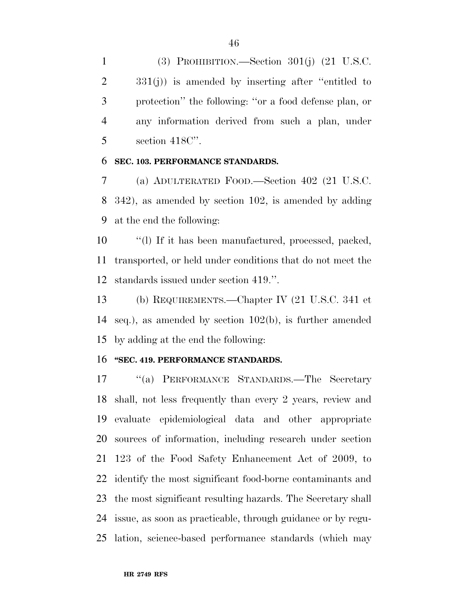(3) PROHIBITION.—Section 301(j) (21 U.S.C. 331(j)) is amended by inserting after ''entitled to protection'' the following: ''or a food defense plan, or any information derived from such a plan, under section 418C''.

#### **SEC. 103. PERFORMANCE STANDARDS.**

 (a) ADULTERATED FOOD.—Section 402 (21 U.S.C. 342), as amended by section 102, is amended by adding at the end the following:

 ''(l) If it has been manufactured, processed, packed, transported, or held under conditions that do not meet the standards issued under section 419.''.

 (b) REQUIREMENTS.—Chapter IV (21 U.S.C. 341 et seq.), as amended by section 102(b), is further amended by adding at the end the following:

#### **''SEC. 419. PERFORMANCE STANDARDS.**

 ''(a) PERFORMANCE STANDARDS.—The Secretary shall, not less frequently than every 2 years, review and evaluate epidemiological data and other appropriate sources of information, including research under section 123 of the Food Safety Enhancement Act of 2009, to identify the most significant food-borne contaminants and the most significant resulting hazards. The Secretary shall issue, as soon as practicable, through guidance or by regu-lation, science-based performance standards (which may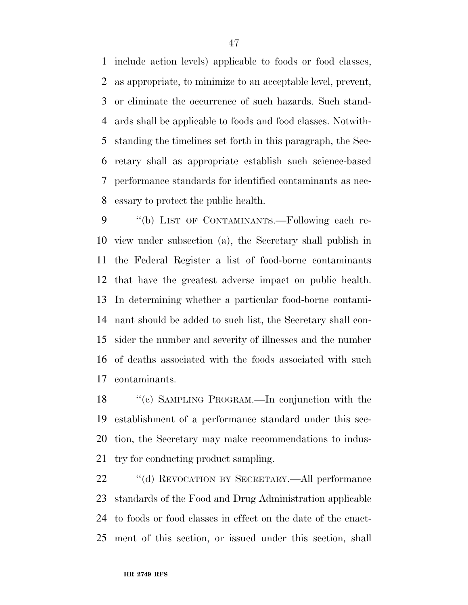include action levels) applicable to foods or food classes, as appropriate, to minimize to an acceptable level, prevent, or eliminate the occurrence of such hazards. Such stand- ards shall be applicable to foods and food classes. Notwith- standing the timelines set forth in this paragraph, the Sec- retary shall as appropriate establish such science-based performance standards for identified contaminants as nec-essary to protect the public health.

9 "(b) LIST OF CONTAMINANTS.—Following each re- view under subsection (a), the Secretary shall publish in the Federal Register a list of food-borne contaminants that have the greatest adverse impact on public health. In determining whether a particular food-borne contami- nant should be added to such list, the Secretary shall con- sider the number and severity of illnesses and the number of deaths associated with the foods associated with such contaminants.

 ''(c) SAMPLING PROGRAM.—In conjunction with the establishment of a performance standard under this sec- tion, the Secretary may make recommendations to indus-try for conducting product sampling.

 ''(d) REVOCATION BY SECRETARY.—All performance standards of the Food and Drug Administration applicable to foods or food classes in effect on the date of the enact-ment of this section, or issued under this section, shall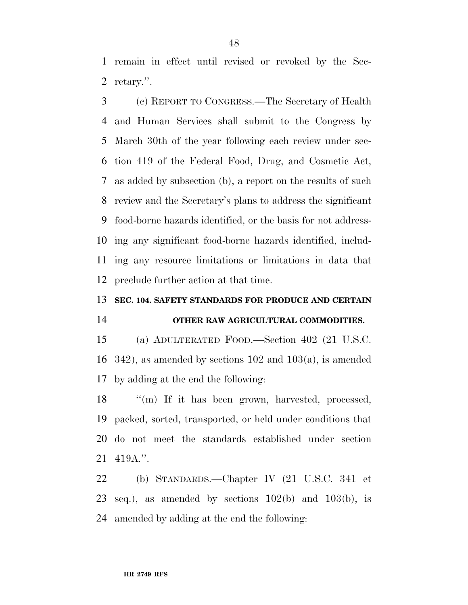remain in effect until revised or revoked by the Sec-retary.''.

 (c) REPORT TO CONGRESS.—The Secretary of Health and Human Services shall submit to the Congress by March 30th of the year following each review under sec- tion 419 of the Federal Food, Drug, and Cosmetic Act, as added by subsection (b), a report on the results of such review and the Secretary's plans to address the significant food-borne hazards identified, or the basis for not address- ing any significant food-borne hazards identified, includ- ing any resource limitations or limitations in data that preclude further action at that time.

#### **SEC. 104. SAFETY STANDARDS FOR PRODUCE AND CERTAIN**

## **OTHER RAW AGRICULTURAL COMMODITIES.**

 (a) ADULTERATED FOOD.—Section 402 (21 U.S.C. 342), as amended by sections 102 and 103(a), is amended by adding at the end the following:

18 "(m) If it has been grown, harvested, processed, packed, sorted, transported, or held under conditions that do not meet the standards established under section 419A.''.

 (b) STANDARDS.—Chapter IV (21 U.S.C. 341 et 23 seq.), as amended by sections  $102(b)$  and  $103(b)$ , is amended by adding at the end the following: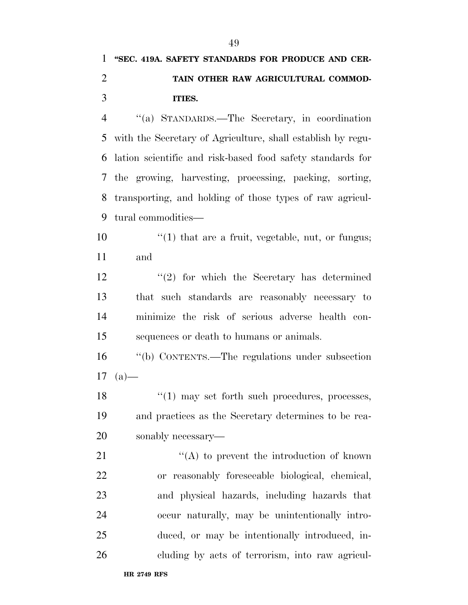# **''SEC. 419A. SAFETY STANDARDS FOR PRODUCE AND CER- TAIN OTHER RAW AGRICULTURAL COMMOD-ITIES.**

 ''(a) STANDARDS.—The Secretary, in coordination with the Secretary of Agriculture, shall establish by regu- lation scientific and risk-based food safety standards for the growing, harvesting, processing, packing, sorting, transporting, and holding of those types of raw agricul-tural commodities—

10  $\frac{1}{10}$  that are a fruit, vegetable, nut, or fungus; and

12 ''(2) for which the Secretary has determined that such standards are reasonably necessary to minimize the risk of serious adverse health con-sequences or death to humans or animals.

 ''(b) CONTENTS.—The regulations under subsection (a)

18 ''(1) may set forth such procedures, processes, and practices as the Secretary determines to be rea-sonably necessary—

21 ''(A) to prevent the introduction of known or reasonably foreseeable biological, chemical, and physical hazards, including hazards that occur naturally, may be unintentionally intro- duced, or may be intentionally introduced, in-cluding by acts of terrorism, into raw agricul-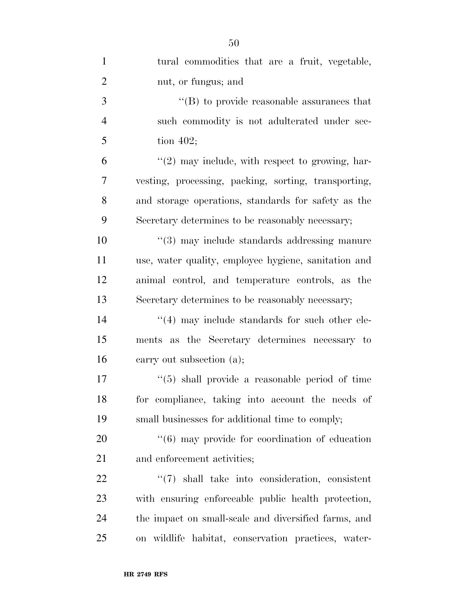| $\mathbf{1}$   | tural commodities that are a fruit, vegetable,                 |
|----------------|----------------------------------------------------------------|
| $\overline{2}$ | nut, or fungus; and                                            |
| 3              | $\lq\lq$ to provide reasonable assurances that                 |
| $\overline{4}$ | such commodity is not adulterated under sec-                   |
| 5              | tion $402$ ;                                                   |
| 6              | $\lq(2)$ may include, with respect to growing, har-            |
| 7              | vesting, processing, packing, sorting, transporting,           |
| 8              | and storage operations, standards for safety as the            |
| 9              | Secretary determines to be reasonably necessary;               |
| 10             | "(3) may include standards addressing manure                   |
| 11             | use, water quality, employee hygiene, sanitation and           |
| 12             | animal control, and temperature controls, as the               |
| 13             | Secretary determines to be reasonably necessary;               |
| 14             | $((4)$ may include standards for such other ele-               |
| 15             | ments as the Secretary determines necessary to                 |
| 16             | carry out subsection (a);                                      |
| 17             | $\lq(5)$ shall provide a reasonable period of time             |
| 18             | for compliance, taking into account the needs of               |
| 19             | small businesses for additional time to comply;                |
| 20             | $\cdot\cdot\cdot(6)$ may provide for coordination of education |
| 21             | and enforcement activities;                                    |
| 22             | $\lq(7)$ shall take into consideration, consistent             |
| 23             | with ensuring enforceable public health protection,            |
| 24             | the impact on small-scale and diversified farms, and           |
| 25             | on wildlife habitat, conservation practices, water-            |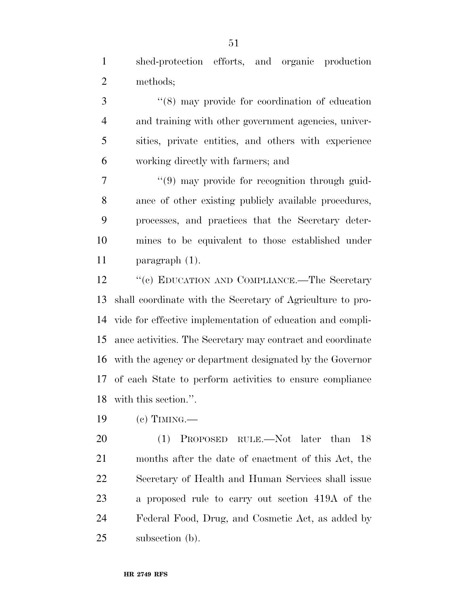shed-protection efforts, and organic production methods;

 ''(8) may provide for coordination of education and training with other government agencies, univer- sities, private entities, and others with experience working directly with farmers; and

 $(9)$  may provide for recognition through guid- ance of other existing publicly available procedures, processes, and practices that the Secretary deter- mines to be equivalent to those established under paragraph (1).

12 "(c) EDUCATION AND COMPLIANCE.—The Secretary shall coordinate with the Secretary of Agriculture to pro- vide for effective implementation of education and compli- ance activities. The Secretary may contract and coordinate with the agency or department designated by the Governor of each State to perform activities to ensure compliance with this section.''.

(c) TIMING.—

20 (1) PROPOSED RULE.—Not later than 18 months after the date of enactment of this Act, the Secretary of Health and Human Services shall issue a proposed rule to carry out section 419A of the Federal Food, Drug, and Cosmetic Act, as added by subsection (b).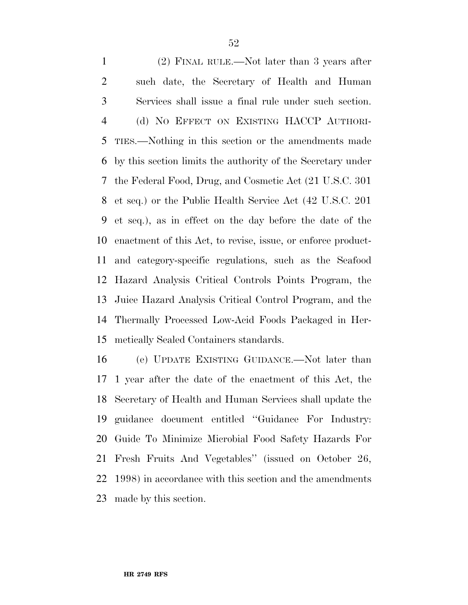(2) FINAL RULE.—Not later than 3 years after such date, the Secretary of Health and Human Services shall issue a final rule under such section. (d) NO EFFECT ON EXISTING HACCP AUTHORI- TIES.—Nothing in this section or the amendments made by this section limits the authority of the Secretary under the Federal Food, Drug, and Cosmetic Act (21 U.S.C. 301 et seq.) or the Public Health Service Act (42 U.S.C. 201 et seq.), as in effect on the day before the date of the enactment of this Act, to revise, issue, or enforce product- and category-specific regulations, such as the Seafood Hazard Analysis Critical Controls Points Program, the Juice Hazard Analysis Critical Control Program, and the Thermally Processed Low-Acid Foods Packaged in Her-metically Sealed Containers standards.

 (e) UPDATE EXISTING GUIDANCE.—Not later than 1 year after the date of the enactment of this Act, the Secretary of Health and Human Services shall update the guidance document entitled ''Guidance For Industry: Guide To Minimize Microbial Food Safety Hazards For Fresh Fruits And Vegetables'' (issued on October 26, 1998) in accordance with this section and the amendments made by this section.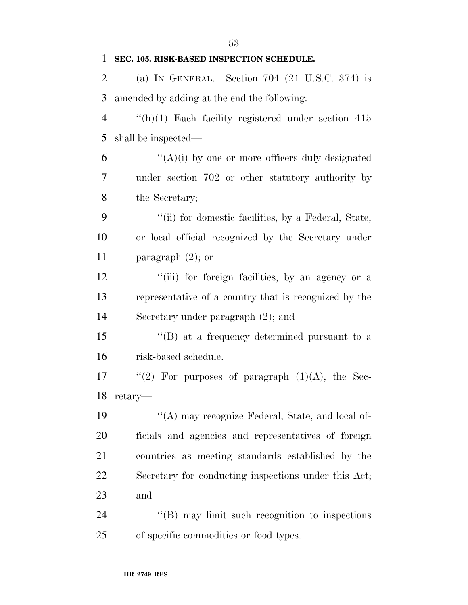| $\mathbf{1}$   | SEC. 105. RISK-BASED INSPECTION SCHEDULE.              |
|----------------|--------------------------------------------------------|
| 2              | (a) IN GENERAL.—Section $704$ (21 U.S.C. 374) is       |
| 3              | amended by adding at the end the following:            |
| $\overline{4}$ | $f'(h)(1)$ Each facility registered under section 415  |
| 5              | shall be inspected—                                    |
| 6              | $\lq\lq(A)(i)$ by one or more officers duly designated |
| 7              | under section 702 or other statutory authority by      |
| 8              | the Secretary;                                         |
| 9              | "(ii) for domestic facilities, by a Federal, State,    |
| 10             | or local official recognized by the Secretary under    |
| 11             | paragraph $(2)$ ; or                                   |
| 12             | "(iii) for foreign facilities, by an agency or a       |
| 13             | representative of a country that is recognized by the  |
| 14             | Secretary under paragraph $(2)$ ; and                  |
| 15             | $\lq\lq (B)$ at a frequency determined pursuant to a   |
| 16             | risk-based schedule.                                   |
| 17             | "(2) For purposes of paragraph $(1)(A)$ , the Sec-     |
|                | 18 retary-                                             |
| 19             | "(A) may recognize Federal, State, and local of-       |
| 20             | ficials and agencies and representatives of foreign    |
| 21             | countries as meeting standards established by the      |
| 22             | Secretary for conducting inspections under this Act;   |
| 23             | and                                                    |
| 24             | "(B) may limit such recognition to inspections         |
| 25             | of specific commodities or food types.                 |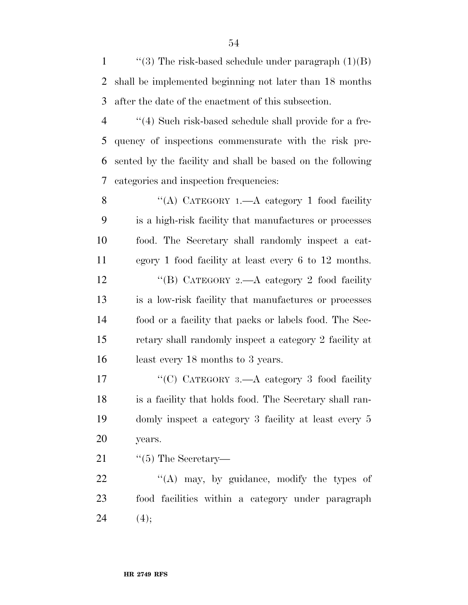1  $\langle$  ''(3) The risk-based schedule under paragraph (1)(B) shall be implemented beginning not later than 18 months after the date of the enactment of this subsection.

 ''(4) Such risk-based schedule shall provide for a fre- quency of inspections commensurate with the risk pre- sented by the facility and shall be based on the following categories and inspection frequencies:

8 "(A) CATEGORY 1.—A category 1 food facility is a high-risk facility that manufactures or processes food. The Secretary shall randomly inspect a cat- egory 1 food facility at least every 6 to 12 months. 12 ''(B) CATEGORY 2.—A category 2 food facility is a low-risk facility that manufactures or processes food or a facility that packs or labels food. The Sec- retary shall randomly inspect a category 2 facility at least every 18 months to 3 years.

17 "(C) CATEGORY 3.—A category 3 food facility is a facility that holds food. The Secretary shall ran- domly inspect a category 3 facility at least every 5 years.

21  $\frac{1}{2}$   $\frac{1}{2}$  The Secretary

22 "(A) may, by guidance, modify the types of food facilities within a category under paragraph 24  $(4);$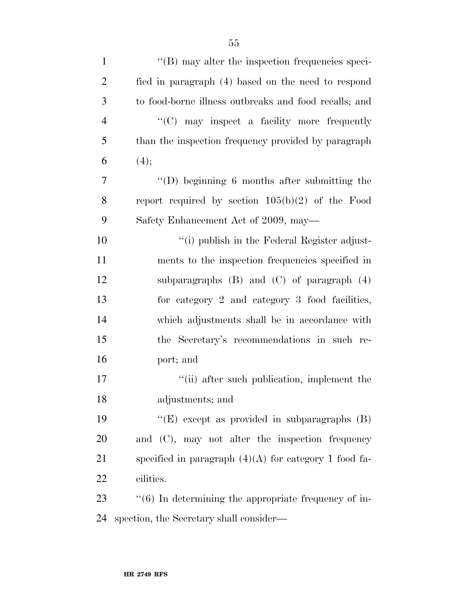| $\mathbf{1}$   | $\lq\lq$ (B) may alter the inspection frequencies speci- |
|----------------|----------------------------------------------------------|
| $\overline{2}$ | fied in paragraph (4) based on the need to respond       |
| 3              | to food-borne illness outbreaks and food recalls; and    |
| $\overline{4}$ | "(C) may inspect a facility more frequently              |
| 5              | than the inspection frequency provided by paragraph      |
| 6              | (4);                                                     |
| 7              | $\lq\lq$ beginning 6 months after submitting the         |
| 8              | report required by section $105(b)(2)$ of the Food       |
| 9              | Safety Enhancement Act of 2009, may—                     |
| 10             | "(i) publish in the Federal Register adjust-             |
| 11             | ments to the inspection frequencies specified in         |
| 12             | subparagraphs $(B)$ and $(C)$ of paragraph $(4)$         |
| 13             | for category 2 and category 3 food facilities,           |
| 14             | which adjustments shall be in accordance with            |
| 15             | the Secretary's recommendations in such re-              |
| 16             | port; and                                                |
| 17             | "(ii) after such publication, implement the              |
| 18             | adjustments; and                                         |
| 19             | " $(E)$ except as provided in subparagraphs $(B)$        |
| 20             | and $(C)$ , may not alter the inspection frequency       |
| 21             | specified in paragraph $(4)(A)$ for category 1 food fa-  |
| 22             | cilities.                                                |
| 23             | $\lq(6)$ In determining the appropriate frequency of in- |
| 24             | spection, the Secretary shall consider—                  |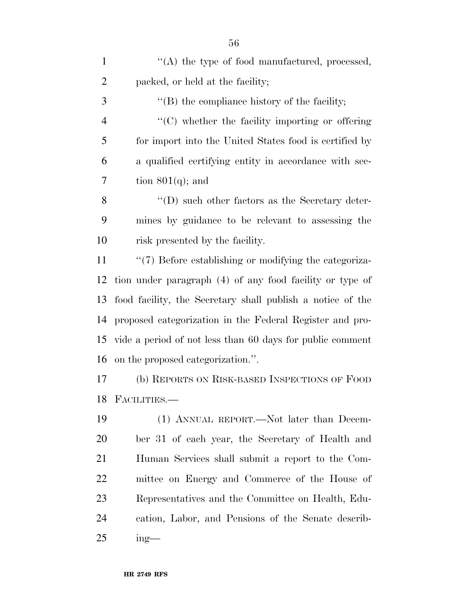| $\mathbf{1}$   | "(A) the type of food manufactured, processed,             |
|----------------|------------------------------------------------------------|
| $\overline{2}$ | packed, or held at the facility;                           |
| 3              | $\lq\lq$ the compliance history of the facility;           |
| $\overline{4}$ | $\cdot$ (C) whether the facility importing or offering     |
| 5              | for import into the United States food is certified by     |
| 6              | a qualified certifying entity in accordance with sec-      |
| 7              | tion $801(q)$ ; and                                        |
| 8              | $\lq\lq$ ) such other factors as the Secretary deter-      |
| 9              | mines by guidance to be relevant to assessing the          |
| 10             | risk presented by the facility.                            |
| 11             | "(7) Before establishing or modifying the categoriza-      |
| 12             | tion under paragraph (4) of any food facility or type of   |
| 13             | food facility, the Secretary shall publish a notice of the |
| 14             | proposed categorization in the Federal Register and pro-   |
| 15             | vide a period of not less than 60 days for public comment  |
| 16             | on the proposed categorization.".                          |
| 17             | (b) REPORTS ON RISK-BASED INSPECTIONS OF FOOD              |
| 18             | FACILITIES.—                                               |
| 19             | (1) ANNUAL REPORT.—Not later than Decem-                   |
| <b>20</b>      | ber 31 of each year, the Secretary of Health and           |
| 21             | Human Services shall submit a report to the Com-           |
| <u>22</u>      | mittee on Energy and Commerce of the House of              |
| 23             | Representatives and the Committee on Health, Edu-          |
| 24             | cation, Labor, and Pensions of the Senate describ-         |
| 25             | $ing$ —                                                    |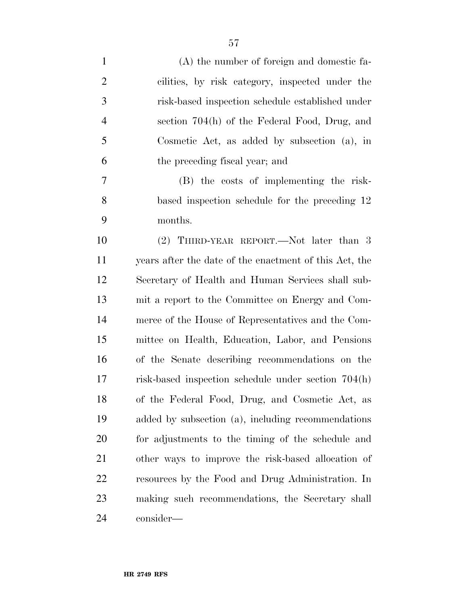| $\mathbf{1}$   | (A) the number of foreign and domestic fa-             |
|----------------|--------------------------------------------------------|
| $\overline{2}$ | cilities, by risk category, inspected under the        |
| 3              | risk-based inspection schedule established under       |
| $\overline{4}$ | section 704(h) of the Federal Food, Drug, and          |
| 5              | Cosmetic Act, as added by subsection $(a)$ , in        |
| 6              | the preceding fiscal year; and                         |
| 7              | (B) the costs of implementing the risk-                |
| 8              | based inspection schedule for the preceding 12         |
| 9              | months.                                                |
| 10             | (2) THIRD-YEAR REPORT.—Not later than 3                |
| 11             | years after the date of the enactment of this Act, the |
| 12             | Secretary of Health and Human Services shall sub-      |
| 13             | mit a report to the Committee on Energy and Com-       |
| 14             | merce of the House of Representatives and the Com-     |
| 15             | mittee on Health, Education, Labor, and Pensions       |
| 16             | of the Senate describing recommendations on the        |
| 17             | risk-based inspection schedule under section 704(h)    |
| 18             | of the Federal Food, Drug, and Cosmetic Act, as        |
| 19             | added by subsection (a), including recommendations     |
| 20             | for adjustments to the timing of the schedule and      |
| 21             | other ways to improve the risk-based allocation of     |
| 22             | resources by the Food and Drug Administration. In      |
| 23             | making such recommendations, the Secretary shall       |
| 24             | consider—                                              |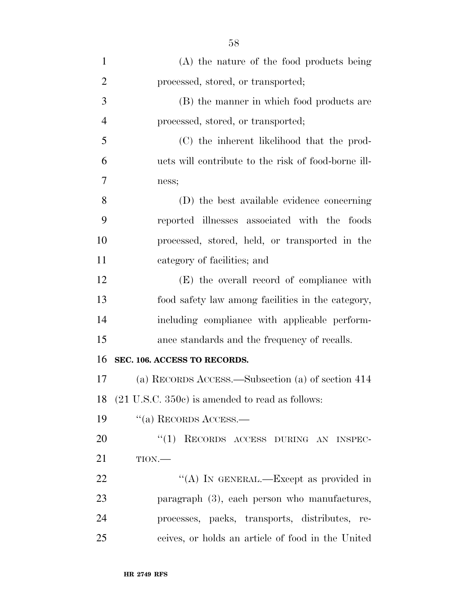| $\mathbf{1}$   | (A) the nature of the food products being                  |
|----------------|------------------------------------------------------------|
| $\overline{2}$ | processed, stored, or transported;                         |
| 3              | (B) the manner in which food products are                  |
| $\overline{4}$ | processed, stored, or transported;                         |
| 5              | (C) the inherent likelihood that the prod-                 |
| 6              | ucts will contribute to the risk of food-borne ill-        |
| 7              | ness;                                                      |
| 8              | (D) the best available evidence concerning                 |
| 9              | reported illnesses associated with the foods               |
| 10             | processed, stored, held, or transported in the             |
| 11             | category of facilities; and                                |
| 12             | (E) the overall record of compliance with                  |
| 13             | food safety law among facilities in the category,          |
| 14             | including compliance with applicable perform-              |
| 15             | ance standards and the frequency of recalls.               |
| 16             | SEC. 106. ACCESS TO RECORDS.                               |
| 17             | (a) RECORDS ACCESS.—Subsection (a) of section 414          |
| 18             | $(21 \text{ U.S.C. } 350c)$ is amended to read as follows: |
| 19             | "(a) RECORDS ACCESS.—                                      |
| 20             | "(1) RECORDS ACCESS DURING AN INSPEC-                      |
| 21             | TION.                                                      |
| 22             | "(A) IN GENERAL.—Except as provided in                     |
| 23             | paragraph (3), each person who manufactures,               |
| 24             | processes, packs, transports, distributes, re-             |
| 25             | ceives, or holds an article of food in the United          |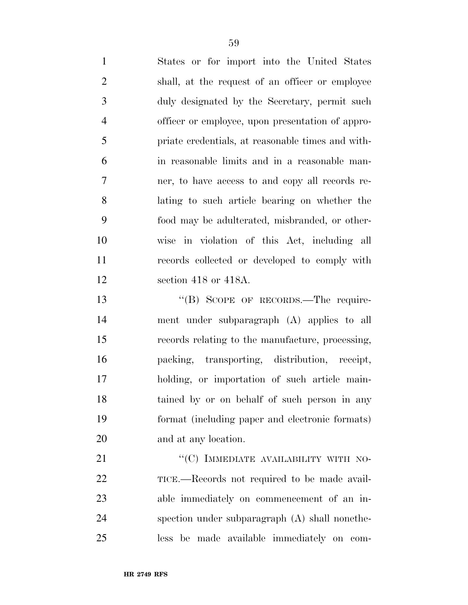| $\mathbf{1}$   | States or for import into the United States       |
|----------------|---------------------------------------------------|
| 2              | shall, at the request of an officer or employee   |
| 3              | duly designated by the Secretary, permit such     |
| $\overline{4}$ | officer or employee, upon presentation of appro-  |
| 5              | priate credentials, at reasonable times and with- |
| 6              | in reasonable limits and in a reasonable man-     |
| $\overline{7}$ | ner, to have access to and copy all records re-   |
| 8              | lating to such article bearing on whether the     |
| 9              | food may be adulterated, misbranded, or other-    |
| 10             | wise in violation of this Act, including all      |
| 11             | records collected or developed to comply with     |
| 12             | section 418 or 418A.                              |
| 13             | "(B) SCOPE OF RECORDS.—The require-               |

 ment under subparagraph (A) applies to all records relating to the manufacture, processing, packing, transporting, distribution, receipt, holding, or importation of such article main- tained by or on behalf of such person in any format (including paper and electronic formats) and at any location.

21 "'(C) IMMEDIATE AVAILABILITY WITH NO-22 TICE.—Records not required to be made avail- able immediately on commencement of an in- spection under subparagraph (A) shall nonethe-less be made available immediately on com-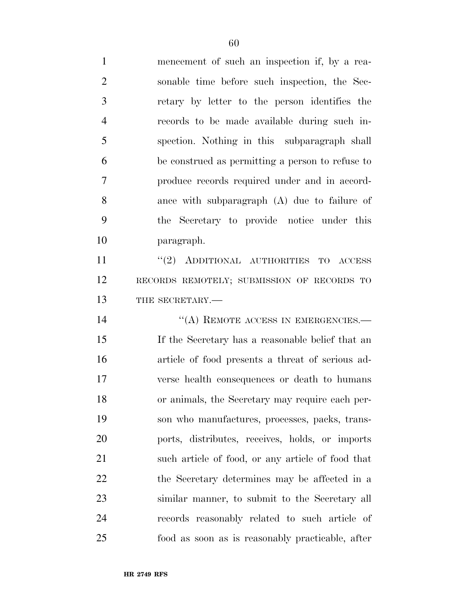mencement of such an inspection if, by a rea- sonable time before such inspection, the Sec- retary by letter to the person identifies the records to be made available during such in- spection. Nothing in this subparagraph shall be construed as permitting a person to refuse to produce records required under and in accord- ance with subparagraph (A) due to failure of the Secretary to provide notice under this paragraph.

11 ''(2) ADDITIONAL AUTHORITIES TO ACCESS RECORDS REMOTELY; SUBMISSION OF RECORDS TO 13 THE SECRETARY.—

14 "(A) REMOTE ACCESS IN EMERGENCIES.— If the Secretary has a reasonable belief that an article of food presents a threat of serious ad- verse health consequences or death to humans or animals, the Secretary may require each per- son who manufactures, processes, packs, trans- ports, distributes, receives, holds, or imports such article of food, or any article of food that the Secretary determines may be affected in a similar manner, to submit to the Secretary all records reasonably related to such article of food as soon as is reasonably practicable, after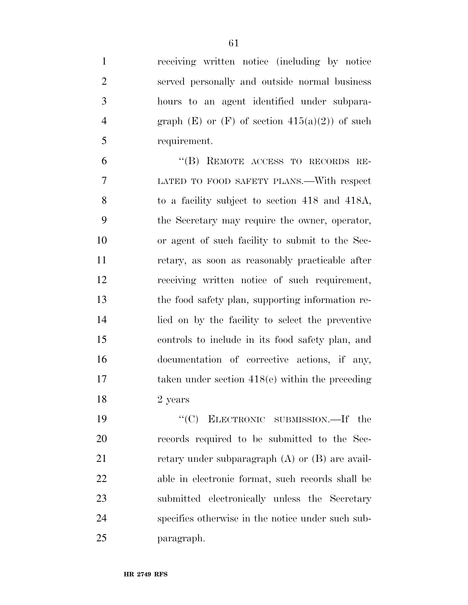receiving written notice (including by notice served personally and outside normal business hours to an agent identified under subpara-4 graph  $(E)$  or  $(F)$  of section  $415(a)(2)$  of such requirement.

 ''(B) REMOTE ACCESS TO RECORDS RE- LATED TO FOOD SAFETY PLANS.—With respect to a facility subject to section 418 and 418A, the Secretary may require the owner, operator, or agent of such facility to submit to the Sec- retary, as soon as reasonably practicable after receiving written notice of such requirement, the food safety plan, supporting information re- lied on by the facility to select the preventive controls to include in its food safety plan, and documentation of corrective actions, if any, 17 taken under section 418(e) within the preceding 2 years

19 "'(C) ELECTRONIC SUBMISSION.—If the records required to be submitted to the Sec-21 retary under subparagraph (A) or (B) are avail- able in electronic format, such records shall be submitted electronically unless the Secretary specifies otherwise in the notice under such sub-paragraph.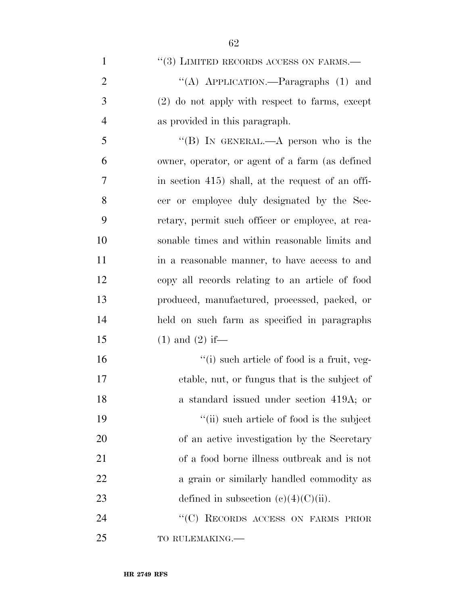1 ''(3) LIMITED RECORDS ACCESS ON FARMS.—

2 ''(A) APPLICATION.—Paragraphs (1) and 3 (2) do not apply with respect to farms, except 4 as provided in this paragraph.

5 "(B) In GENERAL.—A person who is the owner, operator, or agent of a farm (as defined 7 in section 415) shall, at the request of an offi- cer or employee duly designated by the Sec- retary, permit such officer or employee, at rea- sonable times and within reasonable limits and in a reasonable manner, to have access to and copy all records relating to an article of food produced, manufactured, processed, packed, or held on such farm as specified in paragraphs 15 (1) and (2) if—

 $\frac{1}{10}$  such article of food is a fruit, veg- etable, nut, or fungus that is the subject of a standard issued under section 419A; or 19 ''(ii) such article of food is the subject of an active investigation by the Secretary of a food borne illness outbreak and is not 22 a grain or similarly handled commodity as 23 defined in subsection  $(c)(4)(C)(ii)$ .

24 "(C) RECORDS ACCESS ON FARMS PRIOR 25 TO RULEMAKING.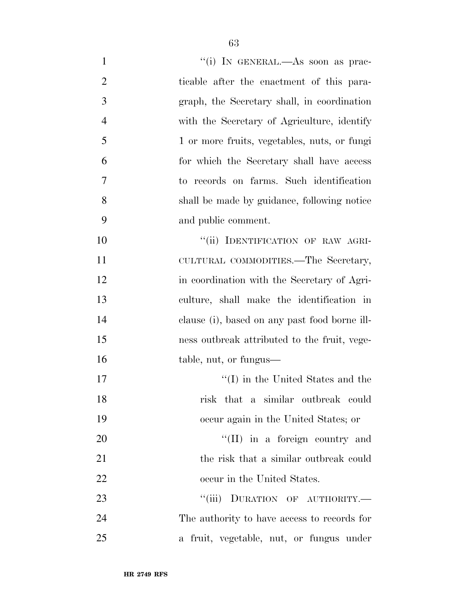| $\mathbf{1}$   | "(i) IN GENERAL.—As soon as prac-             |
|----------------|-----------------------------------------------|
| $\overline{2}$ | ticable after the enactment of this para-     |
| 3              | graph, the Secretary shall, in coordination   |
| $\overline{4}$ | with the Secretary of Agriculture, identify   |
| 5              | 1 or more fruits, vegetables, nuts, or fungi  |
| 6              | for which the Secretary shall have access     |
| 7              | to records on farms. Such identification      |
| 8              | shall be made by guidance, following notice   |
| 9              | and public comment.                           |
| 10             | "(ii) IDENTIFICATION OF RAW AGRI-             |
| 11             | CULTURAL COMMODITIES.—The Secretary,          |
| 12             | in coordination with the Secretary of Agri-   |
| 13             | culture, shall make the identification in     |
| 14             | clause (i), based on any past food borne ill- |
| 15             | ness outbreak attributed to the fruit, vege-  |
| 16             | table, nut, or fungus—                        |
| 17             | $\lq\lq$ (I) in the United States and the     |
| 18             | risk that a similar outbreak could            |
| 19             | occur again in the United States; or          |
| 20             | $\lq\lq$ (II) in a foreign country and        |
| 21             | the risk that a similar outbreak could        |
| 22             | occur in the United States.                   |
| 23             | "(iii) DURATION OF AUTHORITY.-                |
| 24             | The authority to have access to records for   |
| 25             | a fruit, vegetable, nut, or fungus under      |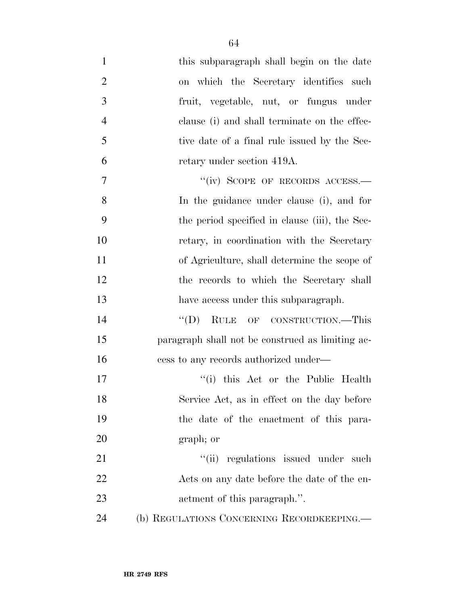| $\mathbf{1}$   | this subparagraph shall begin on the date        |
|----------------|--------------------------------------------------|
| $\overline{2}$ | on which the Secretary identifies such           |
| 3              | fruit, vegetable, nut, or fungus under           |
| $\overline{4}$ | clause (i) and shall terminate on the effec-     |
| 5              | tive date of a final rule issued by the Sec-     |
| 6              | retary under section 419A.                       |
| 7              | "(iv) SCOPE OF RECORDS ACCESS.-                  |
| 8              | In the guidance under clause (i), and for        |
| 9              | the period specified in clause (iii), the Sec-   |
| 10             | retary, in coordination with the Secretary       |
| 11             | of Agriculture, shall determine the scope of     |
| 12             | the records to which the Secretary shall         |
| 13             | have access under this subparagraph.             |
| 14             | RULE OF CONSTRUCTION.-This<br>``(D)              |
| 15             | paragraph shall not be construed as limiting ac- |
| 16             | cess to any records authorized under—            |
| 17             | "(i) this Act or the Public Health               |
| 18             | Service Act, as in effect on the day before      |
| 19             | the date of the enactment of this para-          |
| 20             | graph; or                                        |
| 21             | "(ii) regulations issued under such              |
| 22             | Acts on any date before the date of the en-      |
| 23             | actment of this paragraph.".                     |
| 24             | (b) REGULATIONS CONCERNING RECORDKEEPING.—       |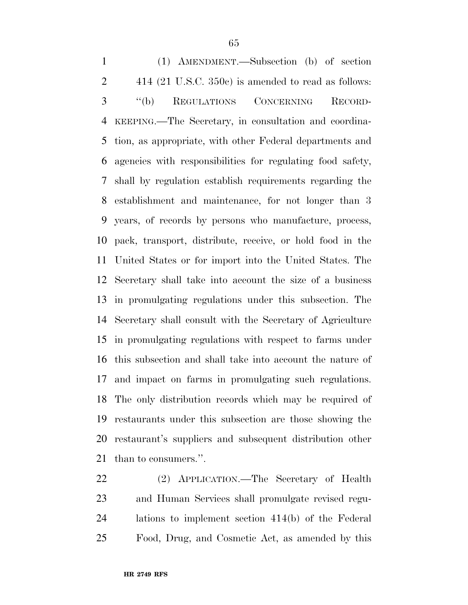(1) AMENDMENT.—Subsection (b) of section 414 (21 U.S.C. 350c) is amended to read as follows: ''(b) REGULATIONS CONCERNING RECORD- KEEPING.—The Secretary, in consultation and coordina- tion, as appropriate, with other Federal departments and agencies with responsibilities for regulating food safety, shall by regulation establish requirements regarding the establishment and maintenance, for not longer than 3 years, of records by persons who manufacture, process, pack, transport, distribute, receive, or hold food in the United States or for import into the United States. The Secretary shall take into account the size of a business in promulgating regulations under this subsection. The Secretary shall consult with the Secretary of Agriculture in promulgating regulations with respect to farms under this subsection and shall take into account the nature of and impact on farms in promulgating such regulations. The only distribution records which may be required of restaurants under this subsection are those showing the restaurant's suppliers and subsequent distribution other than to consumers.''.

 (2) APPLICATION.—The Secretary of Health and Human Services shall promulgate revised regu- lations to implement section 414(b) of the Federal Food, Drug, and Cosmetic Act, as amended by this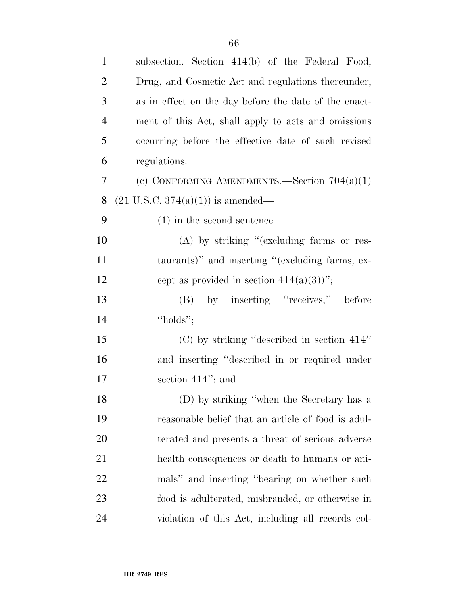| $\mathbf{1}$   | subsection. Section 414(b) of the Federal Food,       |
|----------------|-------------------------------------------------------|
| $\overline{2}$ | Drug, and Cosmetic Act and regulations thereunder,    |
| 3              | as in effect on the day before the date of the enact- |
| $\overline{4}$ | ment of this Act, shall apply to acts and omissions   |
| 5              | occurring before the effective date of such revised   |
| 6              | regulations.                                          |
| 7              | (c) CONFORMING AMENDMENTS.—Section $704(a)(1)$        |
| 8              | $(21 \text{ U.S.C. } 374(a)(1))$ is amended—          |
| 9              | $(1)$ in the second sentence—                         |
| 10             | $(A)$ by striking "(excluding farms or res-           |
| 11             | taurants)" and inserting "(excluding farms, ex-       |
| 12             | cept as provided in section $414(a)(3)$ ";            |
| 13             | (B) by inserting "receives," before                   |
| 14             | "holds";                                              |
| 15             | $(C)$ by striking "described in section 414"          |
| 16             | and inserting "described in or required under         |
| 17             | section $414$ "; and                                  |
| 18             | (D) by striking "when the Secretary has a             |
| 19             | reasonable belief that an article of food is adul-    |
| 20             | terated and presents a threat of serious adverse      |
| 21             | health consequences or death to humans or ani-        |
| 22             | mals" and inserting "bearing on whether such          |
| 23             | food is adulterated, misbranded, or otherwise in      |
| 24             | violation of this Act, including all records col-     |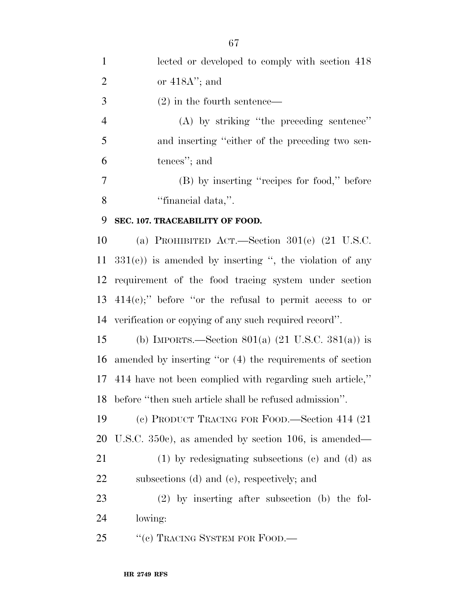| $\mathbf{1}$   | lected or developed to comply with section 418               |
|----------------|--------------------------------------------------------------|
| $\overline{2}$ | or $418A$ "; and                                             |
| 3              | $(2)$ in the fourth sentence—                                |
| $\overline{4}$ | $(A)$ by striking "the preceding sentence"                   |
| 5              | and inserting "either of the preceding two sen-              |
| 6              | tences"; and                                                 |
| 7              | (B) by inserting "recipes for food," before                  |
| 8              | "financial data,".                                           |
| 9              | SEC. 107. TRACEABILITY OF FOOD.                              |
| 10             | (a) PROHIBITED ACT.—Section $301(e)$ (21 U.S.C.              |
| 11             | $331(e)$ ) is amended by inserting ", the violation of any   |
| 12             | requirement of the food tracing system under section         |
| 13             | $414(e)$ ;" before "or the refusal to permit access to or    |
| 14             | verification or copying of any such required record".        |
| 15             | (b) IMPORTS.—Section 801(a) $(21 \text{ U.S.C. } 381(a))$ is |
| 16             | amended by inserting "or (4) the requirements of section     |
| 17             | 414 have not been complied with regarding such article,"     |
| 18             | before "then such article shall be refused admission".       |
| 19             | (c) PRODUCT TRACING FOR FOOD.—Section 414 (21)               |
| 20             | U.S.C. $350c$ , as amended by section 106, is amended—       |
| 21             | $(1)$ by redesignating subsections $(e)$ and $(d)$ as        |
| 22             | subsections (d) and (e), respectively; and                   |
| 23             | $(2)$ by inserting after subsection (b) the fol-             |
| 24             | lowing:                                                      |
| 25             | "(c) TRACING SYSTEM FOR FOOD.—                               |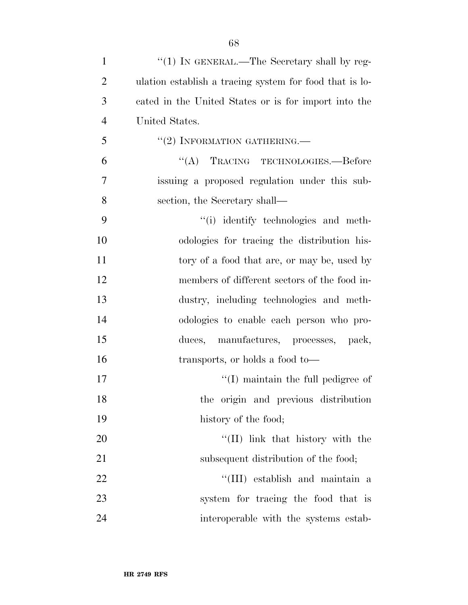| $\mathbf{1}$   | "(1) IN GENERAL.—The Secretary shall by reg-            |
|----------------|---------------------------------------------------------|
| $\overline{2}$ | ulation establish a tracing system for food that is lo- |
| 3              | cated in the United States or is for import into the    |
| $\overline{4}$ | United States.                                          |
| 5              | $``(2)$ INFORMATION GATHERING.—                         |
| 6              | "(A) TRACING TECHNOLOGIES.—Before                       |
| 7              | issuing a proposed regulation under this sub-           |
| 8              | section, the Secretary shall—                           |
| 9              | "(i) identify technologies and meth-                    |
| 10             | odologies for tracing the distribution his-             |
| 11             | tory of a food that are, or may be, used by             |
| 12             | members of different sectors of the food in-            |
| 13             | dustry, including technologies and meth-                |
| 14             | odologies to enable each person who pro-                |
| 15             | duces, manufactures, processes, pack,                   |
| 16             | transports, or holds a food to-                         |
| 17             | $\lq\lq$ (I) maintain the full pedigree of              |
| 18             | the origin and previous distribution                    |
| 19             | history of the food;                                    |
| 20             | $\lq\lq$ (II) link that history with the                |
| 21             | subsequent distribution of the food;                    |
| 22             | "(III) establish and maintain a                         |
| 23             | system for tracing the food that is                     |
| 24             | interoperable with the systems estab-                   |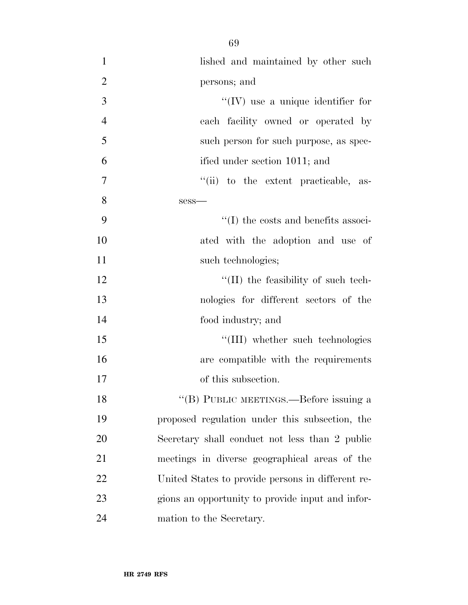| $\mathbf{1}$   | lished and maintained by other such               |
|----------------|---------------------------------------------------|
| $\overline{2}$ | persons; and                                      |
| 3              | $\lq\lq$ (IV) use a unique identifier for         |
| $\overline{4}$ | each facility owned or operated by                |
| 5              | such person for such purpose, as spec-            |
| 6              | ified under section 1011; and                     |
| $\overline{7}$ | "(ii) to the extent practicable, as-              |
| 8              | $sess$ —                                          |
| 9              | $\lq\lq$ the costs and benefits associ-           |
| 10             | ated with the adoption and use of                 |
| 11             | such technologies;                                |
| 12             | "(II) the feasibility of such tech-               |
| 13             | nologies for different sectors of the             |
| 14             | food industry; and                                |
| 15             | "(III) whether such technologies                  |
| 16             | are compatible with the requirements              |
| 17             | of this subsection.                               |
| 18             | "(B) PUBLIC MEETINGS.—Before issuing a            |
| 19             | proposed regulation under this subsection, the    |
| 20             | Secretary shall conduct not less than 2 public    |
| 21             | meetings in diverse geographical areas of the     |
| 22             | United States to provide persons in different re- |
| 23             | gions an opportunity to provide input and infor-  |
| 24             | mation to the Secretary.                          |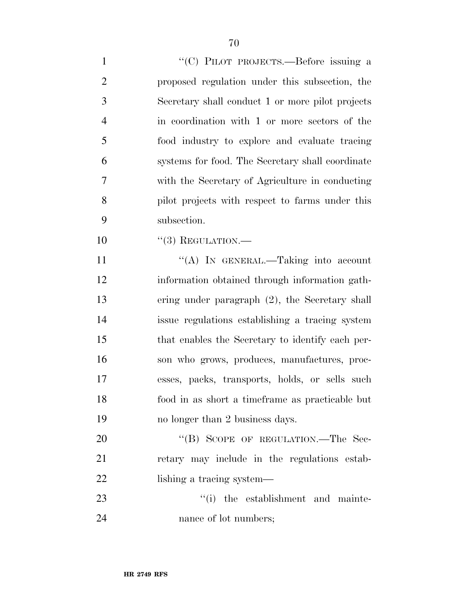1 "'(C) PILOT PROJECTS.—Before issuing a proposed regulation under this subsection, the Secretary shall conduct 1 or more pilot projects in coordination with 1 or more sectors of the food industry to explore and evaluate tracing systems for food. The Secretary shall coordinate with the Secretary of Agriculture in conducting pilot projects with respect to farms under this subsection.

10 "(3) REGULATION.—

11 "(A) IN GENERAL.—Taking into account information obtained through information gath- ering under paragraph (2), the Secretary shall issue regulations establishing a tracing system that enables the Secretary to identify each per- son who grows, produces, manufactures, proc- esses, packs, transports, holds, or sells such food in as short a timeframe as practicable but no longer than 2 business days.

20 "(B) SCOPE OF REGULATION.—The Sec- retary may include in the regulations estab-22 lishing a tracing system—

23  $\frac{1}{2}$  the establishment and mainte-24 nance of lot numbers;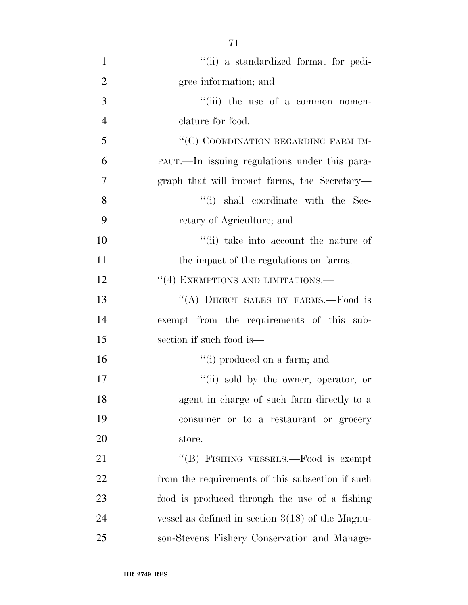| $\mathbf{1}$   | "(ii) a standardized format for pedi-              |
|----------------|----------------------------------------------------|
| $\overline{2}$ | gree information; and                              |
| 3              | "(iii) the use of a common nomen-                  |
| $\overline{4}$ | clature for food.                                  |
| 5              | "(C) COORDINATION REGARDING FARM IM-               |
| 6              | PACT.—In issuing regulations under this para-      |
| $\overline{7}$ | graph that will impact farms, the Secretary—       |
| 8              | "(i) shall coordinate with the Sec-                |
| 9              | retary of Agriculture; and                         |
| 10             | "(ii) take into account the nature of              |
| 11             | the impact of the regulations on farms.            |
| 12             | "(4) EXEMPTIONS AND LIMITATIONS.—                  |
| 13             | "(A) DIRECT SALES BY FARMS.—Food is                |
| 14             | exempt from the requirements of this sub-          |
| 15             | section if such food is—                           |
| 16             | "(i) produced on a farm; and                       |
| 17             | "(ii) sold by the owner, operator, or              |
| 18             | agent in charge of such farm directly to a         |
| 19             | consumer or to a restaurant or grocery             |
| 20             | store.                                             |
| 21             | "(B) FISHING VESSELS.—Food is exempt               |
| 22             | from the requirements of this subsection if such   |
| 23             | food is produced through the use of a fishing      |
| 24             | vessel as defined in section $3(18)$ of the Magnu- |
| 25             | son-Stevens Fishery Conservation and Manage-       |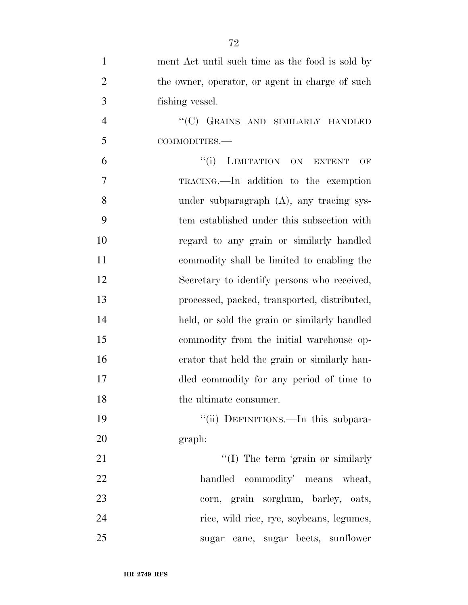| $\mathbf{1}$   | ment Act until such time as the food is sold by |
|----------------|-------------------------------------------------|
| $\overline{2}$ | the owner, operator, or agent in charge of such |
| 3              | fishing vessel.                                 |
| $\overline{4}$ | "(C) GRAINS AND SIMILARLY HANDLED               |
| 5              | COMMODITIES.-                                   |
| 6              | LIMITATION ON EXTENT<br>``(i)<br>OF             |
| $\overline{7}$ | TRACING.—In addition to the exemption           |
| 8              | under subparagraph $(A)$ , any tracing sys-     |
| 9              | tem established under this subsection with      |
| 10             | regard to any grain or similarly handled        |
| 11             | commodity shall be limited to enabling the      |
| 12             | Secretary to identify persons who received,     |
| 13             | processed, packed, transported, distributed,    |
| 14             | held, or sold the grain or similarly handled    |
| 15             | commodity from the initial warehouse op-        |
| 16             | erator that held the grain or similarly han-    |
| 17             | dled commodity for any period of time to        |
| 18             | the ultimate consumer.                          |
| 19             | "(ii) DEFINITIONS.—In this subpara-             |
| 20             | graph:                                          |
| 21             | $\lq\lq$ (I) The term 'grain or similarly       |
| 22             | handled<br>commodity' means wheat,              |
| 23             | corn, grain sorghum, barley, oats,              |
| 24             | rice, wild rice, rye, soybeans, legumes,        |
| 25             | sugar cane, sugar beets, sunflower              |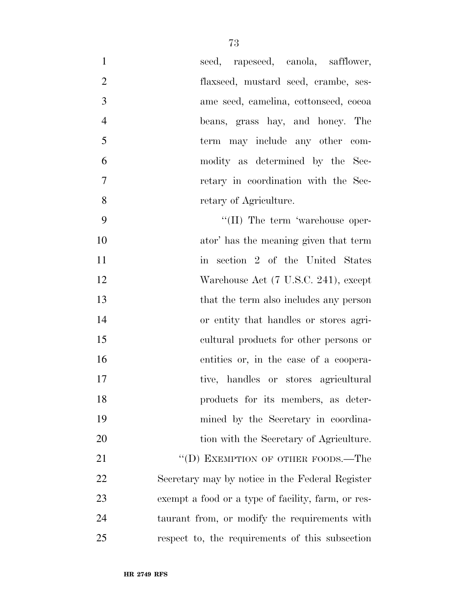| 1              | seed, rapeseed, canola, safflower,                 |
|----------------|----------------------------------------------------|
| $\overline{2}$ | flaxseed, mustard seed, crambe, ses-               |
| 3              | ame seed, camelina, cottonseed, cocoa              |
| $\overline{4}$ | beans, grass hay, and honey. The                   |
| 5              | term may include any other com-                    |
| 6              | modity as determined by the Sec-                   |
| $\tau$         | retary in coordination with the Sec-               |
| 8              | retary of Agriculture.                             |
| 9              | $\lq\lq$ (II) The term 'warehouse oper-            |
| 10             | ator' has the meaning given that term              |
| 11             | in section 2 of the United States                  |
| 12             | Warehouse Act (7 U.S.C. 241), except               |
| 13             | that the term also includes any person             |
| 14             | or entity that handles or stores agri-             |
| 15             | cultural products for other persons or             |
| 16             | entities or, in the case of a coopera-             |
| 17             | tive, handles or stores agricultural               |
| 18             | products for its members, as deter-                |
| 19             | mined by the Secretary in coordina-                |
| 20             | tion with the Secretary of Agriculture.            |
| 21             | "(D) EXEMPTION OF OTHER FOODS.—The                 |
| 22             | Secretary may by notice in the Federal Register    |
| 23             | exempt a food or a type of facility, farm, or res- |
| 24             | taurant from, or modify the requirements with      |
| 25             | respect to, the requirements of this subsection    |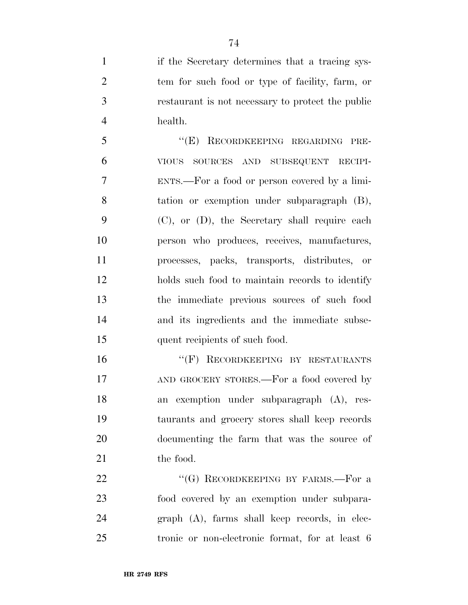if the Secretary determines that a tracing sys- tem for such food or type of facility, farm, or restaurant is not necessary to protect the public health.

 ''(E) RECORDKEEPING REGARDING PRE- VIOUS SOURCES AND SUBSEQUENT RECIPI- ENTS.—For a food or person covered by a limi- tation or exemption under subparagraph (B), (C), or (D), the Secretary shall require each person who produces, receives, manufactures, processes, packs, transports, distributes, or holds such food to maintain records to identify the immediate previous sources of such food and its ingredients and the immediate subse-15 quent recipients of such food.

16 "(F) RECORDKEEPING BY RESTAURANTS 17 AND GROCERY STORES.—For a food covered by an exemption under subparagraph (A), res- taurants and grocery stores shall keep records documenting the farm that was the source of 21 the food.

22 "(G) RECORDKEEPING BY FARMS.—For a food covered by an exemption under subpara- graph (A), farms shall keep records, in elec-tronic or non-electronic format, for at least 6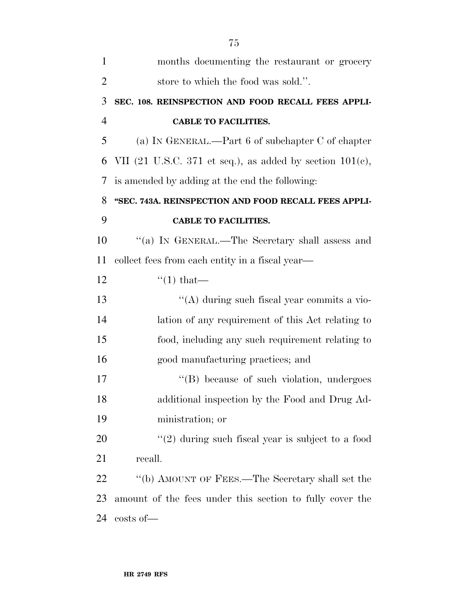| $\mathbf{1}$   | months documenting the restaurant or grocery                |
|----------------|-------------------------------------------------------------|
| $\overline{2}$ | store to which the food was sold.".                         |
| 3              | SEC. 108. REINSPECTION AND FOOD RECALL FEES APPLI-          |
| $\overline{4}$ | <b>CABLE TO FACILITIES.</b>                                 |
| 5              | (a) IN GENERAL.—Part 6 of subchapter $C$ of chapter         |
| 6              | VII (21 U.S.C. 371 et seq.), as added by section $101(e)$ , |
| 7              | is amended by adding at the end the following:              |
| 8              | "SEC. 743A. REINSPECTION AND FOOD RECALL FEES APPLI-        |
| 9              | <b>CABLE TO FACILITIES.</b>                                 |
| 10             | "(a) IN GENERAL.—The Secretary shall assess and             |
| 11             | collect fees from each entity in a fiscal year—             |
| 12             | $\lq(1)$ that—                                              |
| 13             | "(A) during such fiscal year commits a vio-                 |
| 14             | lation of any requirement of this Act relating to           |
| 15             | food, including any such requirement relating to            |
| 16             | good manufacturing practices; and                           |
| 17             | "(B) because of such violation, undergoes                   |
| 18             | additional inspection by the Food and Drug Ad-              |
| 19             | ministration; or                                            |
| 20             | $\lq(2)$ during such fiscal year is subject to a food       |
| 21             | recall.                                                     |
| 22             | "(b) AMOUNT OF FEES.—The Secretary shall set the            |
| 23             | amount of the fees under this section to fully cover the    |
| 24             | $costs$ of $-$                                              |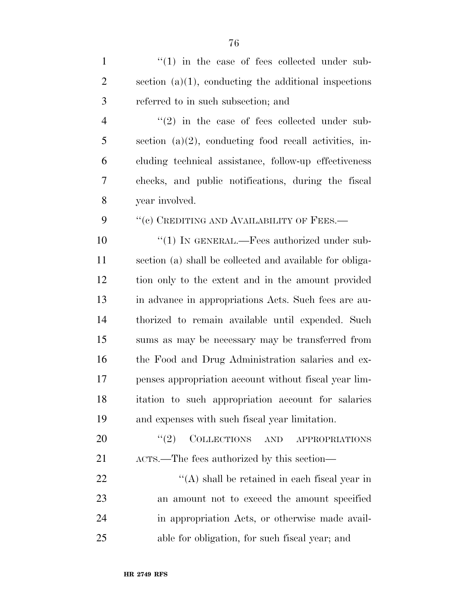| $\mathbf{1}$   | $\lq(1)$ in the case of fees collected under sub-             |
|----------------|---------------------------------------------------------------|
| $\overline{2}$ | section $(a)(1)$ , conducting the additional inspections      |
| 3              | referred to in such subsection; and                           |
| $\overline{4}$ | $\cdot\cdot\cdot(2)$ in the case of fees collected under sub- |
| 5              | section $(a)(2)$ , conducting food recall activities, in-     |
| 6              | cluding technical assistance, follow-up effectiveness         |
| 7              | checks, and public notifications, during the fiscal           |
| 8              | year involved.                                                |
| 9              | "(c) CREDITING AND AVAILABILITY OF FEES.-                     |
| 10             | " $(1)$ IN GENERAL.—Fees authorized under sub-                |
| 11             | section (a) shall be collected and available for obliga-      |
| 12             | tion only to the extent and in the amount provided            |
| 13             | in advance in appropriations Acts. Such fees are au-          |
| 14             | thorized to remain available until expended. Such             |
| 15             | sums as may be necessary may be transferred from              |
| 16             | the Food and Drug Administration salaries and ex-             |
| 17             | penses appropriation account without fiscal year lim-         |
| 18             | itation to such appropriation account for salaries            |
| 19             | and expenses with such fiscal year limitation.                |
| 20             | COLLECTIONS AND<br>(2)<br>APPROPRIATIONS                      |
| 21             | ACTS.—The fees authorized by this section—                    |
| 22             | $\lq\lq$ shall be retained in each fiscal year in             |
| 23             | an amount not to exceed the amount specified                  |
|                |                                                               |

 in appropriation Acts, or otherwise made avail-able for obligation, for such fiscal year; and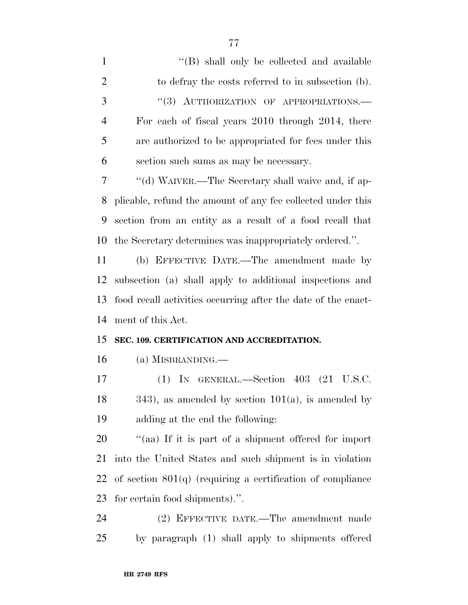| $\mathbf{1}$   | "(B) shall only be collected and available                    |
|----------------|---------------------------------------------------------------|
| $\overline{2}$ | to defray the costs referred to in subsection (b).            |
| 3              | "(3) AUTHORIZATION OF APPROPRIATIONS.-                        |
| $\overline{4}$ | For each of fiscal years 2010 through 2014, there             |
| 5              | are authorized to be appropriated for fees under this         |
| 6              | section such sums as may be necessary.                        |
| 7              | "(d) WAIVER.—The Secretary shall waive and, if ap-            |
| 8              | plicable, refund the amount of any fee collected under this   |
| 9              | section from an entity as a result of a food recall that      |
| 10             | the Secretary determines was inappropriately ordered.".       |
| 11             | (b) EFFECTIVE DATE.—The amendment made by                     |
| 12             | subsection (a) shall apply to additional inspections and      |
| 13             | food recall activities occurring after the date of the enact- |
|                |                                                               |
| 14             | ment of this Act.                                             |
| 15             | SEC. 109. CERTIFICATION AND ACCREDITATION.                    |
| 16             | $(a)$ MISBRANDING.—                                           |
| 17             | $(1)$ IN GENERAL.—Section 403 $(21 \text{ U.S.C.})$           |
| 18             | $(343)$ , as amended by section $101(a)$ , is amended by      |
| 19             | adding at the end the following:                              |
| 20             | "(aa) If it is part of a shipment offered for import          |
| 21             | into the United States and such shipment is in violation      |
| 22             | of section $801(q)$ (requiring a certification of compliance  |
| 23             | for certain food shipments).".                                |

by paragraph (1) shall apply to shipments offered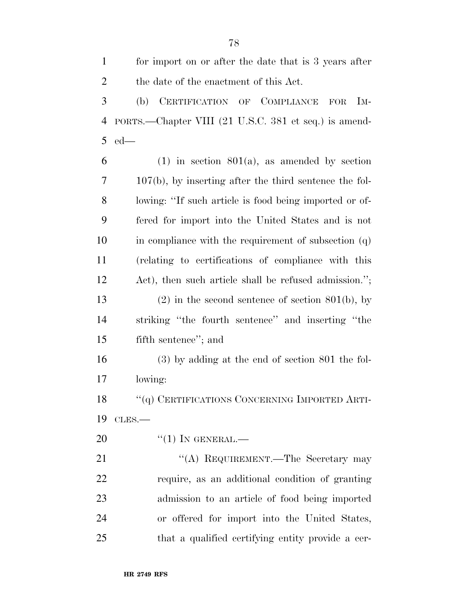for import on or after the date that is 3 years after the date of the enactment of this Act. (b) CERTIFICATION OF COMPLIANCE FOR IM- PORTS.—Chapter VIII (21 U.S.C. 381 et seq.) is amend-ed—

 $6 \t(1)$  in section  $801(a)$ , as amended by section 107(b), by inserting after the third sentence the fol- lowing: ''If such article is food being imported or of- fered for import into the United States and is not in compliance with the requirement of subsection (q) (relating to certifications of compliance with this Act), then such article shall be refused admission.''; 13 (2) in the second sentence of section 801(b), by striking ''the fourth sentence'' and inserting ''the fifth sentence''; and

 (3) by adding at the end of section 801 the fol-lowing:

18 "(q) CERTIFICATIONS CONCERNING IMPORTED ARTI-CLES.—

20  $((1)$  In GENERAL.—

21 "(A) REQUIREMENT.—The Secretary may require, as an additional condition of granting admission to an article of food being imported or offered for import into the United States, that a qualified certifying entity provide a cer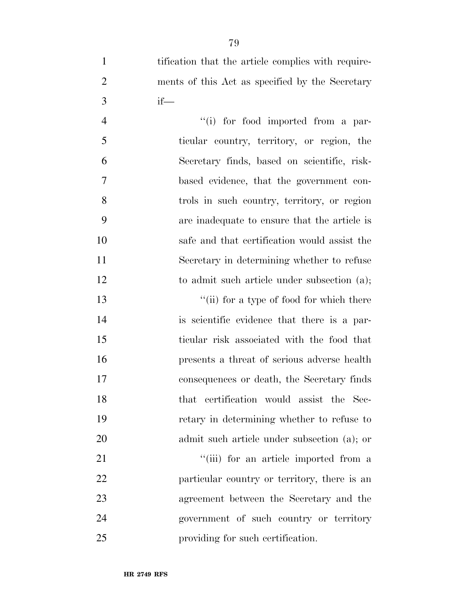1 tification that the article complies with require- ments of this Act as specified by the Secretary if—

4 ''(i) for food imported from a par- ticular country, territory, or region, the Secretary finds, based on scientific, risk- based evidence, that the government con- trols in such country, territory, or region are inadequate to ensure that the article is safe and that certification would assist the Secretary in determining whether to refuse 12 to admit such article under subsection (a);

13 ''(ii) for a type of food for which there is scientific evidence that there is a par- ticular risk associated with the food that presents a threat of serious adverse health consequences or death, the Secretary finds that certification would assist the Sec- retary in determining whether to refuse to admit such article under subsection (a); or

21 ''(iii) for an article imported from a 22 particular country or territory, there is an agreement between the Secretary and the government of such country or territory providing for such certification.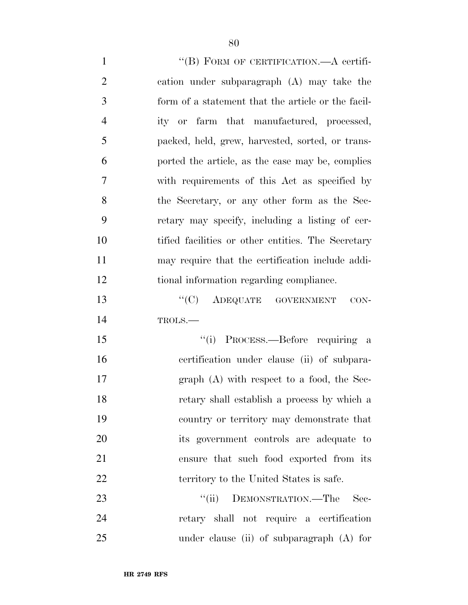1 "(B) FORM OF CERTIFICATION.—A certifi- cation under subparagraph (A) may take the form of a statement that the article or the facil- ity or farm that manufactured, processed, packed, held, grew, harvested, sorted, or trans- ported the article, as the case may be, complies with requirements of this Act as specified by the Secretary, or any other form as the Sec- retary may specify, including a listing of cer- tified facilities or other entities. The Secretary may require that the certification include addi- tional information regarding compliance. 13 "(C) ADEQUATE GOVERNMENT CON- TROLS.— ''(i) PROCESS.—Before requiring a certification under clause (ii) of subpara- graph (A) with respect to a food, the Sec- retary shall establish a process by which a country or territory may demonstrate that its government controls are adequate to ensure that such food exported from its 22 territory to the United States is safe. 23 ""(ii) DEMONSTRATION.—The Sec-retary shall not require a certification

under clause (ii) of subparagraph (A) for

**HR 2749 RFS**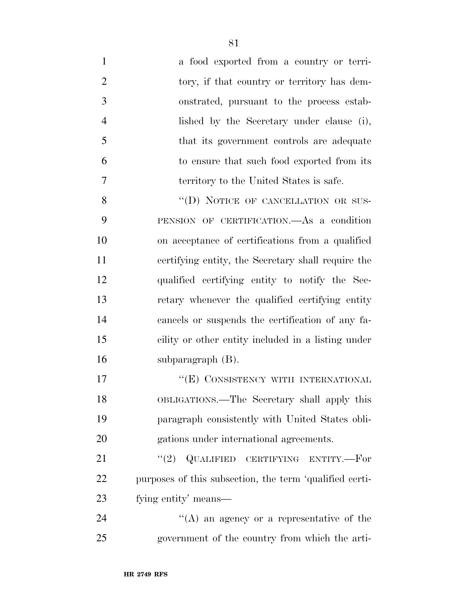a food exported from a country or terri-2 tory, if that country or territory has dem- onstrated, pursuant to the process estab- lished by the Secretary under clause (i), that its government controls are adequate to ensure that such food exported from its territory to the United States is safe. 8 "(D) NOTICE OF CANCELLATION OR SUS-

 PENSION OF CERTIFICATION.—As a condition on acceptance of certifications from a qualified certifying entity, the Secretary shall require the qualified certifying entity to notify the Sec- retary whenever the qualified certifying entity cancels or suspends the certification of any fa- cility or other entity included in a listing under subparagraph (B).

17 "
(E) CONSISTENCY WITH INTERNATIONAL OBLIGATIONS.—The Secretary shall apply this paragraph consistently with United States obli-gations under international agreements.

21 "(2) QUALIFIED CERTIFYING ENTITY.—For purposes of this subsection, the term 'qualified certi-fying entity' means—

24  $\langle A \rangle$  an agency or a representative of the government of the country from which the arti-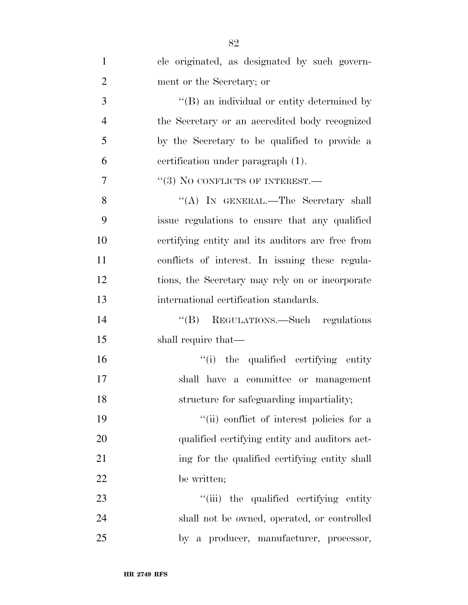| $\mathbf{1}$   | cle originated, as designated by such govern-      |
|----------------|----------------------------------------------------|
| $\overline{2}$ | ment or the Secretary; or                          |
| 3              | $\lq\lq (B)$ an individual or entity determined by |
| $\overline{4}$ | the Secretary or an accredited body recognized     |
| 5              | by the Secretary to be qualified to provide a      |
| 6              | certification under paragraph (1).                 |
| $\overline{7}$ | $``(3)$ No CONFLICTS OF INTEREST.—                 |
| 8              | "(A) IN GENERAL.—The Secretary shall               |
| 9              | issue regulations to ensure that any qualified     |
| 10             | certifying entity and its auditors are free from   |
| 11             | conflicts of interest. In issuing these regula-    |
| 12             | tions, the Secretary may rely on or incorporate    |
| 13             | international certification standards.             |
| 14             | "(B) REGULATIONS.—Such regulations                 |
| 15             | shall require that—                                |
| 16             | "(i) the qualified certifying entity"              |
| 17             | shall have a committee or management               |
| 18             | structure for safeguarding impartiality;           |
| 19             | "(ii) conflict of interest policies for a          |
| 20             | qualified certifying entity and auditors act-      |
| 21             | ing for the qualified certifying entity shall      |
| 22             | be written;                                        |
| 23             | "(iii) the qualified certifying entity             |
| 24             | shall not be owned, operated, or controlled        |
| 25             | by a producer, manufacturer, processor,            |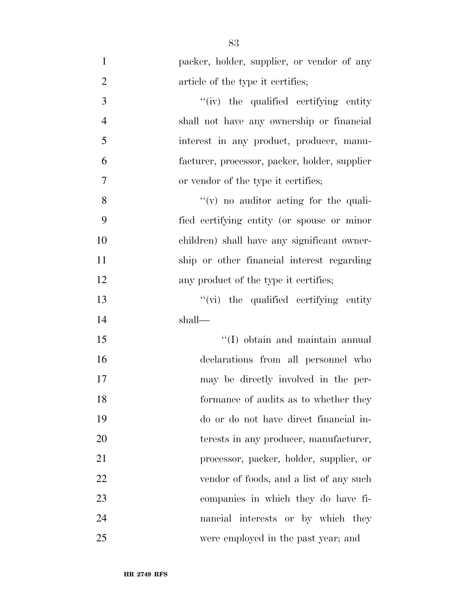| $\mathbf{1}$   | packer, holder, supplier, or vendor of any    |
|----------------|-----------------------------------------------|
| $\overline{2}$ | article of the type it certifies;             |
| 3              | "(iv) the qualified certifying entity         |
| $\overline{4}$ | shall not have any ownership or financial     |
| 5              | interest in any product, producer, manu-      |
| 6              | facturer, processor, packer, holder, supplier |
| $\tau$         | or vendor of the type it certifies;           |
| 8              | $f'(v)$ no auditor acting for the quali-      |
| 9              | fied certifying entity (or spouse or minor    |
| 10             | children) shall have any significant owner-   |
| 11             | ship or other financial interest regarding    |
| 12             | any product of the type it certifies;         |
| 13             | "(vi) the qualified certifying entity         |
| 14             | shall—                                        |
| 15             | "(I) obtain and maintain annual               |
| 16             | declarations from all personnel who           |
| 17             | may be directly involved in the per-          |
| 18             | formance of audits as to whether they         |
| 19             | do or do not have direct financial in-        |
| 20             | terests in any producer, manufacturer,        |
| 21             | processor, packer, holder, supplier, or       |
| 22             | vendor of foods, and a list of any such       |
| 23             | companies in which they do have fi-           |
| 24             | nancial interests or by which they            |
| 25             | were employed in the past year; and           |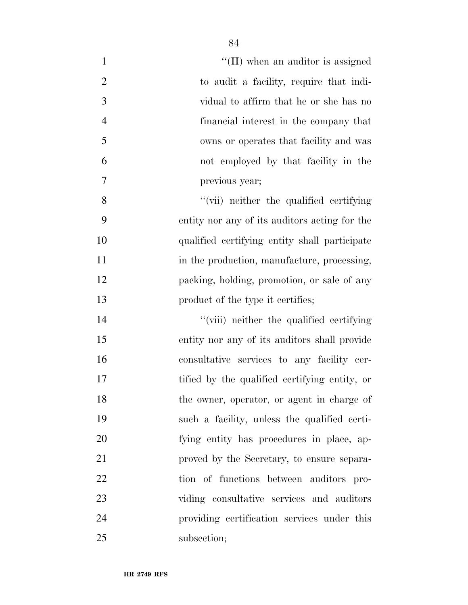| $\mathbf{1}$   | $\lq\lq$ (II) when an auditor is assigned     |
|----------------|-----------------------------------------------|
| $\overline{2}$ | to audit a facility, require that indi-       |
| 3              | vidual to affirm that he or she has no        |
| $\overline{4}$ | financial interest in the company that        |
| 5              | owns or operates that facility and was        |
| 6              | not employed by that facility in the          |
| 7              | previous year;                                |
| 8              | "(vii) neither the qualified certifying       |
| 9              | entity nor any of its auditors acting for the |
| 10             | qualified certifying entity shall participate |
| 11             | in the production, manufacture, processing,   |
| 12             | packing, holding, promotion, or sale of any   |
| 13             | product of the type it certifies;             |
| 14             | "(viii) neither the qualified certifying      |
| 15             | entity nor any of its auditors shall provide  |
| 16             | consultative services to any facility cer-    |
| 17             | tified by the qualified certifying entity, or |
| 18             | the owner, operator, or agent in charge of    |
| 19             | such a facility, unless the qualified certi-  |
| 20             | fying entity has procedures in place, ap-     |
| 21             | proved by the Secretary, to ensure separa-    |
| 22             | tion of functions between auditors pro-       |
| 23             | viding consultative services and auditors     |
| 24             | providing certification services under this   |
| 25             | subsection;                                   |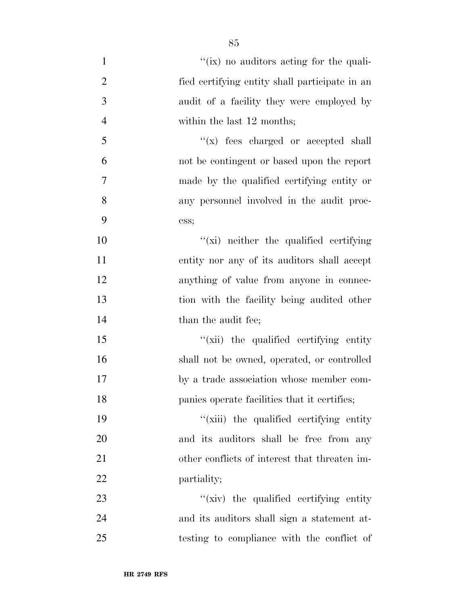| $\mathbf{1}$   | "(ix) no auditors acting for the quali-        |
|----------------|------------------------------------------------|
| $\overline{2}$ | fied certifying entity shall participate in an |
| $\mathfrak{Z}$ | audit of a facility they were employed by      |
| $\overline{4}$ | within the last 12 months;                     |
| 5              | $f(x)$ fees charged or accepted shall          |
| 6              | not be contingent or based upon the report     |
| $\overline{7}$ | made by the qualified certifying entity or     |
| 8              | any personnel involved in the audit proc-      |
| 9              | ess;                                           |
| 10             | "(xi) neither the qualified certifying         |
| 11             | entity nor any of its auditors shall accept    |
| 12             | anything of value from anyone in connec-       |
| 13             | tion with the facility being audited other     |
| 14             | than the audit fee;                            |
| 15             | "(xii) the qualified certifying entity"        |
| 16             | shall not be owned, operated, or controlled    |
| 17             | by a trade association whose member com-       |
| 18             | panies operate facilities that it certifies;   |
| 19             | "(xiii) the qualified certifying entity"       |
| 20             | and its auditors shall be free from any        |
| 21             | other conflicts of interest that threaten im-  |
| 22             | partiality;                                    |
| 23             | "(xiv) the qualified certifying entity"        |
| 24             | and its auditors shall sign a statement at-    |
| 25             | testing to compliance with the conflict of     |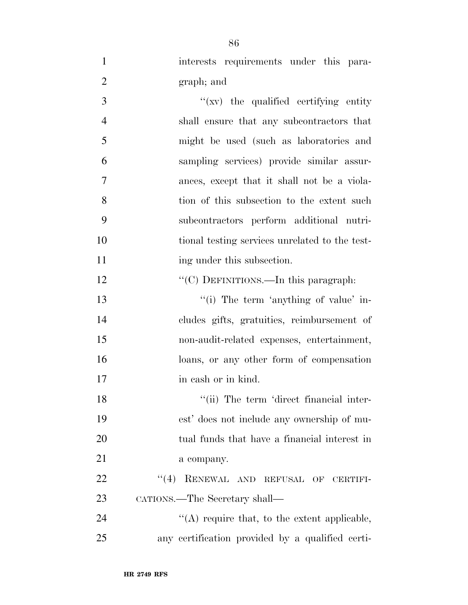interests requirements under this para-graph; and

 ''(xv) the qualified certifying entity shall ensure that any subcontractors that might be used (such as laboratories and sampling services) provide similar assur- ances, except that it shall not be a viola- tion of this subsection to the extent such subcontractors perform additional nutri- tional testing services unrelated to the test-11 ing under this subsection.

12 "'(C) DEFINITIONS.—In this paragraph:

 $\frac{1}{2}$  The term 'anything of value' in- cludes gifts, gratuities, reimbursement of non-audit-related expenses, entertainment, loans, or any other form of compensation 17 in cash or in kind.

18 ''(ii) The term 'direct financial inter- est' does not include any ownership of mu- tual funds that have a financial interest in a company.

22 "(4) RENEWAL AND REFUSAL OF CERTIFI-CATIONS.—The Secretary shall—

24  $\langle A \rangle$  require that, to the extent applicable, any certification provided by a qualified certi-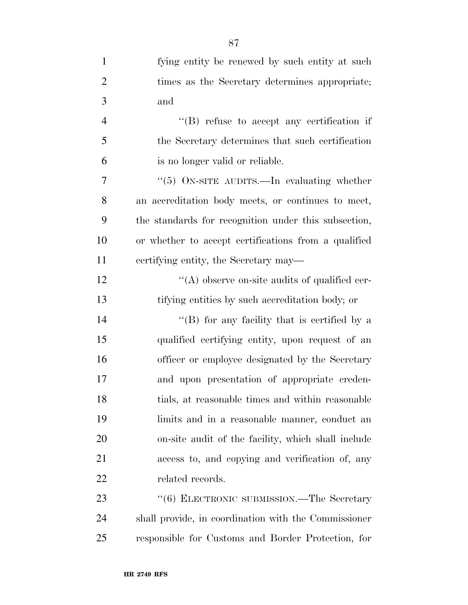| $\mathbf{1}$   | fying entity be renewed by such entity at such       |
|----------------|------------------------------------------------------|
| $\overline{2}$ | times as the Secretary determines appropriate;       |
| 3              | and                                                  |
| $\overline{4}$ | "(B) refuse to accept any certification if           |
| 5              | the Secretary determines that such certification     |
| 6              | is no longer valid or reliable.                      |
| $\tau$         | " $(5)$ ON-SITE AUDITS.—In evaluating whether        |
| 8              | an accreditation body meets, or continues to meet,   |
| 9              | the standards for recognition under this subsection, |
| 10             | or whether to accept certifications from a qualified |
| 11             | certifying entity, the Secretary may—                |
| 12             | $\lq\lq$ observe on-site audits of qualified cer-    |
| 13             | tifying entities by such accreditation body; or      |
| 14             | "(B) for any facility that is certified by a         |
| 15             | qualified certifying entity, upon request of an      |
| 16             | officer or employee designated by the Secretary      |
| 17             | and upon presentation of appropriate creden-         |
| 18             | tials, at reasonable times and within reasonable     |
| 19             | limits and in a reasonable manner, conduct an        |
| 20             | on-site audit of the facility, which shall include   |
| 21             | access to, and copying and verification of, any      |
| 22             | related records.                                     |
| 23             | "(6) ELECTRONIC SUBMISSION.—The Secretary            |
| 24             | shall provide, in coordination with the Commissioner |
| 25             | responsible for Customs and Border Protection, for   |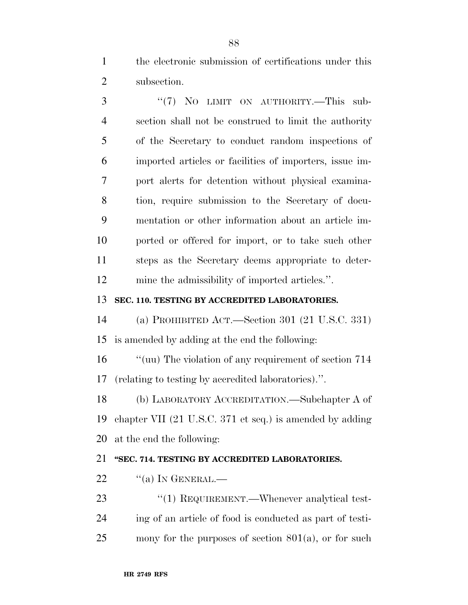the electronic submission of certifications under this subsection.

3 "(7) NO LIMIT ON AUTHORITY.—This sub- section shall not be construed to limit the authority of the Secretary to conduct random inspections of imported articles or facilities of importers, issue im- port alerts for detention without physical examina- tion, require submission to the Secretary of docu- mentation or other information about an article im- ported or offered for import, or to take such other steps as the Secretary deems appropriate to deter-mine the admissibility of imported articles.''.

### **SEC. 110. TESTING BY ACCREDITED LABORATORIES.**

 (a) PROHIBITED ACT.—Section 301 (21 U.S.C. 331) is amended by adding at the end the following:

 ''(uu) The violation of any requirement of section 714 (relating to testing by accredited laboratories).''.

 (b) LABORATORY ACCREDITATION.—Subchapter A of chapter VII (21 U.S.C. 371 et seq.) is amended by adding at the end the following:

### **''SEC. 714. TESTING BY ACCREDITED LABORATORIES.**

"(a) In GENERAL.—

23 "(1) REQUIREMENT.—Whenever analytical test- ing of an article of food is conducted as part of testi-mony for the purposes of section 801(a), or for such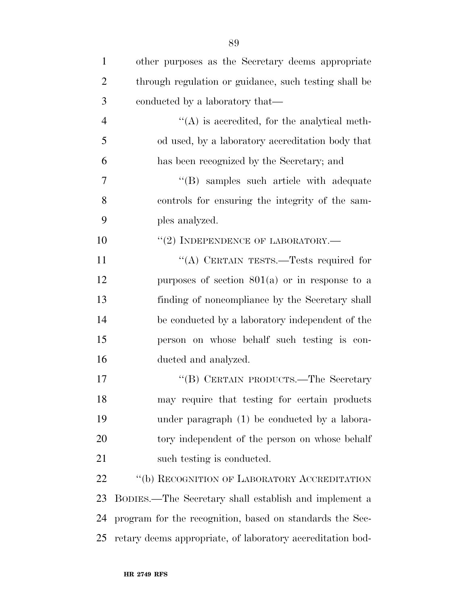| $\mathbf{1}$   | other purposes as the Secretary deems appropriate          |
|----------------|------------------------------------------------------------|
| $\overline{2}$ | through regulation or guidance, such testing shall be      |
| 3              | conducted by a laboratory that—                            |
| $\overline{4}$ | $\lq\lq$ is accredited, for the analytical meth-           |
| 5              | od used, by a laboratory accreditation body that           |
| 6              | has been recognized by the Secretary; and                  |
| 7              | "(B) samples such article with adequate                    |
| 8              | controls for ensuring the integrity of the sam-            |
| 9              | ples analyzed.                                             |
| 10             | $``(2)$ INDEPENDENCE OF LABORATORY.—                       |
| 11             | "(A) CERTAIN TESTS.—Tests required for                     |
| 12             | purposes of section $801(a)$ or in response to a           |
| 13             | finding of noncompliance by the Secretary shall            |
| 14             | be conducted by a laboratory independent of the            |
| 15             | person on whose behalf such testing is con-                |
| 16             | ducted and analyzed.                                       |
| 17             | "(B) CERTAIN PRODUCTS.—The Secretary                       |
| 18             | may require that testing for certain products              |
| 19             | under paragraph (1) be conducted by a labora-              |
| 20             | tory independent of the person on whose behalf             |
| 21             | such testing is conducted.                                 |
| 22             | "(b) RECOGNITION OF LABORATORY ACCREDITATION               |
| 23             | BODIES.—The Secretary shall establish and implement a      |
| 24             | program for the recognition, based on standards the Sec-   |
| 25             | retary deems appropriate, of laboratory accreditation bod- |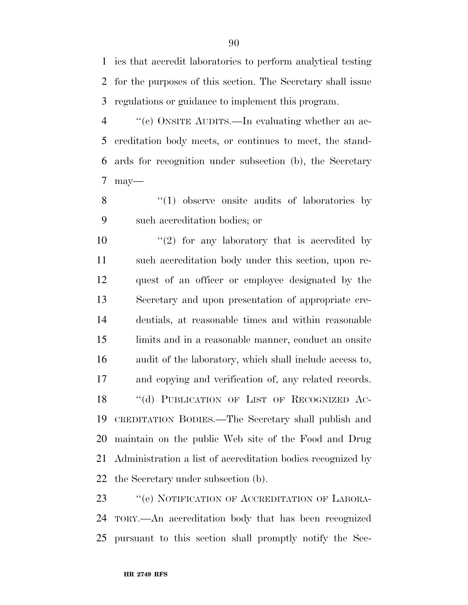ies that accredit laboratories to perform analytical testing for the purposes of this section. The Secretary shall issue regulations or guidance to implement this program.

 ''(c) ONSITE AUDITS.—In evaluating whether an ac- creditation body meets, or continues to meet, the stand- ards for recognition under subsection (b), the Secretary may—

8 "(1) observe onsite audits of laboratories by such accreditation bodies; or

 $\frac{1}{2}$  for any laboratory that is accredited by such accreditation body under this section, upon re- quest of an officer or employee designated by the Secretary and upon presentation of appropriate cre- dentials, at reasonable times and within reasonable limits and in a reasonable manner, conduct an onsite audit of the laboratory, which shall include access to, and copying and verification of, any related records. 18 "(d) PUBLICATION OF LIST OF RECOGNIZED AC- CREDITATION BODIES.—The Secretary shall publish and maintain on the public Web site of the Food and Drug Administration a list of accreditation bodies recognized by the Secretary under subsection (b).

23 "(e) NOTIFICATION OF ACCREDITATION OF LABORA- TORY.—An accreditation body that has been recognized pursuant to this section shall promptly notify the Sec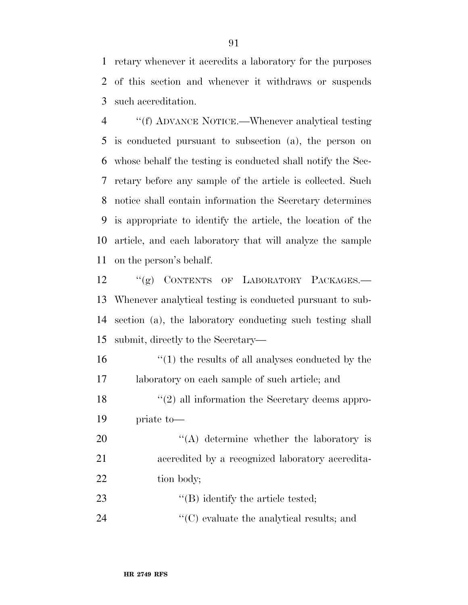retary whenever it accredits a laboratory for the purposes of this section and whenever it withdraws or suspends such accreditation.

 ''(f) ADVANCE NOTICE.—Whenever analytical testing is conducted pursuant to subsection (a), the person on whose behalf the testing is conducted shall notify the Sec- retary before any sample of the article is collected. Such notice shall contain information the Secretary determines is appropriate to identify the article, the location of the article, and each laboratory that will analyze the sample on the person's behalf.

12 "(g) CONTENTS OF LABORATORY PACKAGES.— Whenever analytical testing is conducted pursuant to sub- section (a), the laboratory conducting such testing shall submit, directly to the Secretary—

| 16 | $\cdot$ (1) the results of all analyses conducted by the |
|----|----------------------------------------------------------|
| 17 | laboratory on each sample of such article; and           |
| 18 | $\lq(2)$ all information the Secretary deems appro-      |
| 19 | priate to-                                               |
| 20 | $\lq\lq$ determine whether the laboratory is             |
| 21 | accredited by a recognized laboratory accredita-         |
| 22 | tion body;                                               |
| 23 | $\lq\lq$ ) identify the article tested;                  |
| 24 | $\lq\lq$ evaluate the analytical results; and            |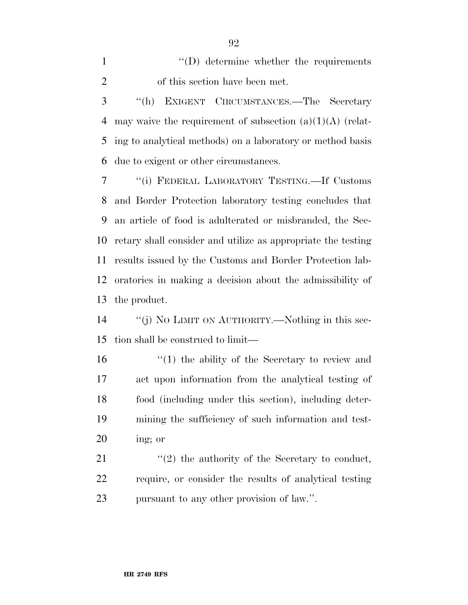1  $''(D)$  determine whether the requirements of this section have been met.

 ''(h) EXIGENT CIRCUMSTANCES.—The Secretary may waive the requirement of subsection (a)(1)(A) (relat- ing to analytical methods) on a laboratory or method basis due to exigent or other circumstances.

 ''(i) FEDERAL LABORATORY TESTING.—If Customs and Border Protection laboratory testing concludes that an article of food is adulterated or misbranded, the Sec- retary shall consider and utilize as appropriate the testing results issued by the Customs and Border Protection lab- oratories in making a decision about the admissibility of the product.

 ''(j) NO LIMIT ON AUTHORITY.—Nothing in this sec-tion shall be construed to limit—

16 ''(1) the ability of the Secretary to review and act upon information from the analytical testing of food (including under this section), including deter- mining the sufficiency of such information and test-ing; or

21  $\langle \langle 2 \rangle$  the authority of the Secretary to conduct, require, or consider the results of analytical testing pursuant to any other provision of law.''.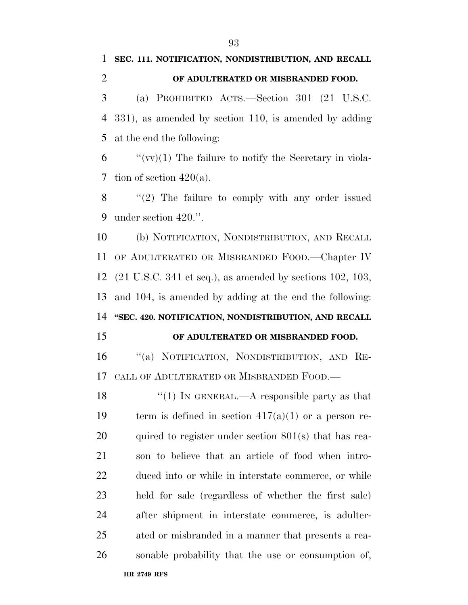# **SEC. 111. NOTIFICATION, NONDISTRIBUTION, AND RECALL OF ADULTERATED OR MISBRANDED FOOD.**

 (a) PROHIBITED ACTS.—Section 301 (21 U.S.C. 331), as amended by section 110, is amended by adding at the end the following:

 "'(vv)(1) The failure to notify the Secretary in viola-7 tion of section  $420(a)$ .

 ''(2) The failure to comply with any order issued under section 420.''.

 (b) NOTIFICATION, NONDISTRIBUTION, AND RECALL OF ADULTERATED OR MISBRANDED FOOD.—Chapter IV (21 U.S.C. 341 et seq.), as amended by sections 102, 103, and 104, is amended by adding at the end the following: **''SEC. 420. NOTIFICATION, NONDISTRIBUTION, AND RECALL** 

#### **OF ADULTERATED OR MISBRANDED FOOD.**

 ''(a) NOTIFICATION, NONDISTRIBUTION, AND RE-CALL OF ADULTERATED OR MISBRANDED FOOD.—

 $\frac{1}{2}$  (1) In GENERAL.—A responsible party as that 19 term is defined in section  $417(a)(1)$  or a person re- quired to register under section 801(s) that has rea- son to believe that an article of food when intro- duced into or while in interstate commerce, or while held for sale (regardless of whether the first sale) after shipment in interstate commerce, is adulter- ated or misbranded in a manner that presents a rea-sonable probability that the use or consumption of,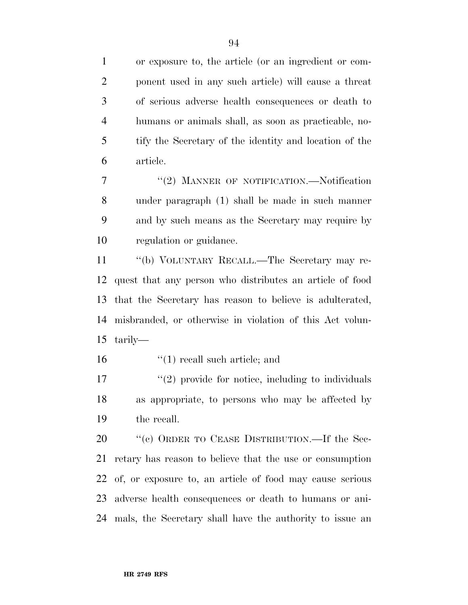or exposure to, the article (or an ingredient or com- ponent used in any such article) will cause a threat of serious adverse health consequences or death to humans or animals shall, as soon as practicable, no- tify the Secretary of the identity and location of the article.

7 "(2) MANNER OF NOTIFICATION.—Notification under paragraph (1) shall be made in such manner and by such means as the Secretary may require by regulation or guidance.

 ''(b) VOLUNTARY RECALL.—The Secretary may re- quest that any person who distributes an article of food that the Secretary has reason to believe is adulterated, misbranded, or otherwise in violation of this Act volun-tarily—

16 ''(1) recall such article; and

 $\frac{17}{2}$  ''(2) provide for notice, including to individuals as appropriate, to persons who may be affected by the recall.

20 "(c) ORDER TO CEASE DISTRIBUTION.—If the Sec- retary has reason to believe that the use or consumption of, or exposure to, an article of food may cause serious adverse health consequences or death to humans or ani-mals, the Secretary shall have the authority to issue an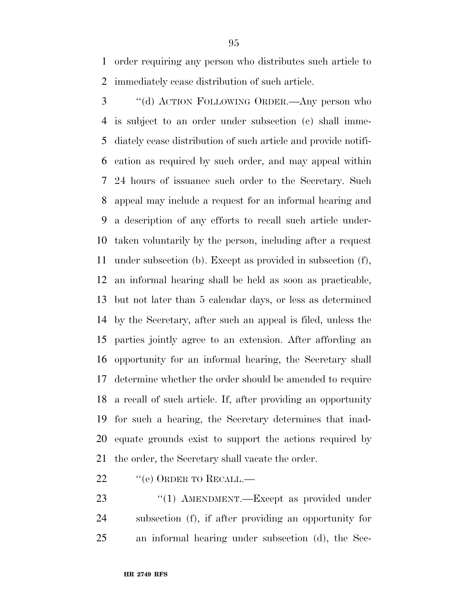order requiring any person who distributes such article to immediately cease distribution of such article.

 ''(d) ACTION FOLLOWING ORDER.—Any person who is subject to an order under subsection (c) shall imme- diately cease distribution of such article and provide notifi- cation as required by such order, and may appeal within 24 hours of issuance such order to the Secretary. Such appeal may include a request for an informal hearing and a description of any efforts to recall such article under- taken voluntarily by the person, including after a request under subsection (b). Except as provided in subsection (f), an informal hearing shall be held as soon as practicable, but not later than 5 calendar days, or less as determined by the Secretary, after such an appeal is filed, unless the parties jointly agree to an extension. After affording an opportunity for an informal hearing, the Secretary shall determine whether the order should be amended to require a recall of such article. If, after providing an opportunity for such a hearing, the Secretary determines that inad- equate grounds exist to support the actions required by the order, the Secretary shall vacate the order.

- 22 "(e) ORDER TO RECALL.—
- 23 "(1) AMENDMENT.—Except as provided under subsection (f), if after providing an opportunity for an informal hearing under subsection (d), the Sec-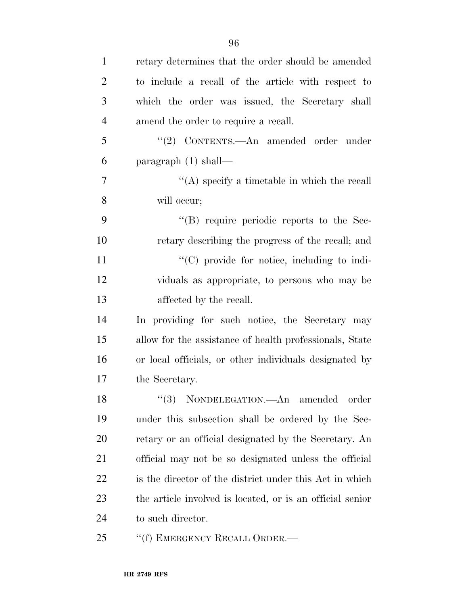| $\mathbf{1}$   | retary determines that the order should be amended        |
|----------------|-----------------------------------------------------------|
| $\overline{2}$ | to include a recall of the article with respect to        |
| 3              | which the order was issued, the Secretary shall           |
| 4              | amend the order to require a recall.                      |
| 5              | "(2) CONTENTS.—An amended order under                     |
| 6              | paragraph $(1)$ shall—                                    |
| 7              | "(A) specify a timetable in which the recall              |
| 8              | will occur;                                               |
| 9              | $\lq\lq$ require periodic reports to the Sec-             |
| 10             | retary describing the progress of the recall; and         |
| 11             | "(C) provide for notice, including to indi-               |
| 12             | viduals as appropriate, to persons who may be             |
| 13             | affected by the recall.                                   |
| 14             | In providing for such notice, the Secretary may           |
| 15             | allow for the assistance of health professionals, State   |
| 16             | or local officials, or other individuals designated by    |
| 17             | the Secretary.                                            |
| 18             | "(3) NONDELEGATION.—An amended order                      |
| 19             | under this subsection shall be ordered by the Sec-        |
| 20             | retary or an official designated by the Secretary. An     |
| 21             | official may not be so designated unless the official     |
| 22             | is the director of the district under this Act in which   |
| 23             | the article involved is located, or is an official senior |
| 24             | to such director.                                         |
| 25             | "(f) EMERGENCY RECALL ORDER.—                             |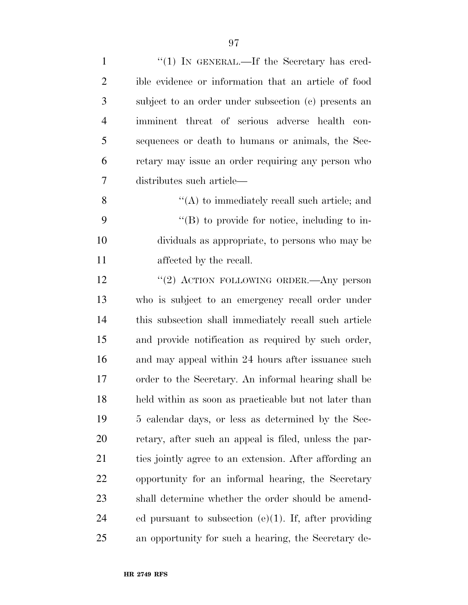| $\mathbf{1}$   | " $(1)$ IN GENERAL.—If the Secretary has cred-           |
|----------------|----------------------------------------------------------|
| $\overline{2}$ | ible evidence or information that an article of food     |
| 3              | subject to an order under subsection (c) presents an     |
| $\overline{4}$ | imminent threat of serious adverse health con-           |
| 5              | sequences or death to humans or animals, the Sec-        |
| 6              | retary may issue an order requiring any person who       |
| 7              | distributes such article—                                |
| 8              | $\lq\lq$ to immediately recall such article; and         |
| 9              | $\lq\lq (B)$ to provide for notice, including to in-     |
| 10             | dividuals as appropriate, to persons who may be          |
| 11             | affected by the recall.                                  |
| 12             | "(2) ACTION FOLLOWING ORDER.—Any person                  |
| 13             | who is subject to an emergency recall order under        |
| 14             | this subsection shall immediately recall such article    |
| 15             | and provide notification as required by such order,      |
| 16             | and may appeal within 24 hours after issuance such       |
| 17             | order to the Secretary. An informal hearing shall be     |
| 18             | held within as soon as practicable but not later than    |
| 19             | 5 calendar days, or less as determined by the Sec-       |
| 20             | retary, after such an appeal is filed, unless the par-   |
| 21             | ties jointly agree to an extension. After affording an   |
| 22             | opportunity for an informal hearing, the Secretary       |
| 23             | shall determine whether the order should be amend-       |
| 24             | ed pursuant to subsection $(e)(1)$ . If, after providing |
| 25             | an opportunity for such a hearing, the Secretary de-     |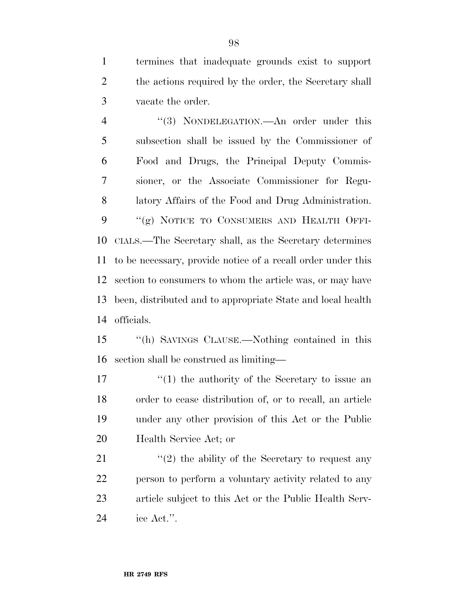termines that inadequate grounds exist to support 2 the actions required by the order, the Secretary shall vacate the order.

4 "(3) NONDELEGATION.—An order under this subsection shall be issued by the Commissioner of Food and Drugs, the Principal Deputy Commis- sioner, or the Associate Commissioner for Regu- latory Affairs of the Food and Drug Administration. 9 "(g) NOTICE TO CONSUMERS AND HEALTH OFFI- CIALS.—The Secretary shall, as the Secretary determines to be necessary, provide notice of a recall order under this section to consumers to whom the article was, or may have been, distributed and to appropriate State and local health officials.

 ''(h) SAVINGS CLAUSE.—Nothing contained in this section shall be construed as limiting—

 $\frac{1}{2}$  (1) the authority of the Secretary to issue an order to cease distribution of, or to recall, an article under any other provision of this Act or the Public Health Service Act; or

 $\langle \langle 2 \rangle$  the ability of the Secretary to request any person to perform a voluntary activity related to any article subject to this Act or the Public Health Serv-ice Act.''.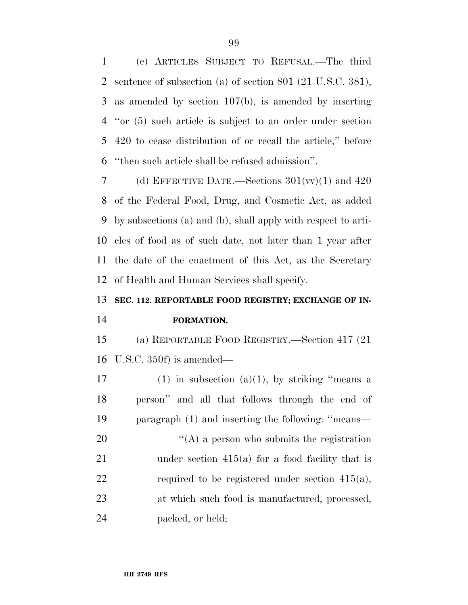(c) ARTICLES SUBJECT TO REFUSAL.—The third sentence of subsection (a) of section 801 (21 U.S.C. 381), as amended by section 107(b), is amended by inserting ''or (5) such article is subject to an order under section 420 to cease distribution of or recall the article,'' before ''then such article shall be refused admission''.

7 (d) EFFECTIVE DATE.—Sections  $301(w)(1)$  and  $420$  of the Federal Food, Drug, and Cosmetic Act, as added by subsections (a) and (b), shall apply with respect to arti- cles of food as of such date, not later than 1 year after the date of the enactment of this Act, as the Secretary of Health and Human Services shall specify.

# **SEC. 112. REPORTABLE FOOD REGISTRY; EXCHANGE OF IN-FORMATION.**

 (a) REPORTABLE FOOD REGISTRY.—Section 417 (21 U.S.C. 350f) is amended—

17 (1) in subsection (a)(1), by striking "means a person'' and all that follows through the end of paragraph (1) and inserting the following: ''means—  $\langle (A)$  a person who submits the registration under section 415(a) for a food facility that is 22 required to be registered under section  $415(a)$ , at which such food is manufactured, processed, packed, or held;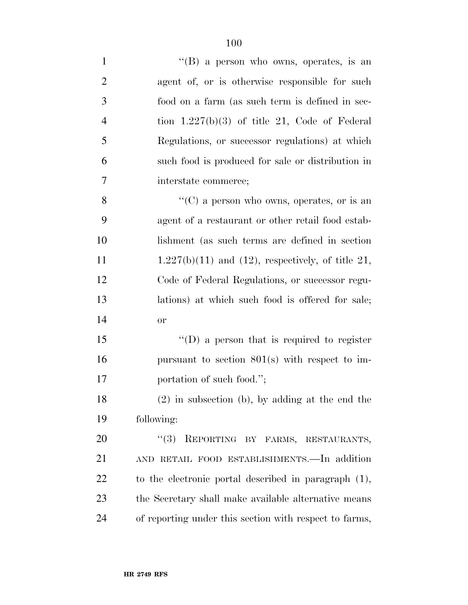| $\mathbf{1}$   | "(B) a person who owns, operates, is an                 |
|----------------|---------------------------------------------------------|
| $\overline{2}$ | agent of, or is otherwise responsible for such          |
| 3              | food on a farm (as such term is defined in sec-         |
| $\overline{4}$ | tion $1.227(b)(3)$ of title 21, Code of Federal         |
| 5              | Regulations, or successor regulations) at which         |
| 6              | such food is produced for sale or distribution in       |
| 7              | interstate commerce;                                    |
| 8              | "(C) a person who owns, operates, or is an              |
| 9              | agent of a restaurant or other retail food estab-       |
| 10             | lishment (as such terms are defined in section)         |
| 11             | $1.227(b)(11)$ and $(12)$ , respectively, of title 21,  |
| 12             | Code of Federal Regulations, or successor regu-         |
| 13             | lations) at which such food is offered for sale;        |
| 14             | <b>or</b>                                               |
| 15             | $\lq\lq$ (D) a person that is required to register      |
| 16             | pursuant to section $801(s)$ with respect to im-        |
| 17             | portation of such food.";                               |
| 18             | $(2)$ in subsection (b), by adding at the end the       |
| 19             | following:                                              |
| 20             | REPORTING BY FARMS, RESTAURANTS,<br>(3)                 |
| 21             | AND RETAIL FOOD ESTABLISHMENTS. - In addition           |
| 22             | to the electronic portal described in paragraph $(1)$ , |
| 23             | the Secretary shall make available alternative means    |
| 24             | of reporting under this section with respect to farms,  |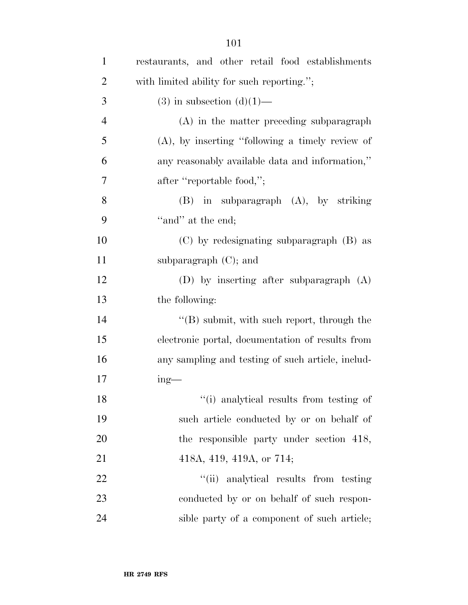| $\mathbf{1}$   | restaurants, and other retail food establishments  |
|----------------|----------------------------------------------------|
| $\overline{2}$ | with limited ability for such reporting.";         |
| 3              | $(3)$ in subsection $(d)(1)$ —                     |
| $\overline{4}$ | $(A)$ in the matter preceding subparagraph         |
| 5              | $(A)$ , by inserting "following a timely review of |
| 6              | any reasonably available data and information,"    |
| 7              | after "reportable food,";                          |
| 8              | $(B)$ in subparagraph $(A)$ , by striking          |
| 9              | "and" at the end;                                  |
| 10             | (C) by redesignating subparagraph (B) as           |
| 11             | subparagraph $(C)$ ; and                           |
| 12             | (D) by inserting after subparagraph $(A)$          |
| 13             | the following:                                     |
| 14             | $\lq\lq$ (B) submit, with such report, through the |
| 15             | electronic portal, documentation of results from   |
| 16             | any sampling and testing of such article, includ-  |
| 17             | $ing$ —                                            |
| 18             | "(i) analytical results from testing of            |
| 19             | such article conducted by or on behalf of          |
| 20             | the responsible party under section 418,           |
| 21             | 418A, 419, 419A, or 714;                           |
| 22             | "(ii) analytical results from testing              |
| 23             | conducted by or on behalf of such respon-          |
| 24             | sible party of a component of such article;        |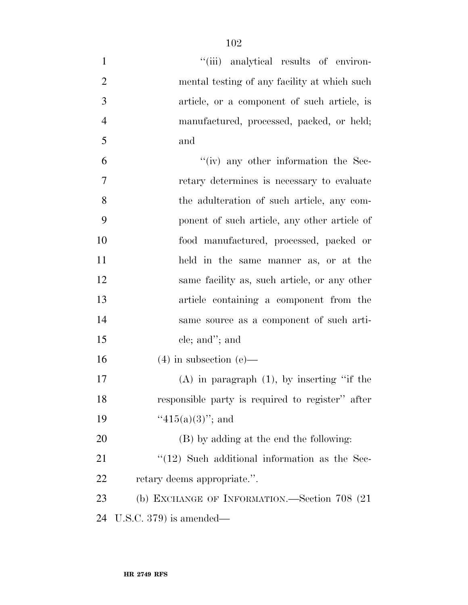| $\mathbf{1}$   | "(iii) analytical results of environ-             |
|----------------|---------------------------------------------------|
| $\overline{2}$ | mental testing of any facility at which such      |
| 3              | article, or a component of such article, is       |
| $\overline{4}$ | manufactured, processed, packed, or held;         |
| 5              | and                                               |
| 6              | $``(iv)$ any other information the Sec-           |
| 7              | retary determines is necessary to evaluate        |
| 8              | the adulteration of such article, any com-        |
| 9              | ponent of such article, any other article of      |
| 10             | food manufactured, processed, packed or           |
| 11             | held in the same manner as, or at the             |
| 12             | same facility as, such article, or any other      |
| 13             | article containing a component from the           |
| 14             | same source as a component of such arti-          |
| 15             | cle; and"; and                                    |
| 16             | $(4)$ in subsection $(e)$ —                       |
| 17             | $(A)$ in paragraph $(1)$ , by inserting "if the   |
| 18             | responsible party is required to register" after  |
| 19             | " $415(a)(3)$ "; and                              |
| 20             | (B) by adding at the end the following:           |
| 21             | $\lq(12)$ Such additional information as the Sec- |
| 22             | retary deems appropriate.".                       |
| 23             | (b) EXCHANGE OF INFORMATION.—Section 708 (21)     |
| 24             | U.S.C. $379$ ) is amended—                        |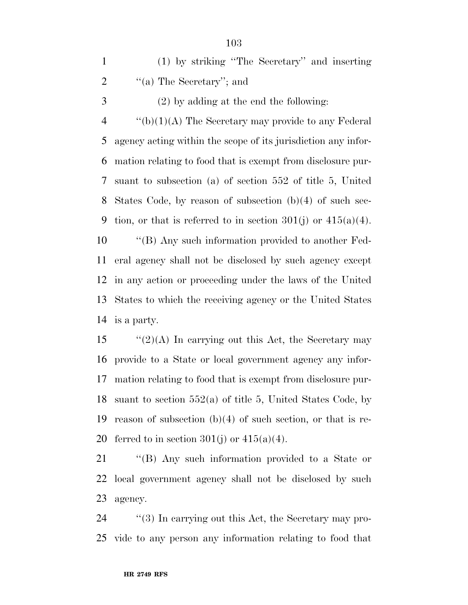| $(1)$ by striking "The Secretary" and inserting |
|-------------------------------------------------|
| "(a) The Secretary"; and                        |

(2) by adding at the end the following:

 $\frac{4}{2}$  ''(b)(1)(A) The Secretary may provide to any Federal agency acting within the scope of its jurisdiction any infor- mation relating to food that is exempt from disclosure pur- suant to subsection (a) of section 552 of title 5, United States Code, by reason of subsection (b)(4) of such sec-9 tion, or that is referred to in section  $301(j)$  or  $415(a)(4)$ .

 ''(B) Any such information provided to another Fed- eral agency shall not be disclosed by such agency except in any action or proceeding under the laws of the United States to which the receiving agency or the United States is a party.

 $\frac{1}{2}(2)(A)$  In carrying out this Act, the Secretary may provide to a State or local government agency any infor- mation relating to food that is exempt from disclosure pur- suant to section 552(a) of title 5, United States Code, by reason of subsection (b)(4) of such section, or that is re-20 ferred to in section  $301(i)$  or  $415(a)(4)$ .

 ''(B) Any such information provided to a State or local government agency shall not be disclosed by such agency.

24  $\frac{1}{2}$  (3) In carrying out this Act, the Secretary may pro-vide to any person any information relating to food that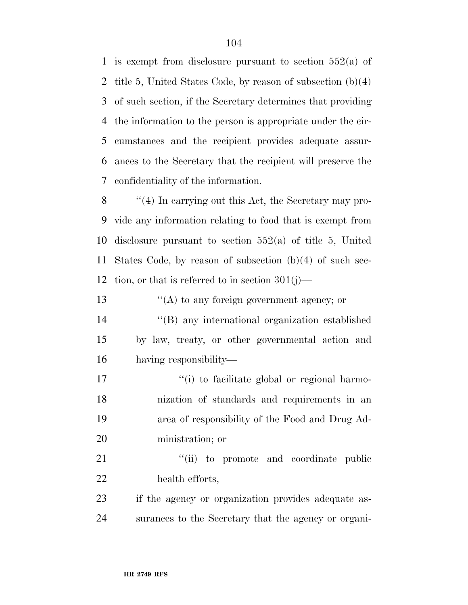is exempt from disclosure pursuant to section 552(a) of title 5, United States Code, by reason of subsection (b)(4) of such section, if the Secretary determines that providing the information to the person is appropriate under the cir- cumstances and the recipient provides adequate assur- ances to the Secretary that the recipient will preserve the confidentiality of the information.

 ''(4) In carrying out this Act, the Secretary may pro- vide any information relating to food that is exempt from disclosure pursuant to section 552(a) of title 5, United States Code, by reason of subsection (b)(4) of such sec-12 tion, or that is referred to in section  $301(j)$ —

13 ''(A) to any foreign government agency; or

 ''(B) any international organization established by law, treaty, or other governmental action and having responsibility—

 $\frac{1}{10}$  to facilitate global or regional harmo- nization of standards and requirements in an area of responsibility of the Food and Drug Ad-ministration; or

21  $\frac{1}{1}$  to promote and coordinate public health efforts,

 if the agency or organization provides adequate as-surances to the Secretary that the agency or organi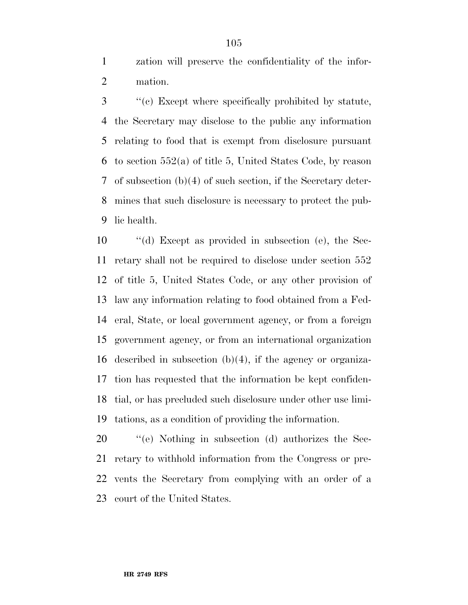zation will preserve the confidentiality of the infor-mation.

 ''(c) Except where specifically prohibited by statute, the Secretary may disclose to the public any information relating to food that is exempt from disclosure pursuant to section 552(a) of title 5, United States Code, by reason of subsection (b)(4) of such section, if the Secretary deter- mines that such disclosure is necessary to protect the pub-lic health.

 ''(d) Except as provided in subsection (e), the Sec- retary shall not be required to disclose under section 552 of title 5, United States Code, or any other provision of law any information relating to food obtained from a Fed- eral, State, or local government agency, or from a foreign government agency, or from an international organization described in subsection (b)(4), if the agency or organiza- tion has requested that the information be kept confiden- tial, or has precluded such disclosure under other use limi-tations, as a condition of providing the information.

 ''(e) Nothing in subsection (d) authorizes the Sec- retary to withhold information from the Congress or pre- vents the Secretary from complying with an order of a court of the United States.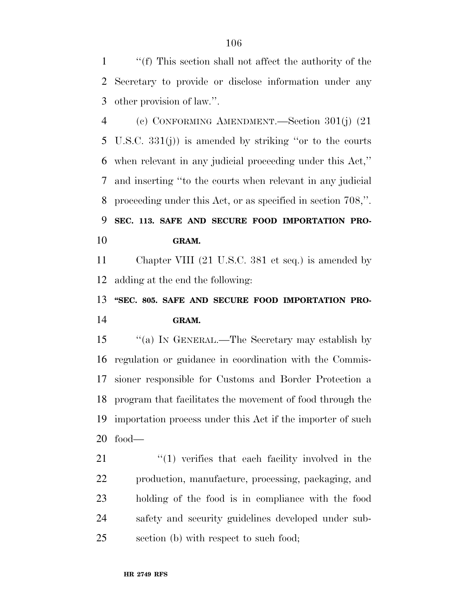''(f) This section shall not affect the authority of the Secretary to provide or disclose information under any other provision of law.''.

 (c) CONFORMING AMENDMENT.—Section 301(j) (21 U.S.C. 331(j)) is amended by striking ''or to the courts when relevant in any judicial proceeding under this Act,'' and inserting ''to the courts when relevant in any judicial proceeding under this Act, or as specified in section 708,''. **SEC. 113. SAFE AND SECURE FOOD IMPORTATION PRO-GRAM.** 

 Chapter VIII (21 U.S.C. 381 et seq.) is amended by adding at the end the following:

## 13 "SEC. 805. SAFE AND SECURE FOOD IMPORTATION PRO-**GRAM.**

 ''(a) IN GENERAL.—The Secretary may establish by regulation or guidance in coordination with the Commis- sioner responsible for Customs and Border Protection a program that facilitates the movement of food through the importation process under this Act if the importer of such food—

21 ''(1) verifies that each facility involved in the production, manufacture, processing, packaging, and holding of the food is in compliance with the food safety and security guidelines developed under sub-section (b) with respect to such food;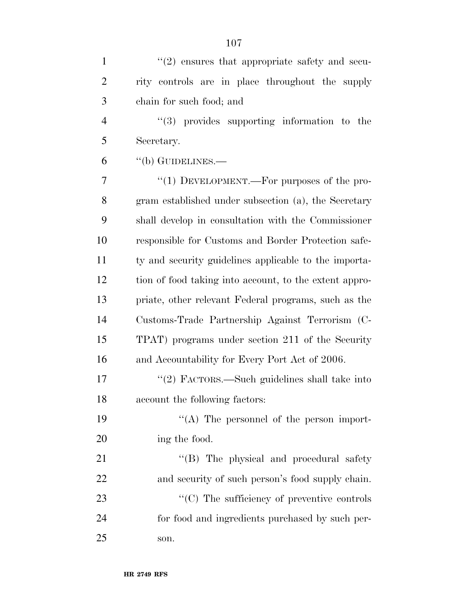| $\mathbf{1}$   | $\lq(2)$ ensures that appropriate safety and secu-     |
|----------------|--------------------------------------------------------|
| $\overline{2}$ | rity controls are in place throughout the supply       |
| 3              | chain for such food; and                               |
| $\overline{4}$ | $\lq(3)$ provides supporting information to the        |
| 5              | Secretary.                                             |
| 6              | $\lq\lq(b)$ GUIDELINES.—                               |
| 7              | "(1) DEVELOPMENT.—For purposes of the pro-             |
| 8              | gram established under subsection (a), the Secretary   |
| 9              | shall develop in consultation with the Commissioner    |
| 10             | responsible for Customs and Border Protection safe-    |
| 11             | ty and security guidelines applicable to the importa-  |
| 12             | tion of food taking into account, to the extent appro- |
| 13             | priate, other relevant Federal programs, such as the   |
| 14             | Customs-Trade Partnership Against Terrorism (C-        |
| 15             | TPAT) programs under section 211 of the Security       |
| 16             | and Accountability for Every Port Act of 2006.         |
| 17             | "(2) FACTORS.—Such guidelines shall take into          |
| 18             | account the following factors:                         |
| 19             | "(A) The personnel of the person import-               |
| 20             | ing the food.                                          |
| 21             | "(B) The physical and procedural safety                |
| 22             | and security of such person's food supply chain.       |
| 23             | "(C) The sufficiency of preventive controls            |
| 24             | for food and ingredients purchased by such per-        |
| 25             | son.                                                   |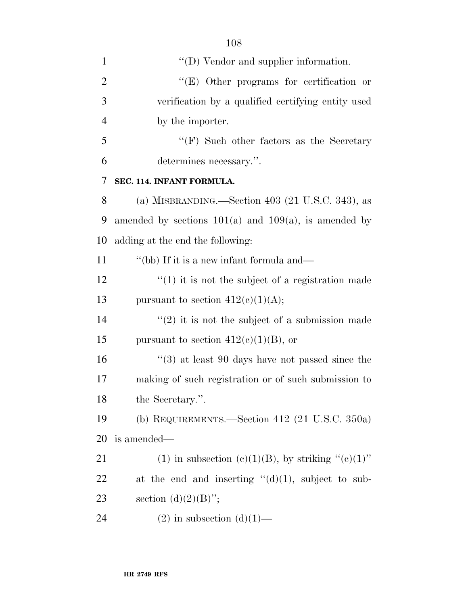| $\mathbf{1}$   | $\lq\lq$ (D) Vendor and supplier information.               |
|----------------|-------------------------------------------------------------|
| $\overline{2}$ | "(E) Other programs for certification or                    |
| 3              | verification by a qualified certifying entity used          |
| $\overline{4}$ | by the importer.                                            |
| 5              | $\lq\lq(F)$ Such other factors as the Secretary             |
| 6              | determines necessary.".                                     |
| 7              | SEC. 114. INFANT FORMULA.                                   |
| 8              | (a) MISBRANDING.—Section 403 (21 U.S.C. 343), as            |
| 9              | amended by sections $101(a)$ and $109(a)$ , is amended by   |
| 10             | adding at the end the following:                            |
| 11             | "(bb) If it is a new infant formula and—                    |
| 12             | $f(1)$ it is not the subject of a registration made         |
| 13             | pursuant to section $412(c)(1)(A);$                         |
| 14             | $\lq(2)$ it is not the subject of a submission made         |
| 15             | pursuant to section $412(c)(1)(B)$ , or                     |
| 16             | $\cdot\cdot$ (3) at least 90 days have not passed since the |
| 17             | making of such registration or of such submission to        |
| 18             | the Secretary.".                                            |
| 19             | (b) REQUIREMENTS.—Section 412 $(21 \text{ U.S.C. } 350a)$   |
| 20             | is amended—                                                 |
| 21             | (1) in subsection (c)(1)(B), by striking " $(c)(1)$ "       |
| 22             | at the end and inserting $\lq\lq d(1)$ , subject to sub-    |
| 23             | section $(d)(2)(B)$ ";                                      |
| 24             | $(2)$ in subsection $(d)(1)$ —                              |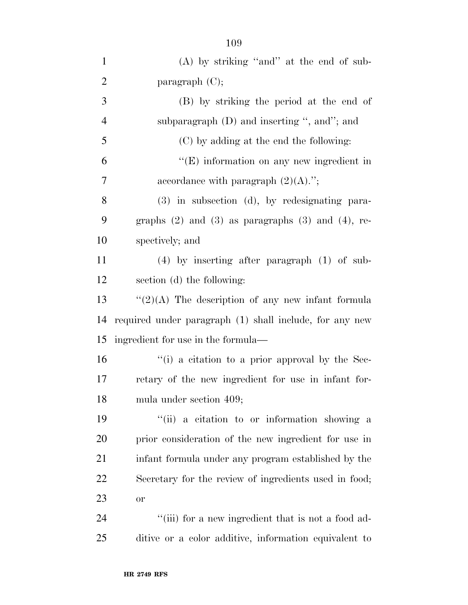| $\mathbf{1}$   | $(A)$ by striking "and" at the end of sub-                 |
|----------------|------------------------------------------------------------|
| $\overline{2}$ | paragraph $(C)$ ;                                          |
| 3              | (B) by striking the period at the end of                   |
| $\overline{4}$ | subparagraph $(D)$ and inserting ", and"; and              |
| 5              | (C) by adding at the end the following:                    |
| 6              | "(E) information on any new ingredient in                  |
| 7              | accordance with paragraph $(2)(A)$ .";                     |
| 8              | $(3)$ in subsection $(d)$ , by redesignating para-         |
| 9              | graphs $(2)$ and $(3)$ as paragraphs $(3)$ and $(4)$ , re- |
| 10             | spectively; and                                            |
| 11             | $(4)$ by inserting after paragraph $(1)$ of sub-           |
| 12             | section (d) the following:                                 |
| 13             | $``(2)(A)$ The description of any new infant formula       |
| 14             | required under paragraph (1) shall include, for any new    |
| 15             | ingredient for use in the formula—                         |
| 16             | $\lq\lq$ (i) a citation to a prior approval by the Sec-    |
| 17             | retary of the new ingredient for use in infant for-        |
| 18             | mula under section 409;                                    |
| 19             | "(ii) a citation to or information showing a               |
| 20             | prior consideration of the new ingredient for use in       |
| 21             | infant formula under any program established by the        |
| 22             | Secretary for the review of ingredients used in food;      |
| 23             | or                                                         |
| 24             | "(iii) for a new ingredient that is not a food ad-         |
| 25             | ditive or a color additive, information equivalent to      |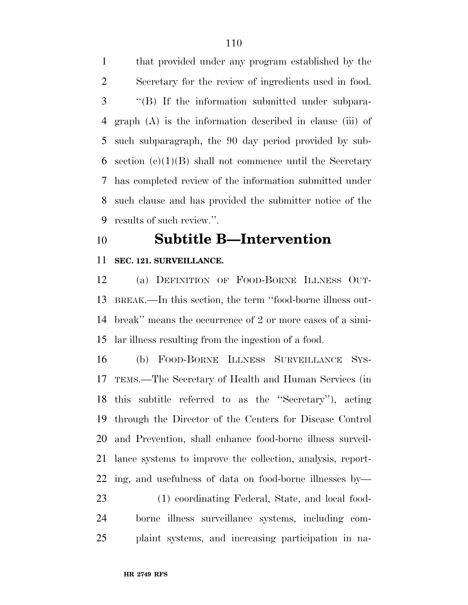that provided under any program established by the Secretary for the review of ingredients used in food. ''(B) If the information submitted under subpara- graph (A) is the information described in clause (iii) of such subparagraph, the 90 day period provided by sub-6 section  $(c)(1)(B)$  shall not commence until the Secretary has completed review of the information submitted under such clause and has provided the submitter notice of the results of such review.''.

## **Subtitle B—Intervention**

### **SEC. 121. SURVEILLANCE.**

 (a) DEFINITION OF FOOD-BORNE ILLNESS OUT- BREAK.—In this section, the term ''food-borne illness out- break'' means the occurrence of 2 or more cases of a simi-lar illness resulting from the ingestion of a food.

 (b) FOOD-BORNE ILLNESS SURVEILLANCE SYS- TEMS.—The Secretary of Health and Human Services (in this subtitle referred to as the ''Secretary''), acting through the Director of the Centers for Disease Control and Prevention, shall enhance food-borne illness surveil- lance systems to improve the collection, analysis, report- ing, and usefulness of data on food-borne illnesses by— (1) coordinating Federal, State, and local food-

 borne illness surveillance systems, including com-plaint systems, and increasing participation in na-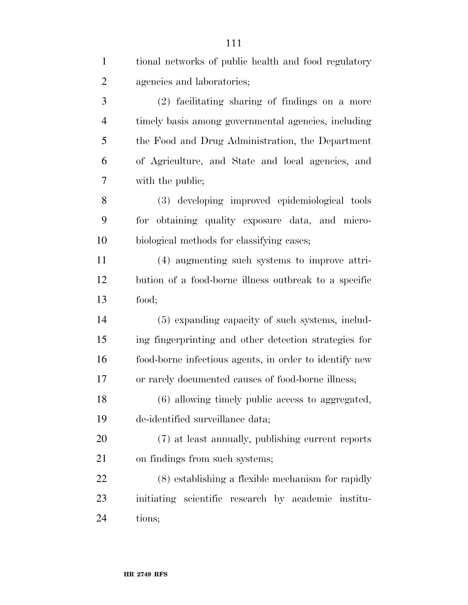| $\mathbf{1}$   | tional networks of public health and food regulatory   |
|----------------|--------------------------------------------------------|
| $\overline{2}$ | agencies and laboratories;                             |
| 3              | (2) facilitating sharing of findings on a more         |
| $\overline{4}$ | timely basis among governmental agencies, including    |
| 5              | the Food and Drug Administration, the Department       |
| 6              | of Agriculture, and State and local agencies, and      |
| 7              | with the public;                                       |
| 8              | (3) developing improved epidemiological tools          |
| 9              | for obtaining quality exposure data, and micro-        |
| 10             | biological methods for classifying cases;              |
| 11             | (4) augmenting such systems to improve attri-          |
| 12             | bution of a food-borne illness outbreak to a specific  |
| 13             | food;                                                  |
| 14             | (5) expanding capacity of such systems, includ-        |
| 15             | ing fingerprinting and other detection strategies for  |
| 16             | food-borne infectious agents, in order to identify new |
| 17             | or rarely documented causes of food-borne illness;     |
| 18             | (6) allowing timely public access to aggregated,       |
| 19             | de-identified surveillance data;                       |
| <b>20</b>      | (7) at least annually, publishing current reports      |
| 21             | on findings from such systems;                         |
| <u>22</u>      | (8) establishing a flexible mechanism for rapidly      |
| 23             | initiating scientific research by academic institu-    |
| 24             | tions;                                                 |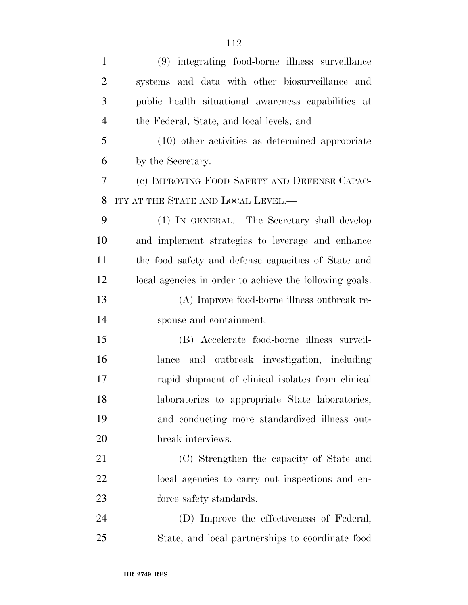| $\mathbf{1}$   | (9) integrating food-borne illness surveillance         |
|----------------|---------------------------------------------------------|
| $\overline{2}$ | systems and data with other biosurveillance and         |
| 3              | public health situational awareness capabilities at     |
| $\overline{4}$ | the Federal, State, and local levels; and               |
| 5              | $(10)$ other activities as determined appropriate       |
| 6              | by the Secretary.                                       |
| 7              | (c) IMPROVING FOOD SAFETY AND DEFENSE CAPAC-            |
| 8              | ITY AT THE STATE AND LOCAL LEVEL.—                      |
| 9              | (1) IN GENERAL.—The Secretary shall develop             |
| 10             | and implement strategies to leverage and enhance        |
| 11             | the food safety and defense capacities of State and     |
| 12             | local agencies in order to achieve the following goals: |
| 13             | (A) Improve food-borne illness outbreak re-             |
| 14             | sponse and containment.                                 |
| 15             | (B) Accelerate food-borne illness surveil-              |
| 16             | and outbreak investigation, including<br>lance          |
| 17             | rapid shipment of clinical isolates from clinical       |
| 18             | laboratories to appropriate State laboratories,         |
| 19             | and conducting more standardized illness out-           |
| 20             | break interviews.                                       |
| 21             | (C) Strengthen the capacity of State and                |
| 22             | local agencies to carry out inspections and en-         |
| 23             | force safety standards.                                 |
| 24             | (D) Improve the effectiveness of Federal,               |
| 25             | State, and local partnerships to coordinate food        |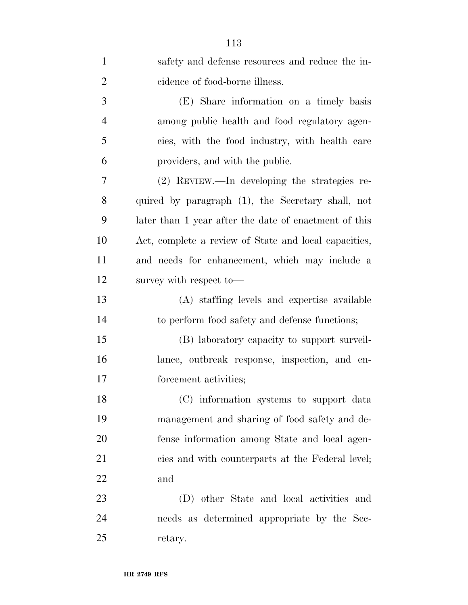| $\mathbf{1}$   | safety and defense resources and reduce the in-       |
|----------------|-------------------------------------------------------|
| $\overline{2}$ | cidence of food-borne illness.                        |
| 3              | (E) Share information on a timely basis               |
| $\overline{4}$ | among public health and food regulatory agen-         |
| 5              | cies, with the food industry, with health care        |
| 6              | providers, and with the public.                       |
| 7              | (2) REVIEW.—In developing the strategies re-          |
| 8              | quired by paragraph (1), the Secretary shall, not     |
| 9              | later than 1 year after the date of enactment of this |
| 10             | Act, complete a review of State and local capacities, |
| 11             | and needs for enhancement, which may include a        |
| 12             | survey with respect to-                               |
| 13             | (A) staffing levels and expertise available           |
| 14             | to perform food safety and defense functions;         |
| 15             | (B) laboratory capacity to support surveil-           |
| 16             | lance, outbreak response, inspection, and en-         |
| 17             | forcement activities;                                 |
| 18             | (C) information systems to support data               |
| 19             | management and sharing of food safety and de-         |
| 20             | fense information among State and local agen-         |
| 21             | cies and with counterparts at the Federal level;      |
| 22             | and                                                   |
| 23             | (D) other State and local activities and              |
| 24             | needs as determined appropriate by the Sec-           |
| 25             | retary.                                               |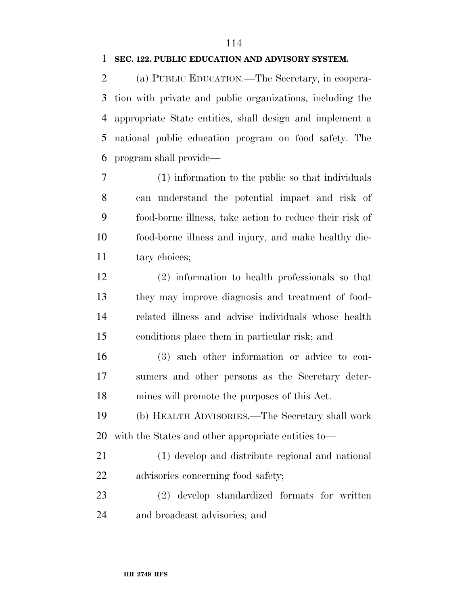## **SEC. 122. PUBLIC EDUCATION AND ADVISORY SYSTEM.**

 (a) PUBLIC EDUCATION.—The Secretary, in coopera- tion with private and public organizations, including the appropriate State entities, shall design and implement a national public education program on food safety. The program shall provide—

 (1) information to the public so that individuals can understand the potential impact and risk of food-borne illness, take action to reduce their risk of food-borne illness and injury, and make healthy die-11 tary choices;

 (2) information to health professionals so that they may improve diagnosis and treatment of food- related illness and advise individuals whose health conditions place them in particular risk; and

 (3) such other information or advice to con- sumers and other persons as the Secretary deter-mines will promote the purposes of this Act.

 (b) HEALTH ADVISORIES.—The Secretary shall work with the States and other appropriate entities to—

 (1) develop and distribute regional and national advisories concerning food safety;

 (2) develop standardized formats for written and broadcast advisories; and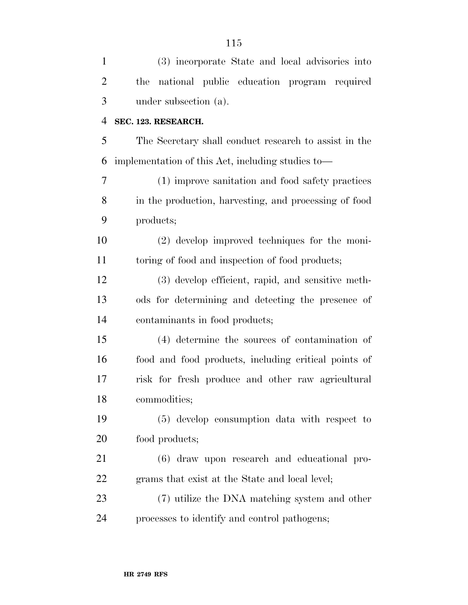| $\mathbf{1}$   | (3) incorporate State and local advisories into       |
|----------------|-------------------------------------------------------|
| $\overline{2}$ | national public education program required<br>the     |
| 3              | under subsection (a).                                 |
| $\overline{4}$ | SEC. 123. RESEARCH.                                   |
| 5              | The Secretary shall conduct research to assist in the |
| 6              | implementation of this Act, including studies to-     |
| 7              | (1) improve sanitation and food safety practices      |
| 8              | in the production, harvesting, and processing of food |
| 9              | products;                                             |
| 10             | (2) develop improved techniques for the moni-         |
| 11             | toring of food and inspection of food products;       |
| 12             | (3) develop efficient, rapid, and sensitive meth-     |
| 13             | ods for determining and detecting the presence of     |
| 14             | contaminants in food products;                        |
| 15             | (4) determine the sources of contamination of         |
| 16             | food and food products, including critical points of  |
| 17             | risk for fresh produce and other raw agricultural     |
| 18             | commodities;                                          |
| 19             | (5) develop consumption data with respect to          |
| 20             | food products;                                        |
| 21             | (6) draw upon research and educational pro-           |
| 22             | grams that exist at the State and local level;        |
| 23             | (7) utilize the DNA matching system and other         |
| 24             | processes to identify and control pathogens;          |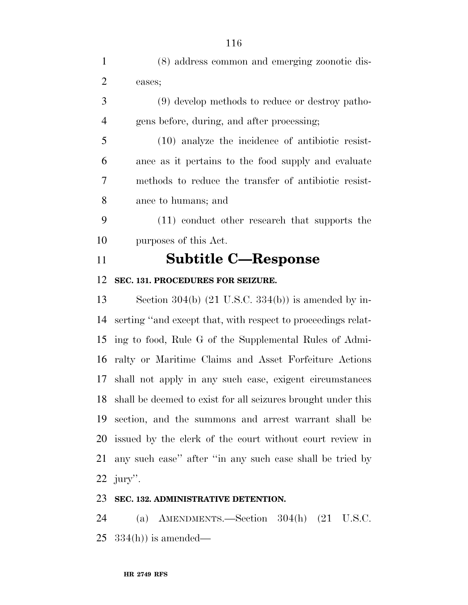| $\mathbf{1}$   | (8) address common and emerging zoonotic dis-                  |
|----------------|----------------------------------------------------------------|
| $\overline{2}$ | eases;                                                         |
| 3              | (9) develop methods to reduce or destroy patho-                |
| $\overline{4}$ | gens before, during, and after processing;                     |
| 5              | (10) analyze the incidence of antibiotic resist-               |
| 6              | ance as it pertains to the food supply and evaluate            |
| 7              | methods to reduce the transfer of antibiotic resist-           |
| 8              | ance to humans; and                                            |
| 9              | (11) conduct other research that supports the                  |
| 10             | purposes of this Act.                                          |
| 11             | <b>Subtitle C-Response</b>                                     |
|                |                                                                |
| 12             | SEC. 131. PROCEDURES FOR SEIZURE.                              |
| 13             | Section 304(b) $(21 \text{ U.S.C. } 334(b))$ is amended by in- |
| 14             | serting "and except that, with respect to proceedings relat-   |
| 15             | ing to food, Rule G of the Supplemental Rules of Admi-         |
| 16             | ralty or Maritime Claims and Asset Forfeiture Actions          |
| 17             | shall not apply in any such case, exigent circumstances        |
| 18             | shall be deemed to exist for all seizures brought under this   |
| 19             | section, and the summons and arrest warrant shall be           |
| 20             | issued by the clerk of the court without court review in       |
| 21             | any such case" after "in any such case shall be tried by       |

## **SEC. 132. ADMINISTRATIVE DETENTION.**

 (a) AMENDMENTS.—Section 304(h) (21 U.S.C. 334(h)) is amended—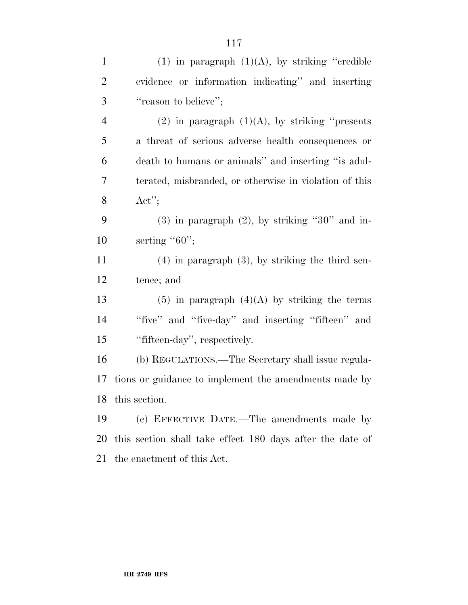| $\mathbf{1}$   | (1) in paragraph $(1)(A)$ , by striking "credible"        |
|----------------|-----------------------------------------------------------|
| 2              | evidence or information indicating" and inserting         |
| 3              | "reason to believe";                                      |
| $\overline{4}$ | $(2)$ in paragraph $(1)(A)$ , by striking "presents"      |
| 5              | a threat of serious adverse health consequences or        |
| 6              | death to humans or animals" and inserting "is adul-       |
| 7              | terated, misbranded, or otherwise in violation of this    |
| 8              | $\text{Act}''$                                            |
| 9              | $(3)$ in paragraph $(2)$ , by striking "30" and in-       |
| 10             | serting " $60$ ";                                         |
| 11             | $(4)$ in paragraph $(3)$ , by striking the third sen-     |
| 12             | tence; and                                                |
| 13             | $(5)$ in paragraph $(4)(A)$ by striking the terms         |
| 14             | "five" and "five-day" and inserting "fifteen" and         |
| 15             | "fifteen-day", respectively.                              |
| 16             | (b) REGULATIONS.—The Secretary shall issue regula-        |
| 17             | tions or guidance to implement the amendments made by     |
|                | 18 this section.                                          |
| 19             | (c) EFFECTIVE DATE.—The amendments made by                |
| 20             | this section shall take effect 180 days after the date of |
| 21             | the enactment of this Act.                                |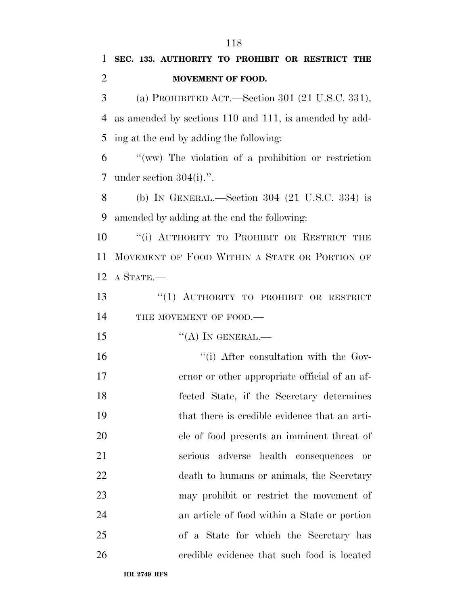# **SEC. 133. AUTHORITY TO PROHIBIT OR RESTRICT THE MOVEMENT OF FOOD.**

 (a) PROHIBITED ACT.—Section 301 (21 U.S.C. 331), as amended by sections 110 and 111, is amended by add-ing at the end by adding the following:

 ''(ww) The violation of a prohibition or restriction under section 304(i).''.

 (b) IN GENERAL.—Section 304 (21 U.S.C. 334) is amended by adding at the end the following:

10 "(i) AUTHORITY TO PROHIBIT OR RESTRICT THE MOVEMENT OF FOOD WITHIN A STATE OR PORTION OF A STATE.—

13 "(1) AUTHORITY TO PROHIBIT OR RESTRICT 14 THE MOVEMENT OF FOOD.—

 $i'(\text{A})$  In GENERAL.—

 $\frac{1}{10}$  ''(i) After consultation with the Gov- ernor or other appropriate official of an af- fected State, if the Secretary determines that there is credible evidence that an arti- cle of food presents an imminent threat of serious adverse health consequences or death to humans or animals, the Secretary may prohibit or restrict the movement of an article of food within a State or portion of a State for which the Secretary has credible evidence that such food is located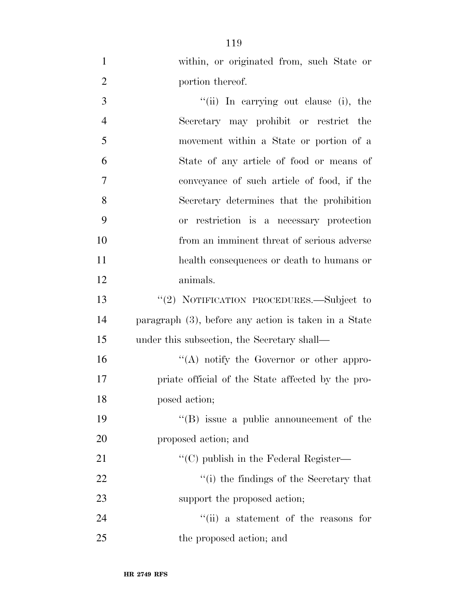| $\mathbf{1}$   | within, or originated from, such State or               |
|----------------|---------------------------------------------------------|
| $\overline{2}$ | portion thereof.                                        |
| 3              | "(ii) In carrying out clause (i), the                   |
| $\overline{4}$ | Secretary may prohibit or restrict the                  |
| 5              | movement within a State or portion of a                 |
| 6              | State of any article of food or means of                |
| 7              | conveyance of such article of food, if the              |
| 8              | Secretary determines that the prohibition               |
| 9              | or restriction is a necessary protection                |
| 10             | from an imminent threat of serious adverse              |
| 11             | health consequences or death to humans or               |
| 12             | animals.                                                |
| 13             | "(2) NOTIFICATION PROCEDURES.—Subject to                |
| 14             | paragraph $(3)$ , before any action is taken in a State |
| 15             | under this subsection, the Secretary shall—             |
| 16             | "(A) notify the Governor or other appro-                |
| 17             | priate official of the State affected by the pro-       |
| 18             | posed action;                                           |
| 19             | $\lq\lq$ issue a public announcement of the             |
| 20             | proposed action; and                                    |
| 21             | $\lq\lq$ (C) publish in the Federal Register—           |
| 22             | "(i) the findings of the Secretary that                 |
| 23             | support the proposed action;                            |
| 24             | "(ii) a statement of the reasons for                    |
| 25             | the proposed action; and                                |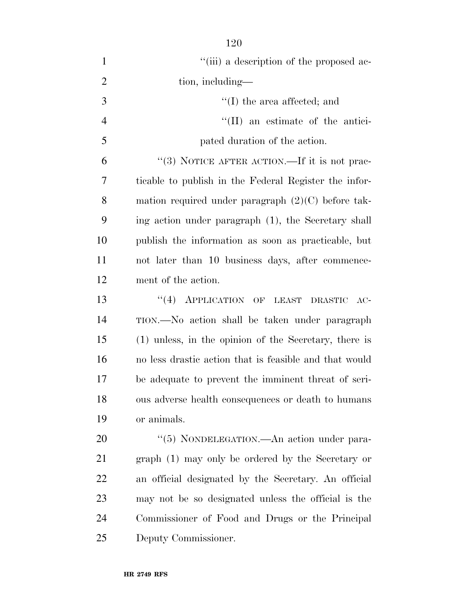| $\mathbf{1}$   | "(iii) a description of the proposed ac-               |
|----------------|--------------------------------------------------------|
| $\overline{2}$ | tion, including—                                       |
| 3              | $\lq\lq$ the area affected; and                        |
| $\overline{4}$ | "(II) an estimate of the antici-                       |
| 5              | pated duration of the action.                          |
| 6              | "(3) NOTICE AFTER ACTION.—If it is not prac-           |
| 7              | ticable to publish in the Federal Register the infor-  |
| 8              | mation required under paragraph $(2)(C)$ before tak-   |
| 9              | ing action under paragraph (1), the Secretary shall    |
| 10             | publish the information as soon as practicable, but    |
| 11             | not later than 10 business days, after commence-       |
| 12             | ment of the action.                                    |
| 13             | "(4) APPLICATION OF LEAST DRASTIC<br>$AC-$             |
| 14             | TION.—No action shall be taken under paragraph         |
| 15             | (1) unless, in the opinion of the Secretary, there is  |
| 16             | no less drastic action that is feasible and that would |
| 17             | be adequate to prevent the imminent threat of seri-    |
| 18             | ous adverse health consequences or death to humans     |
| 19             | or animals.                                            |
| 20             | "(5) NONDELEGATION.—An action under para-              |
| 21             | graph (1) may only be ordered by the Secretary or      |
| 22             | an official designated by the Secretary. An official   |
| 23             | may not be so designated unless the official is the    |
| 24             | Commissioner of Food and Drugs or the Principal        |

Deputy Commissioner.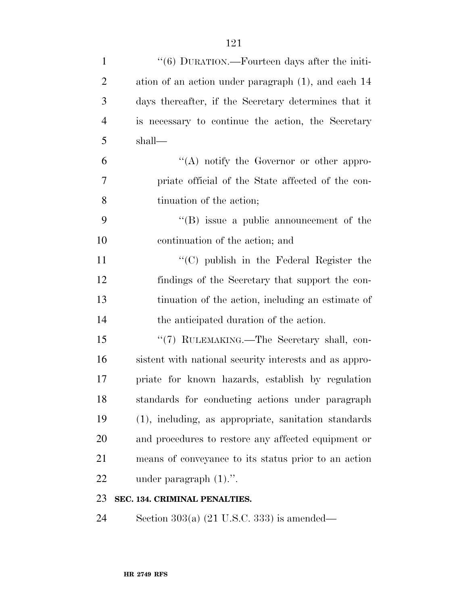| $\mathbf{1}$   | "(6) DURATION.—Fourteen days after the initi-          |
|----------------|--------------------------------------------------------|
| $\overline{2}$ | ation of an action under paragraph (1), and each 14    |
| 3              | days thereafter, if the Secretary determines that it   |
| $\overline{4}$ | is necessary to continue the action, the Secretary     |
| 5              | shall—                                                 |
| 6              | $\lq\lq$ notify the Governor or other appro-           |
| 7              | priate official of the State affected of the con-      |
| 8              | tinuation of the action;                               |
| 9              | $\lq\lq (B)$ issue a public announcement of the        |
| 10             | continuation of the action; and                        |
| 11             | "(C) publish in the Federal Register the               |
| 12             | findings of the Secretary that support the con-        |
| 13             | tinuation of the action, including an estimate of      |
| 14             | the anticipated duration of the action.                |
| 15             | "(7) RULEMAKING.—The Secretary shall, con-             |
| 16             | sistent with national security interests and as appro- |
| 17             | priate for known hazards, establish by regulation      |
| 18             | standards for conducting actions under paragraph       |
| 19             | (1), including, as appropriate, sanitation standards   |
| 20             | and procedures to restore any affected equipment or    |
| 21             | means of conveyance to its status prior to an action   |
| 22             | under paragraph $(1)$ .".                              |
| $\cap$         |                                                        |

#### **SEC. 134. CRIMINAL PENALTIES.**

Section 303(a) (21 U.S.C. 333) is amended—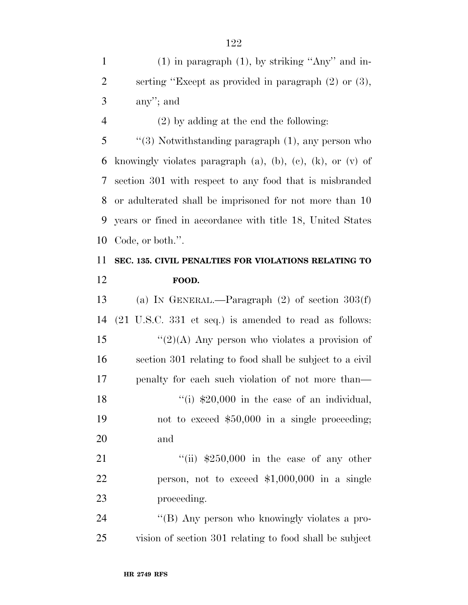1 (1) in paragraph (1), by striking "Any" and in- serting ''Except as provided in paragraph (2) or (3), any''; and

(2) by adding at the end the following:

 ''(3) Notwithstanding paragraph (1), any person who 6 knowingly violates paragraph  $(a)$ ,  $(b)$ ,  $(c)$ ,  $(k)$ ,  $(0)$  of section 301 with respect to any food that is misbranded or adulterated shall be imprisoned for not more than 10 years or fined in accordance with title 18, United States Code, or both.''.

## **SEC. 135. CIVIL PENALTIES FOR VIOLATIONS RELATING TO FOOD.**

 (a) IN GENERAL.—Paragraph (2) of section 303(f) (21 U.S.C. 331 et seq.) is amended to read as follows:  $\frac{1}{2}(2)(A)$  Any person who violates a provision of section 301 relating to food shall be subject to a civil penalty for each such violation of not more than—  $\frac{1}{20,000}$  in the case of an individual, not to exceed \$50,000 in a single proceeding; and

21  $\frac{1}{11}$   $\frac{$250,000}{11}$  in the case of any other person, not to exceed \$1,000,000 in a single proceeding.

24 "(B) Any person who knowingly violates a pro-vision of section 301 relating to food shall be subject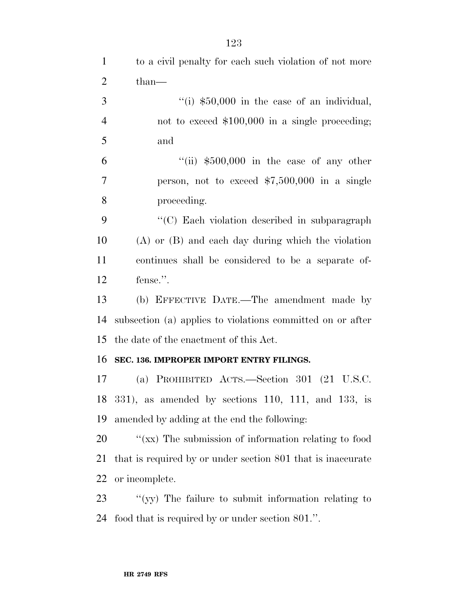| $\mathbf{1}$   | to a civil penalty for each such violation of not more      |
|----------------|-------------------------------------------------------------|
| $\overline{2}$ | $than-$                                                     |
| 3              | "(i) $$50,000$ in the case of an individual,                |
| $\overline{4}$ | not to exceed $$100,000$ in a single proceeding;            |
| 5              | and                                                         |
| 6              | "(ii) $$500,000$ in the case of any other                   |
| $\tau$         | person, not to exceed $$7,500,000$ in a single              |
| 8              | proceeding.                                                 |
| 9              | "(C) Each violation described in subparagraph               |
| 10             | $(A)$ or $(B)$ and each day during which the violation      |
| 11             | continues shall be considered to be a separate of-          |
| 12             | fense.".                                                    |
| 13             | (b) EFFECTIVE DATE.—The amendment made by                   |
| 14             | subsection (a) applies to violations committed on or after  |
| 15             | the date of the enactment of this Act.                      |
| 16             | SEC. 136. IMPROPER IMPORT ENTRY FILINGS.                    |
| 17             | (a) PROHIBITED ACTS.—Section 301 $(21 \text{ U.S.C.})$      |
|                | 18 331), as amended by sections 110, 111, and 133, is       |
| 19             | amended by adding at the end the following:                 |
| 20             | "(xx) The submission of information relating to food        |
| 21             | that is required by or under section 801 that is inaccurate |
| <u>22</u>      | or incomplete.                                              |
| 23             | "(yy) The failure to submit information relating to         |
| 24             | food that is required by or under section 801.".            |
|                |                                                             |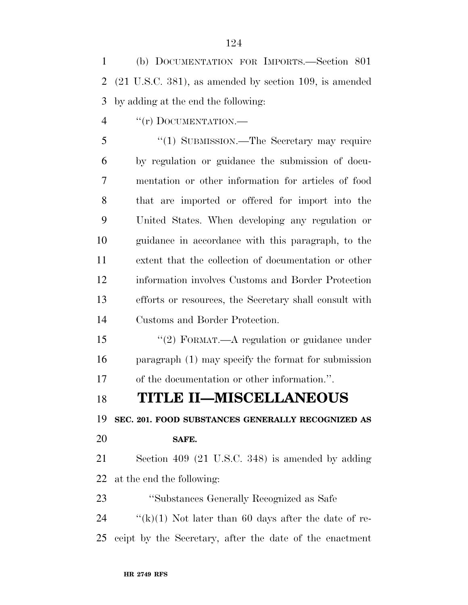(b) DOCUMENTATION FOR IMPORTS.—Section 801 (21 U.S.C. 381), as amended by section 109, is amended by adding at the end the following:

4 "(r) DOCUMENTATION.—

5 "(1) SUBMISSION.—The Secretary may require by regulation or guidance the submission of docu- mentation or other information for articles of food that are imported or offered for import into the United States. When developing any regulation or guidance in accordance with this paragraph, to the extent that the collection of documentation or other information involves Customs and Border Protection efforts or resources, the Secretary shall consult with Customs and Border Protection.

15 "(2) FORMAT.—A regulation or guidance under paragraph (1) may specify the format for submission of the documentation or other information.''.

## **TITLE II—MISCELLANEOUS**

**SEC. 201. FOOD SUBSTANCES GENERALLY RECOGNIZED AS** 

#### **SAFE.**

 Section 409 (21 U.S.C. 348) is amended by adding at the end the following:

''Substances Generally Recognized as Safe

24  $\frac{f'(k)}{1}$  Not later than 60 days after the date of re-ceipt by the Secretary, after the date of the enactment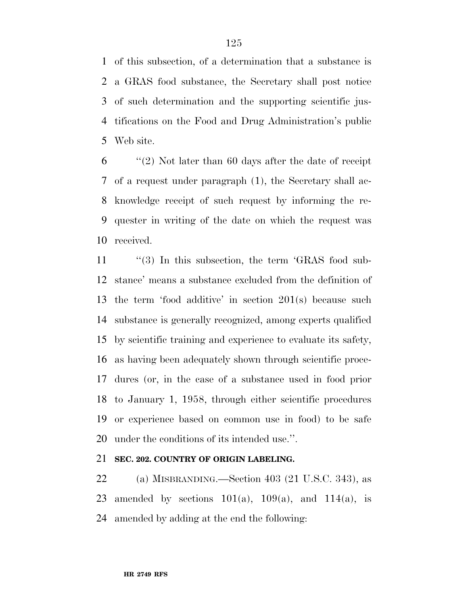of this subsection, of a determination that a substance is a GRAS food substance, the Secretary shall post notice of such determination and the supporting scientific jus- tifications on the Food and Drug Administration's public Web site.

 ''(2) Not later than 60 days after the date of receipt of a request under paragraph (1), the Secretary shall ac- knowledge receipt of such request by informing the re- quester in writing of the date on which the request was received.

11 "(3) In this subsection, the term 'GRAS food sub- stance' means a substance excluded from the definition of the term 'food additive' in section 201(s) because such substance is generally recognized, among experts qualified by scientific training and experience to evaluate its safety, as having been adequately shown through scientific proce- dures (or, in the case of a substance used in food prior to January 1, 1958, through either scientific procedures or experience based on common use in food) to be safe under the conditions of its intended use.''.

## **SEC. 202. COUNTRY OF ORIGIN LABELING.**

 (a) MISBRANDING.—Section 403 (21 U.S.C. 343), as 23 amended by sections  $101(a)$ ,  $109(a)$ , and  $114(a)$ , is amended by adding at the end the following: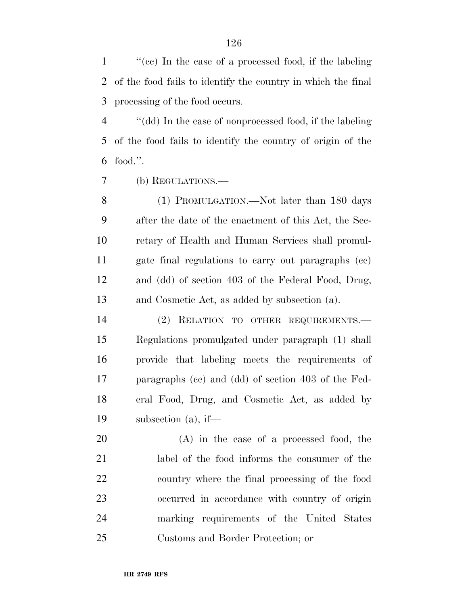''(cc) In the case of a processed food, if the labeling of the food fails to identify the country in which the final processing of the food occurs.

 ''(dd) In the case of nonprocessed food, if the labeling of the food fails to identify the country of origin of the food.''.

(b) REGULATIONS.—

 (1) PROMULGATION.—Not later than 180 days after the date of the enactment of this Act, the Sec- retary of Health and Human Services shall promul- gate final regulations to carry out paragraphs (cc) and (dd) of section 403 of the Federal Food, Drug, and Cosmetic Act, as added by subsection (a).

 (2) RELATION TO OTHER REQUIREMENTS.— Regulations promulgated under paragraph (1) shall provide that labeling meets the requirements of paragraphs (cc) and (dd) of section 403 of the Fed- eral Food, Drug, and Cosmetic Act, as added by subsection (a), if—

 (A) in the case of a processed food, the label of the food informs the consumer of the country where the final processing of the food occurred in accordance with country of origin marking requirements of the United States Customs and Border Protection; or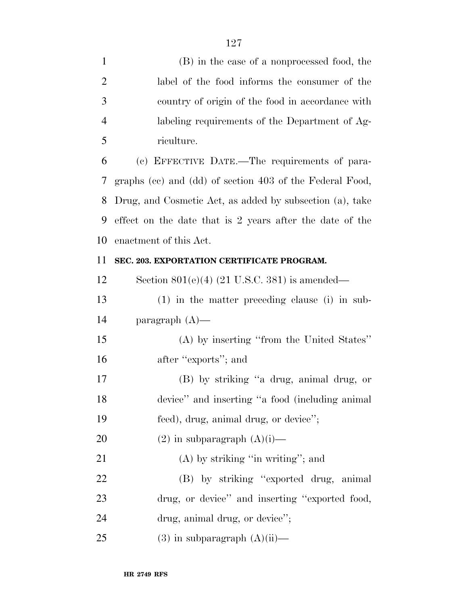| $\mathbf{1}$   | (B) in the case of a nonprocessed food, the              |
|----------------|----------------------------------------------------------|
| $\overline{2}$ | label of the food informs the consumer of the            |
| 3              | country of origin of the food in accordance with         |
| $\overline{4}$ | labeling requirements of the Department of Ag-           |
| 5              | riculture.                                               |
| 6              | (c) EFFECTIVE DATE.—The requirements of para-            |
| 7              | graphs (cc) and (dd) of section 403 of the Federal Food, |
| 8              | Drug, and Cosmetic Act, as added by subsection (a), take |
| 9              | effect on the date that is 2 years after the date of the |
| 10             | enactment of this Act.                                   |
| 11             | SEC. 203. EXPORTATION CERTIFICATE PROGRAM.               |
| 12             | Section $801(e)(4)$ (21 U.S.C. 381) is amended—          |
| 13             | $(1)$ in the matter preceding clause (i) in sub-         |
| 14             | paragraph $(A)$ —                                        |
| 15             | (A) by inserting "from the United States"                |
| 16             | after "exports"; and                                     |
| $17\,$         | (B) by striking "a drug, animal drug, or                 |
| 18             | device" and inserting "a food (including animal          |
| 19             | feed), drug, animal drug, or device";                    |
| 20             | $(2)$ in subparagraph $(A)(i)$ —                         |
| 21             | $(A)$ by striking "in writing"; and                      |
| 22             | (B) by striking "exported drug, animal                   |
| 23             | drug, or device" and inserting "exported food,           |
| 24             | drug, animal drug, or device";                           |
| 25             | $(3)$ in subparagraph $(A)(ii)$ —                        |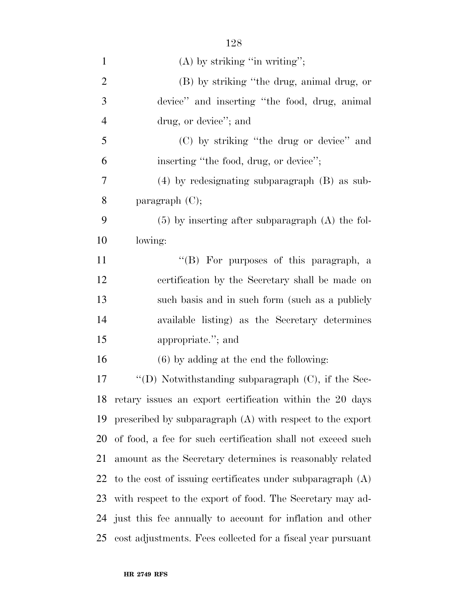| $\mathbf{1}$   | $(A)$ by striking "in writing";                              |
|----------------|--------------------------------------------------------------|
| $\overline{2}$ | (B) by striking "the drug, animal drug, or                   |
| 3              | device" and inserting "the food, drug, animal                |
| $\overline{4}$ | drug, or device"; and                                        |
| 5              | (C) by striking "the drug or device" and                     |
| 6              | inserting "the food, drug, or device";                       |
| 7              | $(4)$ by redesignating subparagraph $(B)$ as sub-            |
| 8              | paragraph $(C)$ ;                                            |
| 9              | $(5)$ by inserting after subparagraph $(A)$ the fol-         |
| 10             | lowing:                                                      |
| 11             | "(B) For purposes of this paragraph, a                       |
| 12             | certification by the Secretary shall be made on              |
| 13             | such basis and in such form (such as a publicly              |
| 14             | available listing) as the Secretary determines               |
| 15             | appropriate."; and                                           |
| 16             | $(6)$ by adding at the end the following:                    |
| 17             | "(D) Notwithstanding subparagraph $(C)$ , if the Sec-        |
| 18             | retary issues an export certification within the 20 days     |
| 19             | prescribed by subparagraph $(A)$ with respect to the export  |
| 20             | of food, a fee for such certification shall not exceed such  |
| 21             | amount as the Secretary determines is reasonably related     |
| 22             | to the cost of issuing certificates under subparagraph $(A)$ |
| 23             | with respect to the export of food. The Secretary may ad-    |
| 24             | just this fee annually to account for inflation and other    |
| 25             | cost adjustments. Fees collected for a fiscal year pursuant  |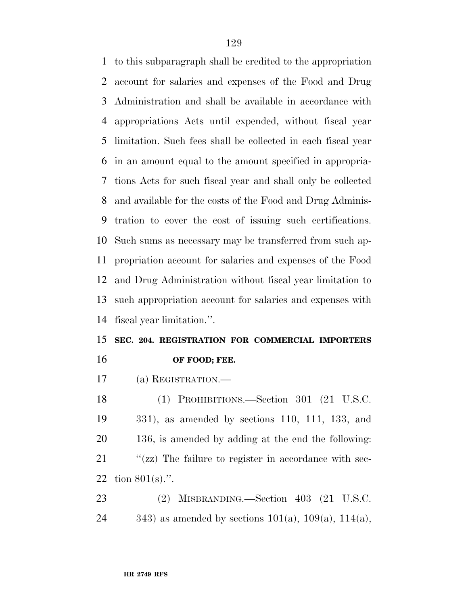to this subparagraph shall be credited to the appropriation account for salaries and expenses of the Food and Drug Administration and shall be available in accordance with appropriations Acts until expended, without fiscal year limitation. Such fees shall be collected in each fiscal year in an amount equal to the amount specified in appropria- tions Acts for such fiscal year and shall only be collected and available for the costs of the Food and Drug Adminis- tration to cover the cost of issuing such certifications. Such sums as necessary may be transferred from such ap- propriation account for salaries and expenses of the Food and Drug Administration without fiscal year limitation to such appropriation account for salaries and expenses with fiscal year limitation.''.

## **SEC. 204. REGISTRATION FOR COMMERCIAL IMPORTERS OF FOOD; FEE.**

(a) REGISTRATION.—

 (1) PROHIBITIONS.—Section 301 (21 U.S.C. 331), as amended by sections 110, 111, 133, and 136, is amended by adding at the end the following:  $\frac{1}{2}$  (zz) The failure to register in accordance with sec-tion 801(s).''.

 (2) MISBRANDING.—Section 403 (21 U.S.C. 24 343) as amended by sections  $101(a)$ ,  $109(a)$ ,  $114(a)$ ,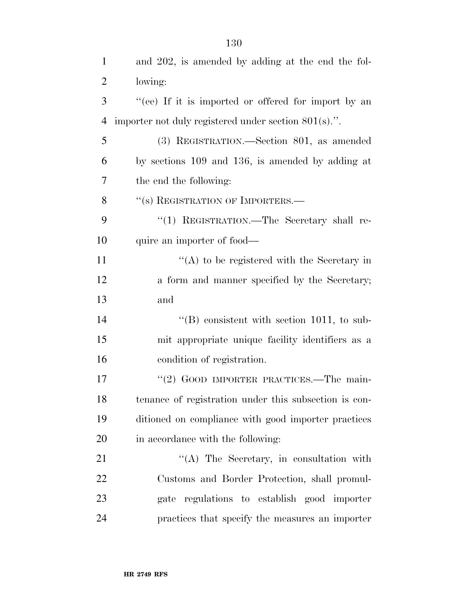| $\mathbf{1}$   | and 202, is amended by adding at the end the fol-       |
|----------------|---------------------------------------------------------|
| $\overline{2}$ | lowing:                                                 |
| 3              | "(ee) If it is imported or offered for import by an     |
| $\overline{4}$ | importer not duly registered under section $801(s)$ .". |
| 5              | (3) REGISTRATION.—Section 801, as amended               |
| 6              | by sections 109 and 136, is amended by adding at        |
| 7              | the end the following:                                  |
| 8              | "(s) REGISTRATION OF IMPORTERS.—                        |
| 9              | "(1) REGISTRATION.—The Secretary shall re-              |
| 10             | quire an importer of food—                              |
| 11             | $\lq\lq$ to be registered with the Secretary in         |
| 12             | a form and manner specified by the Secretary;           |
| 13             | and                                                     |
| 14             | $\lq\lq (B)$ consistent with section 1011, to sub-      |
| 15             | mit appropriate unique facility identifiers as a        |
| 16             | condition of registration.                              |
| 17             | "(2) GOOD IMPORTER PRACTICES.—The main-                 |
| 18             | tenance of registration under this subsection is con-   |
| 19             | ditioned on compliance with good importer practices     |
| 20             | in accordance with the following:                       |
| 21             | $\lq\lq$ . The Secretary, in consultation with          |
| 22             | Customs and Border Protection, shall promul-            |
| 23             | gate regulations to establish good importer             |
| 24             | practices that specify the measures an importer         |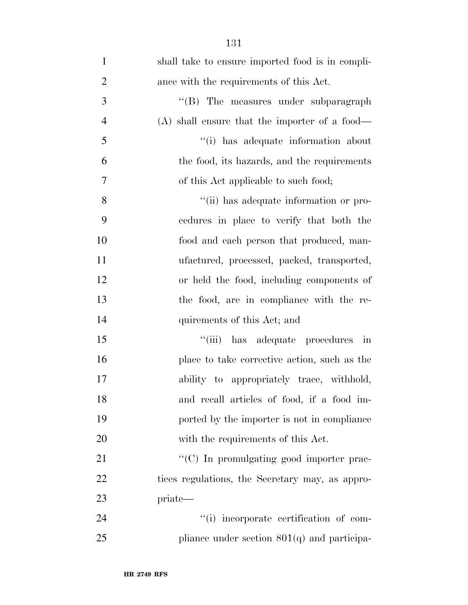| $\mathbf{1}$   | shall take to ensure imported food is in compli- |
|----------------|--------------------------------------------------|
| $\overline{2}$ | ance with the requirements of this Act.          |
| 3              | "(B) The measures under subparagraph             |
| $\overline{4}$ | $(A)$ shall ensure that the importer of a food—  |
| 5              | "(i) has adequate information about              |
| 6              | the food, its hazards, and the requirements      |
| $\overline{7}$ | of this Act applicable to such food;             |
| 8              | "(ii) has adequate information or pro-           |
| 9              | cedures in place to verify that both the         |
| 10             | food and each person that produced, man-         |
| 11             | ufactured, processed, packed, transported,       |
| 12             | or held the food, including components of        |
| 13             | the food, are in compliance with the re-         |
| 14             | quirements of this Act; and                      |
| 15             | "(iii) has adequate procedures in                |
| 16             | place to take corrective action, such as the     |
| 17             | ability to appropriately trace, withhold,        |
| 18             | and recall articles of food, if a food im-       |
| 19             | ported by the importer is not in compliance      |
| 20             | with the requirements of this Act.               |
| 21             | "(C) In promulgating good importer prac-         |
| 22             | tices regulations, the Secretary may, as appro-  |
| 23             | priate—                                          |
| 24             | "(i) incorporate certification of com-           |
| 25             | pliance under section $801(q)$ and participa-    |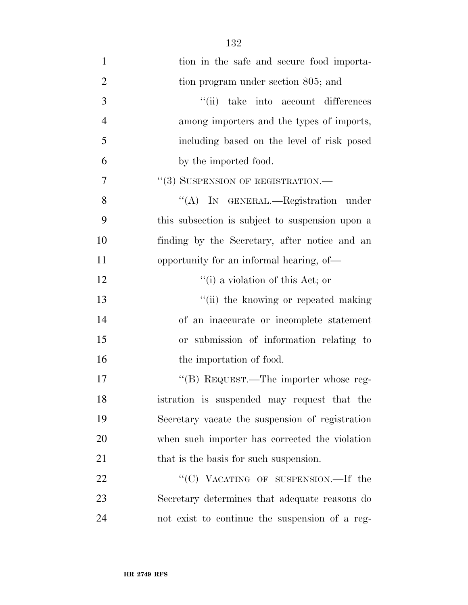| $\mathbf{1}$   | tion in the safe and secure food importa-       |
|----------------|-------------------------------------------------|
| $\overline{2}$ | tion program under section 805; and             |
| 3              | "(ii) take into account differences             |
| $\overline{4}$ | among importers and the types of imports,       |
| 5              | including based on the level of risk posed      |
| 6              | by the imported food.                           |
| 7              | "(3) SUSPENSION OF REGISTRATION.-               |
| 8              | "(A) IN GENERAL.—Registration under             |
| 9              | this subsection is subject to suspension upon a |
| 10             | finding by the Secretary, after notice and an   |
| 11             | opportunity for an informal hearing, of—        |
| 12             | "(i) a violation of this Act; or                |
| 13             | "(ii) the knowing or repeated making            |
| 14             | of an inaccurate or incomplete statement        |
| 15             | or submission of information relating to        |
| 16             | the importation of food.                        |
| 17             | "(B) REQUEST.—The importer whose reg-           |
| 18             | istration is suspended may request that the     |
| 19             | Secretary vacate the suspension of registration |
| 20             | when such importer has corrected the violation  |
| 21             | that is the basis for such suspension.          |
| 22             | "(C) VACATING OF SUSPENSION.—If the             |
| 23             | Secretary determines that adequate reasons do   |
| 24             | not exist to continue the suspension of a reg-  |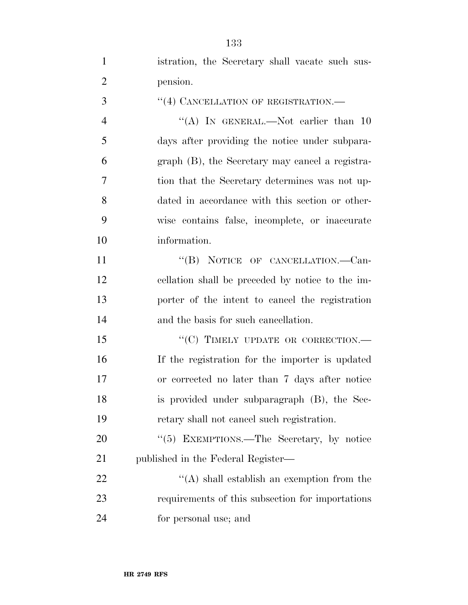| $\mathbf{1}$     | istration, the Secretary shall vacate such sus-  |
|------------------|--------------------------------------------------|
| $\overline{2}$   | pension.                                         |
| 3                | "(4) CANCELLATION OF REGISTRATION.-              |
| $\overline{4}$   | "(A) IN GENERAL.—Not earlier than $10$           |
| 5                | days after providing the notice under subpara-   |
| 6                | graph (B), the Secretary may cancel a registra-  |
| 7                | tion that the Secretary determines was not up-   |
| 8                | dated in accordance with this section or other-  |
| 9                | wise contains false, incomplete, or inaccurate   |
| 10               | information.                                     |
| 11               | "(B) NOTICE OF CANCELLATION.—Can-                |
| 12               | cellation shall be preceded by notice to the im- |
| 13               | porter of the intent to cancel the registration  |
| 14               | and the basis for such cancellation.             |
| 15               | "(C) TIMELY UPDATE OR CORRECTION.—               |
| 16               | If the registration for the importer is updated  |
| 17               | or corrected no later than 7 days after notice   |
| 18               | is provided under subparagraph (B), the Sec-     |
| 19               | retary shall not cancel such registration.       |
| 20               | "(5) EXEMPTIONS.—The Secretary, by notice        |
| 21               | published in the Federal Register—               |
| 22               | $\lq\lq$ shall establish an exemption from the   |
| 23               | requirements of this subsection for importations |
| $\sim$ $\lambda$ |                                                  |

for personal use; and

**HR 2749 RFS**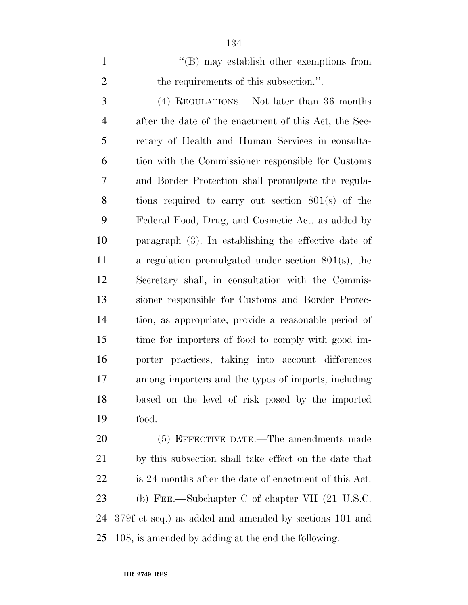1 ''(B) may establish other exemptions from 2 the requirements of this subsection.". (4) REGULATIONS.—Not later than 36 months after the date of the enactment of this Act, the Sec-retary of Health and Human Services in consulta-

 tion with the Commissioner responsible for Customs and Border Protection shall promulgate the regula- tions required to carry out section 801(s) of the Federal Food, Drug, and Cosmetic Act, as added by paragraph (3). In establishing the effective date of a regulation promulgated under section 801(s), the Secretary shall, in consultation with the Commis- sioner responsible for Customs and Border Protec- tion, as appropriate, provide a reasonable period of time for importers of food to comply with good im- porter practices, taking into account differences among importers and the types of imports, including based on the level of risk posed by the imported food.

 (5) EFFECTIVE DATE.—The amendments made by this subsection shall take effect on the date that is 24 months after the date of enactment of this Act. (b) FEE.—Subchapter C of chapter VII (21 U.S.C. 379f et seq.) as added and amended by sections 101 and 108, is amended by adding at the end the following: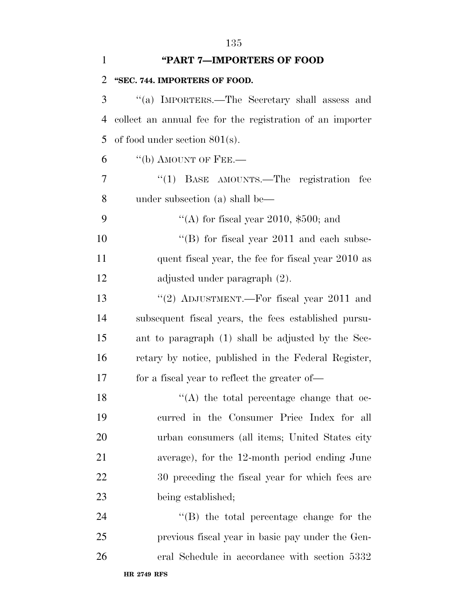| $\mathbf{1}$   | "PART 7-IMPORTERS OF FOOD                                 |
|----------------|-----------------------------------------------------------|
| 2              | "SEC. 744. IMPORTERS OF FOOD.                             |
| 3              | "(a) IMPORTERS.—The Secretary shall assess and            |
| $\overline{4}$ | collect an annual fee for the registration of an importer |
| 5              | of food under section $801(s)$ .                          |
| 6              | $``$ (b) AMOUNT OF FEE.—                                  |
| 7              | $\cdot$ (1) BASE AMOUNTS.—The registration<br>fee         |
| 8              | under subsection (a) shall be—                            |
| 9              | "(A) for fiscal year 2010, $$500$ ; and                   |
| 10             | $\lq$ (B) for fiscal year 2011 and each subse-            |
| 11             | quent fiscal year, the fee for fiscal year 2010 as        |
| 12             | adjusted under paragraph (2).                             |
| 13             | "(2) ADJUSTMENT.—For fiscal year 2011 and                 |
| 14             | subsequent fiscal years, the fees established pursu-      |
| 15             | ant to paragraph (1) shall be adjusted by the Sec-        |
| 16             | retary by notice, published in the Federal Register,      |
| 17             | for a fiscal year to reflect the greater of—              |
| 18             | $\lq\lq$ the total percentage change that oc-             |
| 19             | curred in the Consumer Price Index for all                |
| 20             | urban consumers (all items; United States city            |
| 21             | average), for the 12-month period ending June             |
| 22             | 30 preceding the fiscal year for which fees are           |
| 23             | being established;                                        |
| 24             | $\lq\lq$ the total percentage change for the              |
| 25             | previous fiscal year in basic pay under the Gen-          |
| 26             | eral Schedule in accordance with section 5332             |
|                | <b>HR 2749 RFS</b>                                        |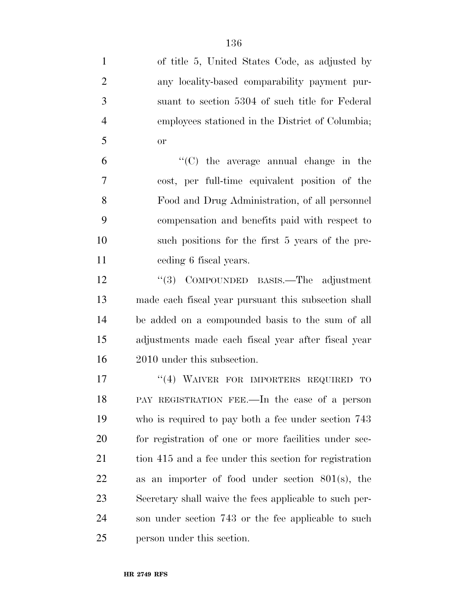| $\mathbf{1}$   | of title 5, United States Code, as adjusted by         |
|----------------|--------------------------------------------------------|
| $\overline{2}$ | any locality-based comparability payment pur-          |
| 3              | suant to section 5304 of such title for Federal        |
| $\overline{4}$ | employees stationed in the District of Columbia;       |
| 5              | <b>or</b>                                              |
| 6              | $\cdot$ (C) the average annual change in the           |
| 7              | cost, per full-time equivalent position of the         |
| 8              | Food and Drug Administration, of all personnel         |
| 9              | compensation and benefits paid with respect to         |
| 10             | such positions for the first 5 years of the pre-       |
| 11             | ceding 6 fiscal years.                                 |
| 12             | "(3) COMPOUNDED BASIS.—The adjustment                  |
| 13             | made each fiscal year pursuant this subsection shall   |
| 14             | be added on a compounded basis to the sum of all       |
| 15             | adjustments made each fiscal year after fiscal year    |
| 16             | 2010 under this subsection.                            |
| 17             | "(4) WAIVER FOR IMPORTERS REQUIRED<br>TO               |
| 18             | PAY REGISTRATION FEE.—In the case of a person          |
| 19             | who is required to pay both a fee under section 743    |
| 20             | for registration of one or more facilities under sec-  |
| 21             | tion 415 and a fee under this section for registration |
| 22             | as an importer of food under section $801(s)$ , the    |
| 23             | Secretary shall waive the fees applicable to such per- |
| 24             | son under section 743 or the fee applicable to such    |
| 25             | person under this section.                             |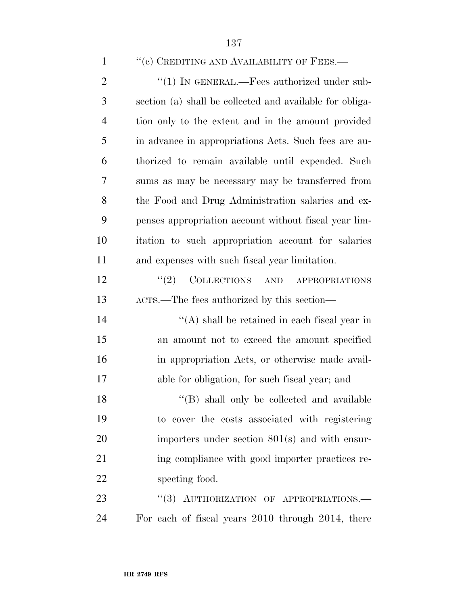### 1 "(c) CREDITING AND AVAILABILITY OF FEES.—

2 "(1) IN GENERAL.—Fees authorized under sub- section (a) shall be collected and available for obliga- tion only to the extent and in the amount provided in advance in appropriations Acts. Such fees are au- thorized to remain available until expended. Such sums as may be necessary may be transferred from the Food and Drug Administration salaries and ex- penses appropriation account without fiscal year lim- itation to such appropriation account for salaries and expenses with such fiscal year limitation. 12 "(2) COLLECTIONS AND APPROPRIATIONS

ACTS.—The fees authorized by this section—

 $^{\prime\prime}$ (A) shall be retained in each fiscal year in an amount not to exceed the amount specified in appropriation Acts, or otherwise made avail-able for obligation, for such fiscal year; and

18 "(B) shall only be collected and available to cover the costs associated with registering importers under section 801(s) and with ensur-21 ing compliance with good importer practices re-specting food.

23 "(3) AUTHORIZATION OF APPROPRIATIONS.— For each of fiscal years 2010 through 2014, there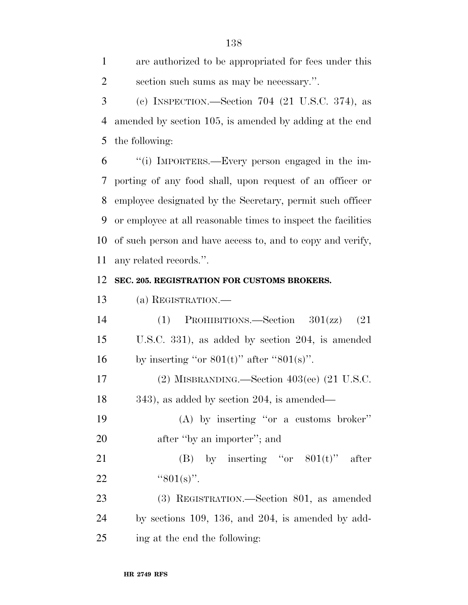are authorized to be appropriated for fees under this section such sums as may be necessary.''.

 (c) INSPECTION.—Section 704 (21 U.S.C. 374), as amended by section 105, is amended by adding at the end the following:

 ''(i) IMPORTERS.—Every person engaged in the im- porting of any food shall, upon request of an officer or employee designated by the Secretary, permit such officer or employee at all reasonable times to inspect the facilities of such person and have access to, and to copy and verify, any related records.''.

#### **SEC. 205. REGISTRATION FOR CUSTOMS BROKERS.**

(a) REGISTRATION.—

 (1) PROHIBITIONS.—Section 301(zz) (21 U.S.C. 331), as added by section 204, is amended 16 by inserting "or  $801(t)$ " after " $801(s)$ ".

 (2) MISBRANDING.—Section 403(ee) (21 U.S.C. 343), as added by section 204, is amended—

 (A) by inserting ''or a customs broker'' 20 after "by an importer"; and

21 (B) by inserting "or  $801(t)$ " after 22  $"801(s)"$ .

 (3) REGISTRATION.—Section 801, as amended by sections 109, 136, and 204, is amended by add-ing at the end the following: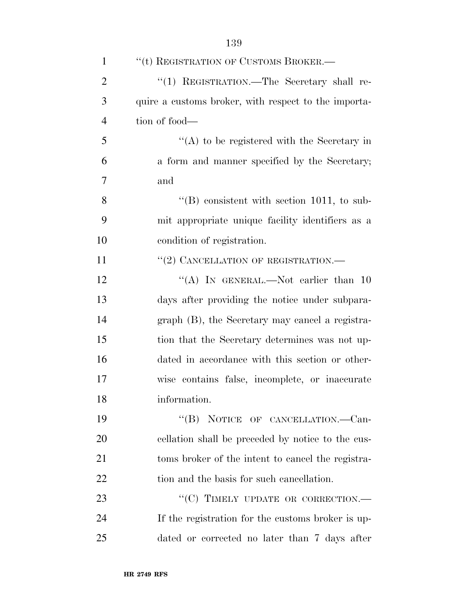| $\mathbf{1}$   | "(t) REGISTRATION OF CUSTOMS BROKER.-                |
|----------------|------------------------------------------------------|
| $\overline{2}$ | "(1) REGISTRATION.-The Secretary shall re-           |
| 3              | quire a customs broker, with respect to the importa- |
| $\overline{4}$ | tion of food—                                        |
| 5              | $\lq\lq$ to be registered with the Secretary in      |
| 6              | a form and manner specified by the Secretary;        |
| 7              | and                                                  |
| 8              | $\lq\lq$ consistent with section 1011, to sub-       |
| 9              | mit appropriate unique facility identifiers as a     |
| 10             | condition of registration.                           |
| 11             | "(2) CANCELLATION OF REGISTRATION.—                  |
| 12             | "(A) IN GENERAL.—Not earlier than $10$               |
| 13             | days after providing the notice under subpara-       |
| 14             | graph (B), the Secretary may cancel a registra-      |
| 15             | tion that the Secretary determines was not up-       |
| 16             | dated in accordance with this section or other-      |
| 17             | wise contains false, incomplete, or inaccurate       |
| 18             | information.                                         |
| 19             | "(B) NOTICE OF CANCELLATION.—Can-                    |
| 20             | cellation shall be preceded by notice to the cus-    |
| 21             | toms broker of the intent to cancel the registra-    |
| 22             | tion and the basis for such cancellation.            |
| 23             | "(C) TIMELY UPDATE OR CORRECTION.-                   |
| 24             | If the registration for the customs broker is up-    |
| 25             | dated or corrected no later than 7 days after        |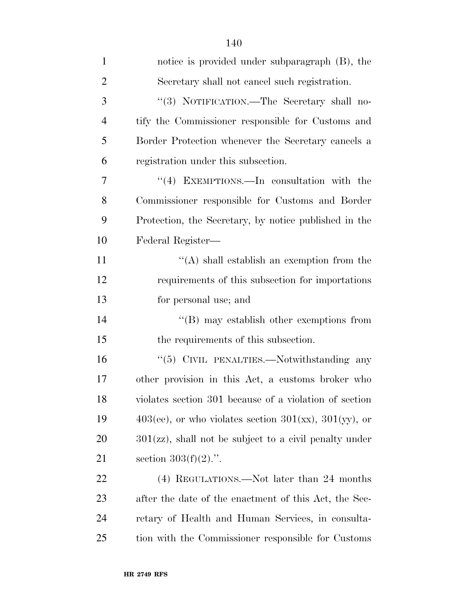| $\mathbf{1}$   | notice is provided under subparagraph (B), the                   |
|----------------|------------------------------------------------------------------|
| $\overline{2}$ | Secretary shall not cancel such registration.                    |
| 3              | "(3) NOTIFICATION.—The Secretary shall no-                       |
| $\overline{4}$ | tify the Commissioner responsible for Customs and                |
| 5              | Border Protection whenever the Secretary cancels a               |
| 6              | registration under this subsection.                              |
| 7              | "(4) EXEMPTIONS.—In consultation with the                        |
| 8              | Commissioner responsible for Customs and Border                  |
| 9              | Protection, the Secretary, by notice published in the            |
| 10             | Federal Register—                                                |
| 11             | $\lq\lq$ shall establish an exemption from the                   |
| 12             | requirements of this subsection for importations                 |
| 13             | for personal use; and                                            |
| 14             | $\lq\lq (B)$ may establish other exemptions from                 |
| 15             | the requirements of this subsection.                             |
| 16             | "(5) CIVIL PENALTIES.—Notwithstanding any                        |
| 17             | other provision in this Act, a customs broker who                |
| 18             | violates section 301 because of a violation of section           |
| 19             | $403(ee)$ , or who violates section $301(xx)$ , $301(yy)$ , or   |
| 20             | $301(\text{zz})$ , shall not be subject to a civil penalty under |
| 21             | section $303(f)(2)$ .".                                          |
| 22             | (4) REGULATIONS.—Not later than 24 months                        |
| 23             | after the date of the enactment of this Act, the Sec-            |
| 24             | retary of Health and Human Services, in consulta-                |
| 25             | tion with the Commissioner responsible for Customs               |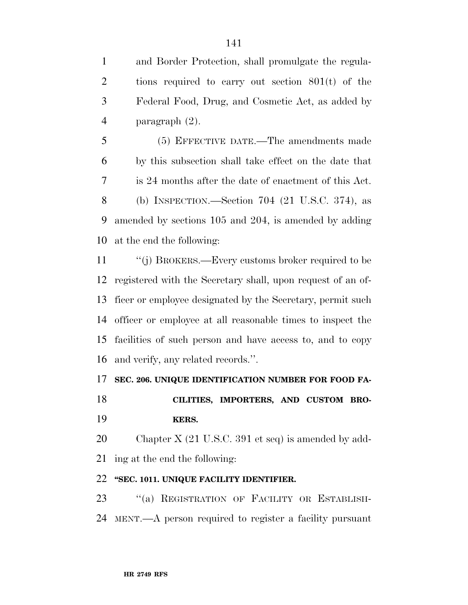and Border Protection, shall promulgate the regula- tions required to carry out section 801(t) of the Federal Food, Drug, and Cosmetic Act, as added by paragraph (2).

 (5) EFFECTIVE DATE.—The amendments made by this subsection shall take effect on the date that is 24 months after the date of enactment of this Act. (b) INSPECTION.—Section 704 (21 U.S.C. 374), as amended by sections 105 and 204, is amended by adding at the end the following:

 ''(j) BROKERS.—Every customs broker required to be registered with the Secretary shall, upon request of an of- ficer or employee designated by the Secretary, permit such officer or employee at all reasonable times to inspect the facilities of such person and have access to, and to copy and verify, any related records.''.

### **SEC. 206. UNIQUE IDENTIFICATION NUMBER FOR FOOD FA-**

 **CILITIES, IMPORTERS, AND CUSTOM BRO-KERS.** 

 Chapter X (21 U.S.C. 391 et seq) is amended by add-ing at the end the following:

## **''SEC. 1011. UNIQUE FACILITY IDENTIFIER.**

23 "(a) REGISTRATION OF FACILITY OR ESTABLISH-MENT.—A person required to register a facility pursuant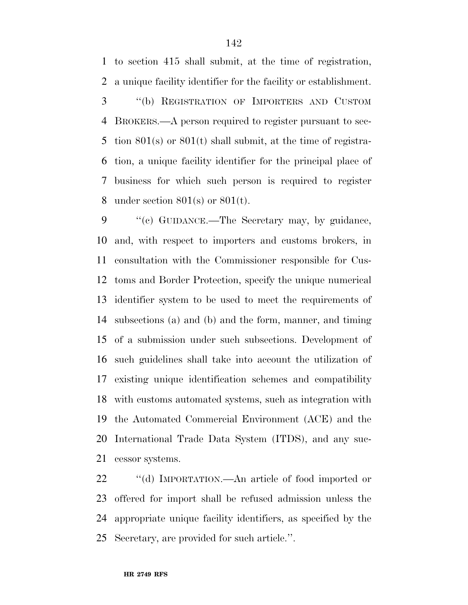to section 415 shall submit, at the time of registration, a unique facility identifier for the facility or establishment.

 ''(b) REGISTRATION OF IMPORTERS AND CUSTOM BROKERS.—A person required to register pursuant to sec- tion 801(s) or 801(t) shall submit, at the time of registra- tion, a unique facility identifier for the principal place of business for which such person is required to register under section 801(s) or 801(t).

9 "(c) GUIDANCE.—The Secretary may, by guidance, and, with respect to importers and customs brokers, in consultation with the Commissioner responsible for Cus- toms and Border Protection, specify the unique numerical identifier system to be used to meet the requirements of subsections (a) and (b) and the form, manner, and timing of a submission under such subsections. Development of such guidelines shall take into account the utilization of existing unique identification schemes and compatibility with customs automated systems, such as integration with the Automated Commercial Environment (ACE) and the International Trade Data System (ITDS), and any suc-cessor systems.

 ''(d) IMPORTATION.—An article of food imported or offered for import shall be refused admission unless the appropriate unique facility identifiers, as specified by the Secretary, are provided for such article.''.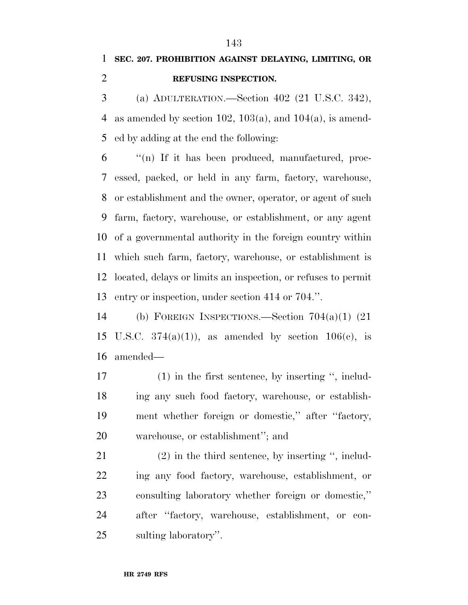# **SEC. 207. PROHIBITION AGAINST DELAYING, LIMITING, OR REFUSING INSPECTION.**

 (a) ADULTERATION.—Section 402 (21 U.S.C. 342), 4 as amended by section 102, 103(a), and 104(a), is amend-ed by adding at the end the following:

 "(n) If it has been produced, manufactured, proc- essed, packed, or held in any farm, factory, warehouse, or establishment and the owner, operator, or agent of such farm, factory, warehouse, or establishment, or any agent of a governmental authority in the foreign country within which such farm, factory, warehouse, or establishment is located, delays or limits an inspection, or refuses to permit entry or inspection, under section 414 or 704.''.

 (b) FOREIGN INSPECTIONS.—Section 704(a)(1) (21 15 U.S.C.  $374(a)(1)$ , as amended by section  $106(e)$ , is amended—

 (1) in the first sentence, by inserting '', includ- ing any such food factory, warehouse, or establish- ment whether foreign or domestic,'' after ''factory, warehouse, or establishment''; and

 (2) in the third sentence, by inserting '', includ- ing any food factory, warehouse, establishment, or consulting laboratory whether foreign or domestic,'' after ''factory, warehouse, establishment, or con-sulting laboratory''.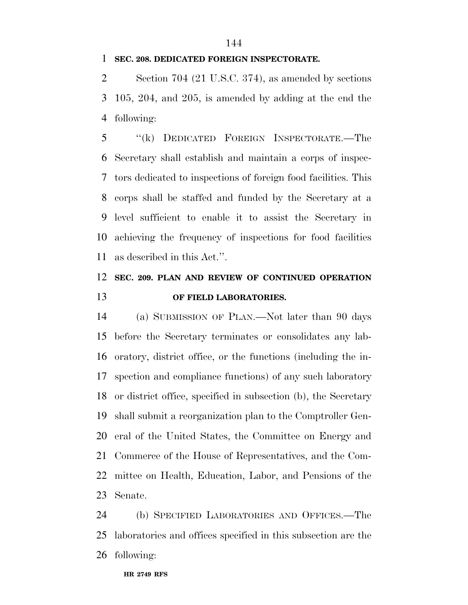#### 

#### **SEC. 208. DEDICATED FOREIGN INSPECTORATE.**

 Section 704 (21 U.S.C. 374), as amended by sections 105, 204, and 205, is amended by adding at the end the following:

 ''(k) DEDICATED FOREIGN INSPECTORATE.—The Secretary shall establish and maintain a corps of inspec- tors dedicated to inspections of foreign food facilities. This corps shall be staffed and funded by the Secretary at a level sufficient to enable it to assist the Secretary in achieving the frequency of inspections for food facilities as described in this Act.''.

# **SEC. 209. PLAN AND REVIEW OF CONTINUED OPERATION OF FIELD LABORATORIES.**

 (a) SUBMISSION OF PLAN.—Not later than 90 days before the Secretary terminates or consolidates any lab- oratory, district office, or the functions (including the in- spection and compliance functions) of any such laboratory or district office, specified in subsection (b), the Secretary shall submit a reorganization plan to the Comptroller Gen- eral of the United States, the Committee on Energy and Commerce of the House of Representatives, and the Com- mittee on Health, Education, Labor, and Pensions of the Senate.

 (b) SPECIFIED LABORATORIES AND OFFICES.—The laboratories and offices specified in this subsection are the following: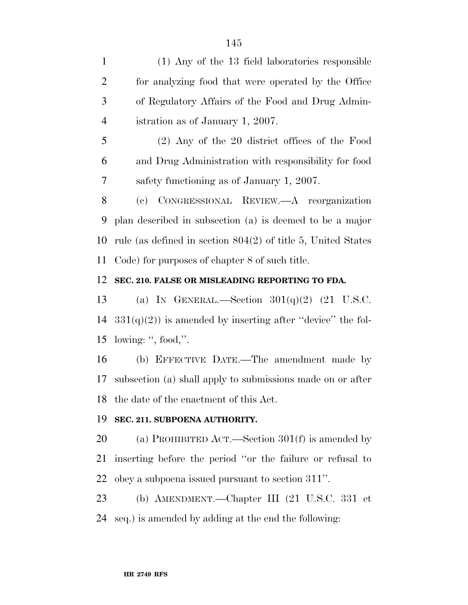(1) Any of the 13 field laboratories responsible for analyzing food that were operated by the Office of Regulatory Affairs of the Food and Drug Admin- istration as of January 1, 2007. (2) Any of the 20 district offices of the Food and Drug Administration with responsibility for food safety functioning as of January 1, 2007. (c) CONGRESSIONAL REVIEW.—A reorganization plan described in subsection (a) is deemed to be a major rule (as defined in section 804(2) of title 5, United States Code) for purposes of chapter 8 of such title. **SEC. 210. FALSE OR MISLEADING REPORTING TO FDA.**  13 (a) IN GENERAL.—Section  $301(q)(2)$  (21 U.S.C.  $331(q)(2)$  is amended by inserting after "device" the fol- lowing: '', food,''. (b) EFFECTIVE DATE.—The amendment made by subsection (a) shall apply to submissions made on or after the date of the enactment of this Act. **SEC. 211. SUBPOENA AUTHORITY.**  (a) PROHIBITED ACT.—Section 301(f) is amended by

 inserting before the period ''or the failure or refusal to obey a subpoena issued pursuant to section 311''.

 (b) AMENDMENT.—Chapter III (21 U.S.C. 331 et seq.) is amended by adding at the end the following: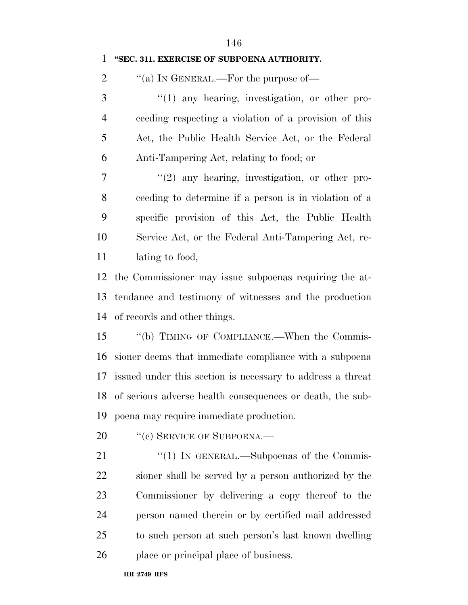| 1              | "SEC. 311. EXERCISE OF SUBPOENA AUTHORITY.                    |
|----------------|---------------------------------------------------------------|
| $\overline{2}$ | "(a) IN GENERAL.—For the purpose of—                          |
| 3              | $\lq(1)$ any hearing, investigation, or other pro-            |
| $\overline{4}$ | ceeding respecting a violation of a provision of this         |
| 5              | Act, the Public Health Service Act, or the Federal            |
| 6              | Anti-Tampering Act, relating to food; or                      |
| $\tau$         | $f'(2)$ any hearing, investigation, or other pro-             |
| 8              | ceeding to determine if a person is in violation of a         |
| 9              | specific provision of this Act, the Public Health             |
| 10             | Service Act, or the Federal Anti-Tampering Act, re-           |
| 11             | lating to food,                                               |
| 12             | the Commissioner may issue subpoenas requiring the at-        |
| 13             | tendance and testimony of witnesses and the production        |
| 14             | of records and other things.                                  |
| 15             | "(b) TIMING OF COMPLIANCE.—When the Commis-                   |
| 16             | sioner deems that immediate compliance with a subpoena        |
|                | 17 issued under this section is necessary to address a threat |
|                | 18 of serious adverse health consequences or death, the sub-  |
| 19             | poena may require immediate production.                       |
| 20             | "(c) SERVICE OF SUBPOENA.—                                    |
| 21             | "(1) IN GENERAL.—Subpoenas of the Commis-                     |
| 22             | sioner shall be served by a person authorized by the          |
| 23             | Commissioner by delivering a copy thereof to the              |
| 24             | person named therein or by certified mail addressed           |
| 25             | to such person at such person's last known dwelling           |
| 26             | place or principal place of business.                         |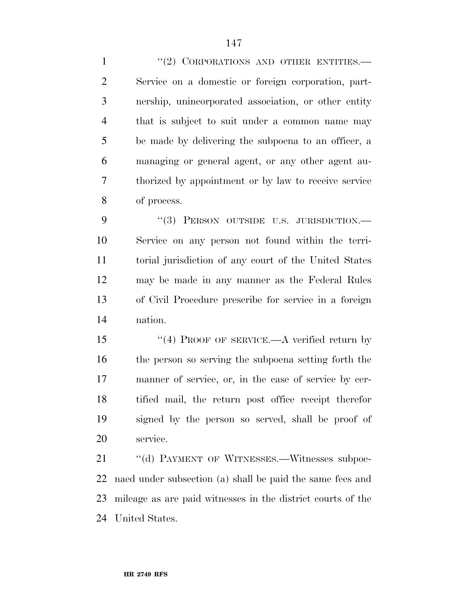1 "(2) CORPORATIONS AND OTHER ENTITIES. Service on a domestic or foreign corporation, part- nership, unincorporated association, or other entity that is subject to suit under a common name may be made by delivering the subpoena to an officer, a managing or general agent, or any other agent au- thorized by appointment or by law to receive service of process.

9 "(3) PERSON OUTSIDE U.S. JURISDICTION.— Service on any person not found within the terri- torial jurisdiction of any court of the United States may be made in any manner as the Federal Rules of Civil Procedure prescribe for service in a foreign nation.

15 "(4) PROOF OF SERVICE.—A verified return by the person so serving the subpoena setting forth the manner of service, or, in the case of service by cer- tified mail, the return post office receipt therefor signed by the person so served, shall be proof of service.

21 "(d) PAYMENT OF WITNESSES.—Witnesses subpoe- naed under subsection (a) shall be paid the same fees and mileage as are paid witnesses in the district courts of the United States.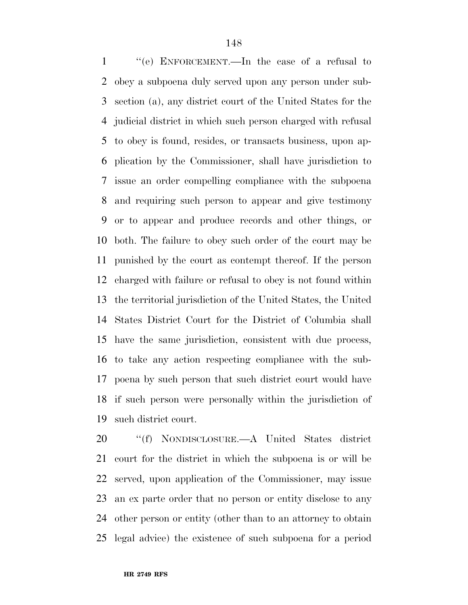''(e) ENFORCEMENT.—In the case of a refusal to obey a subpoena duly served upon any person under sub- section (a), any district court of the United States for the judicial district in which such person charged with refusal to obey is found, resides, or transacts business, upon ap- plication by the Commissioner, shall have jurisdiction to issue an order compelling compliance with the subpoena and requiring such person to appear and give testimony or to appear and produce records and other things, or both. The failure to obey such order of the court may be punished by the court as contempt thereof. If the person charged with failure or refusal to obey is not found within the territorial jurisdiction of the United States, the United States District Court for the District of Columbia shall have the same jurisdiction, consistent with due process, to take any action respecting compliance with the sub- poena by such person that such district court would have if such person were personally within the jurisdiction of such district court.

 ''(f) NONDISCLOSURE.—A United States district court for the district in which the subpoena is or will be served, upon application of the Commissioner, may issue an ex parte order that no person or entity disclose to any other person or entity (other than to an attorney to obtain legal advice) the existence of such subpoena for a period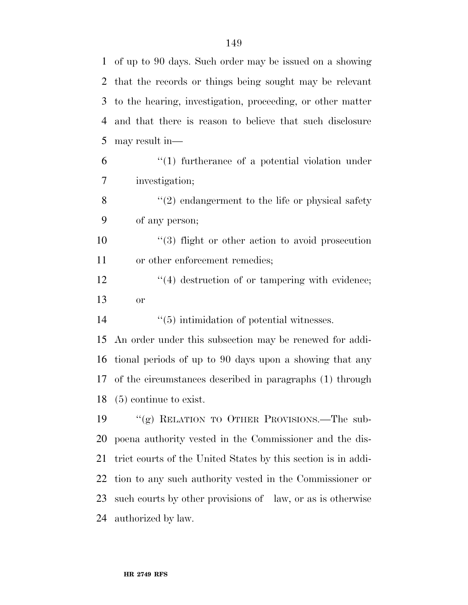| $\mathbf{1}$   | of up to 90 days. Such order may be issued on a showing       |
|----------------|---------------------------------------------------------------|
| 2              | that the records or things being sought may be relevant       |
| 3              | to the hearing, investigation, proceeding, or other matter    |
| $\overline{4}$ | and that there is reason to believe that such disclosure      |
| 5              | may result in—                                                |
| 6              | $\cdot$ (1) furtherance of a potential violation under        |
| 7              | investigation;                                                |
| 8              | $"(2)$ endangerment to the life or physical safety            |
| 9              | of any person;                                                |
| 10             | $\cdot$ (3) flight or other action to avoid prosecution       |
| 11             | or other enforcement remedies;                                |
| 12             | $\lq(4)$ destruction of or tampering with evidence;           |
| 13             | <b>or</b>                                                     |
| 14             | $\cdot\cdot$ (5) intimidation of potential witnesses.         |
| 15             | An order under this subsection may be renewed for addi-       |
| 16             | tional periods of up to 90 days upon a showing that any       |
| 17             | of the circumstances described in paragraphs (1) through      |
| 18             | $(5)$ continue to exist.                                      |
| 19             | "(g) RELATION TO OTHER PROVISIONS.—The sub-                   |
| 20             | poena authority vested in the Commissioner and the dis-       |
| 21             | trict courts of the United States by this section is in addi- |
| 22             | tion to any such authority vested in the Commissioner or      |
|                |                                                               |
| 23             | such courts by other provisions of law, or as is otherwise    |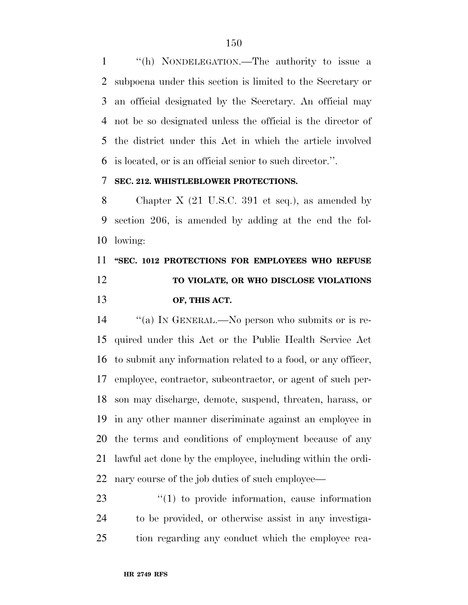''(h) NONDELEGATION.—The authority to issue a subpoena under this section is limited to the Secretary or an official designated by the Secretary. An official may not be so designated unless the official is the director of the district under this Act in which the article involved is located, or is an official senior to such director.''.

## **SEC. 212. WHISTLEBLOWER PROTECTIONS.**

 Chapter X (21 U.S.C. 391 et seq.), as amended by section 206, is amended by adding at the end the fol-lowing:

# **''SEC. 1012 PROTECTIONS FOR EMPLOYEES WHO REFUSE TO VIOLATE, OR WHO DISCLOSE VIOLATIONS OF, THIS ACT.**

 ''(a) IN GENERAL.—No person who submits or is re- quired under this Act or the Public Health Service Act to submit any information related to a food, or any officer, employee, contractor, subcontractor, or agent of such per- son may discharge, demote, suspend, threaten, harass, or in any other manner discriminate against an employee in the terms and conditions of employment because of any lawful act done by the employee, including within the ordi-nary course of the job duties of such employee—

23  $\frac{1}{2}$  (1) to provide information, cause information to be provided, or otherwise assist in any investiga-tion regarding any conduct which the employee rea-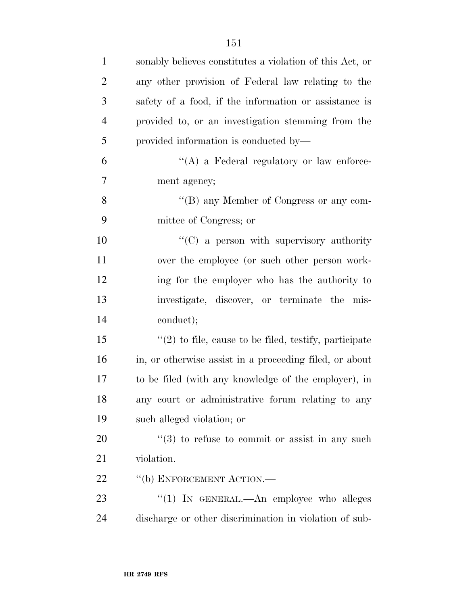| $\mathbf{1}$   | sonably believes constitutes a violation of this Act, or       |
|----------------|----------------------------------------------------------------|
| $\overline{2}$ | any other provision of Federal law relating to the             |
| 3              | safety of a food, if the information or assistance is          |
| $\overline{4}$ | provided to, or an investigation stemming from the             |
| 5              | provided information is conducted by-                          |
| 6              | "(A) a Federal regulatory or law enforce-                      |
| $\overline{7}$ | ment agency;                                                   |
| 8              | "(B) any Member of Congress or any com-                        |
| 9              | mittee of Congress; or                                         |
| 10             | "(C) a person with supervisory authority                       |
| 11             | over the employee (or such other person work-                  |
| 12             | ing for the employer who has the authority to                  |
| 13             | investigate, discover, or terminate the mis-                   |
| 14             | conduct);                                                      |
| 15             | $\lq(2)$ to file, cause to be filed, testify, participate      |
| 16             | in, or otherwise assist in a proceeding filed, or about        |
| 17             | to be filed (with any knowledge of the employer), in           |
| 18             | any court or administrative forum relating to any              |
| 19             | such alleged violation; or                                     |
| 20             | $\cdot\cdot\cdot(3)$ to refuse to commit or assist in any such |
| 21             | violation.                                                     |
| 22             | "(b) ENFORCEMENT ACTION.—                                      |
| 23             | "(1) IN GENERAL.—An employee who alleges                       |
| 24             | discharge or other discrimination in violation of sub-         |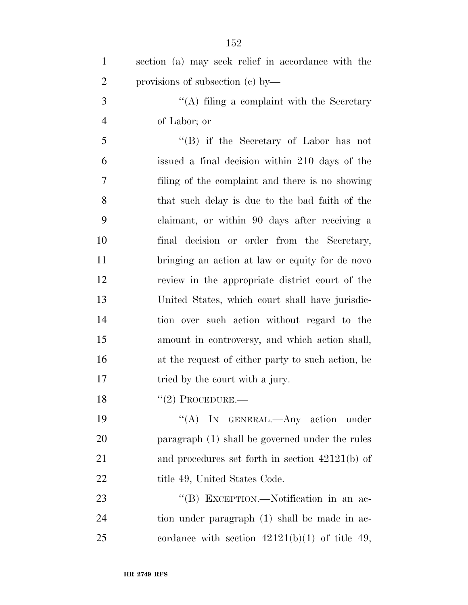| $\mathbf{1}$   | section (a) may seek relief in accordance with the |
|----------------|----------------------------------------------------|
| $\overline{2}$ | provisions of subsection $(c)$ by—                 |
| 3              | $\lq\lq$ filing a complaint with the Secretary     |
| $\overline{4}$ | of Labor; or                                       |
| 5              | "(B) if the Secretary of Labor has not             |
| 6              | issued a final decision within 210 days of the     |
| 7              | filing of the complaint and there is no showing    |
| 8              | that such delay is due to the bad faith of the     |
| 9              | claimant, or within 90 days after receiving a      |
| 10             | final decision or order from the Secretary,        |
| 11             | bringing an action at law or equity for de novo    |
| 12             | review in the appropriate district court of the    |
| 13             | United States, which court shall have jurisdic-    |
| 14             | tion over such action without regard to the        |
| 15             | amount in controversy, and which action shall,     |
| 16             | at the request of either party to such action, be  |
| 17             | tried by the court with a jury.                    |
| 18             | $``(2)$ PROCEDURE.—                                |
| 19             | "(A) IN GENERAL.—Any action under                  |
| 20             | paragraph (1) shall be governed under the rules    |
| 21             | and procedures set forth in section $42121(b)$ of  |
| 22             | title 49, United States Code.                      |
| 23             | "(B) EXCEPTION.—Notification in an ac-             |
| 24             | tion under paragraph (1) shall be made in ac-      |
| 25             | cordance with section $42121(b)(1)$ of title 49,   |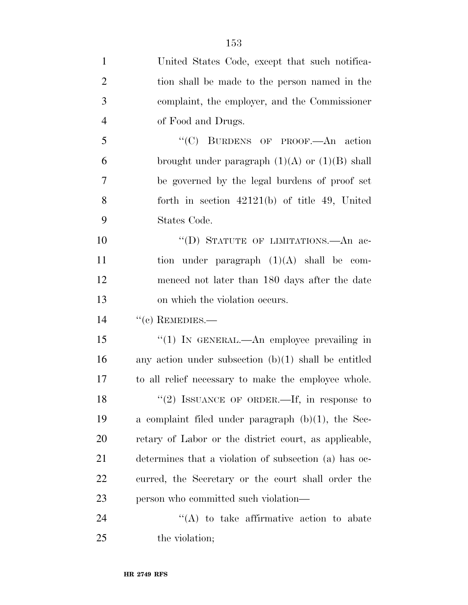| $\mathbf{1}$   | United States Code, except that such notifica-         |
|----------------|--------------------------------------------------------|
| $\overline{2}$ | tion shall be made to the person named in the          |
| 3              | complaint, the employer, and the Commissioner          |
| $\overline{4}$ | of Food and Drugs.                                     |
| 5              | "(C) BURDENS OF PROOF.—An action                       |
| 6              | brought under paragraph $(1)(A)$ or $(1)(B)$ shall     |
| 7              | be governed by the legal burdens of proof set          |
| 8              | forth in section $42121(b)$ of title 49, United        |
| 9              | States Code.                                           |
| 10             | "(D) STATUTE OF LIMITATIONS.—An ac-                    |
| 11             | tion under paragraph $(1)(A)$ shall be com-            |
| 12             | menced not later than 180 days after the date          |
| 13             | on which the violation occurs.                         |
| 14             | $``(c)$ REMEDIES.—                                     |
| 15             | "(1) IN GENERAL.—An employee prevailing in             |
| 16             | any action under subsection $(b)(1)$ shall be entitled |
| 17             | to all relief necessary to make the employee whole.    |
| 18             | "(2) ISSUANCE OF ORDER.—If, in response to             |
| 19             | a complaint filed under paragraph $(b)(1)$ , the Sec-  |
| 20             | retary of Labor or the district court, as applicable,  |
| 21             | determines that a violation of subsection (a) has oc-  |
| <u>22</u>      | curred, the Secretary or the court shall order the     |
| 23             | person who committed such violation—                   |
| 24             | $\lq\lq$ to take affirmative action to abate           |
| 25             | the violation;                                         |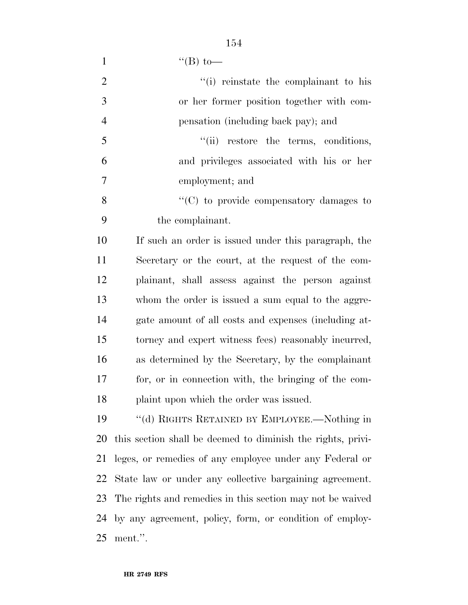1  $``$ (B) to—

| $\overline{2}$ | "(i) reinstate the complainant to his                       |
|----------------|-------------------------------------------------------------|
| 3              | or her former position together with com-                   |
| $\overline{4}$ | pensation (including back pay); and                         |
| 5              | "(ii) restore the terms, conditions,                        |
| 6              | and privileges associated with his or her                   |
| $\overline{7}$ | employment; and                                             |
| 8              | "(C) to provide compensatory damages to                     |
| 9              | the complainant.                                            |
| 10             | If such an order is issued under this paragraph, the        |
| 11             | Secretary or the court, at the request of the com-          |
| 12             | plainant, shall assess against the person against           |
| 13             | whom the order is issued a sum equal to the aggre-          |
| 14             | gate amount of all costs and expenses (including at-        |
| 15             | torney and expert witness fees) reasonably incurred,        |
| 16             | as determined by the Secretary, by the complainant          |
| 17             | for, or in connection with, the bringing of the com-        |
| 18             | plaint upon which the order was issued.                     |
| 19             | $\lq\lq$ (d) RIGHTS RETAINED BY EMPLOYEE.—Nothing in        |
| 20             | this section shall be deemed to diminish the rights, privi- |
| 21             | leges, or remedies of any employee under any Federal or     |
| 22             | State law or under any collective bargaining agreement.     |
| 23             | The rights and remedies in this section may not be waived   |
| 24             | by any agreement, policy, form, or condition of employ-     |
| 25             | ment.".                                                     |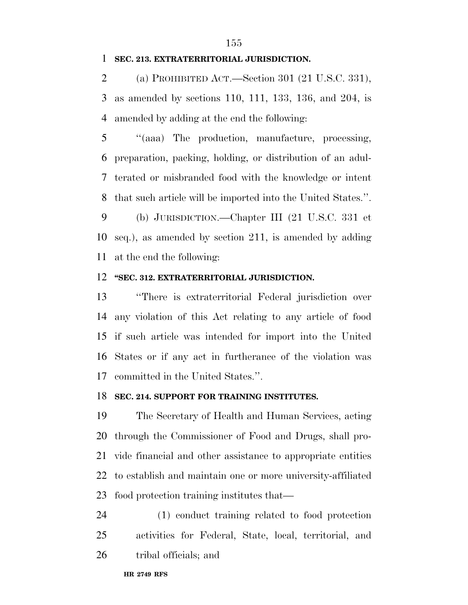## **SEC. 213. EXTRATERRITORIAL JURISDICTION.**

 (a) PROHIBITED ACT.—Section 301 (21 U.S.C. 331), as amended by sections 110, 111, 133, 136, and 204, is amended by adding at the end the following:

 ''(aaa) The production, manufacture, processing, preparation, packing, holding, or distribution of an adul- terated or misbranded food with the knowledge or intent that such article will be imported into the United States.''.

 (b) JURISDICTION.—Chapter III (21 U.S.C. 331 et seq.), as amended by section 211, is amended by adding at the end the following:

## **''SEC. 312. EXTRATERRITORIAL JURISDICTION.**

 ''There is extraterritorial Federal jurisdiction over any violation of this Act relating to any article of food if such article was intended for import into the United States or if any act in furtherance of the violation was committed in the United States.''.

### **SEC. 214. SUPPORT FOR TRAINING INSTITUTES.**

 The Secretary of Health and Human Services, acting through the Commissioner of Food and Drugs, shall pro- vide financial and other assistance to appropriate entities to establish and maintain one or more university-affiliated food protection training institutes that—

 (1) conduct training related to food protection activities for Federal, State, local, territorial, and tribal officials; and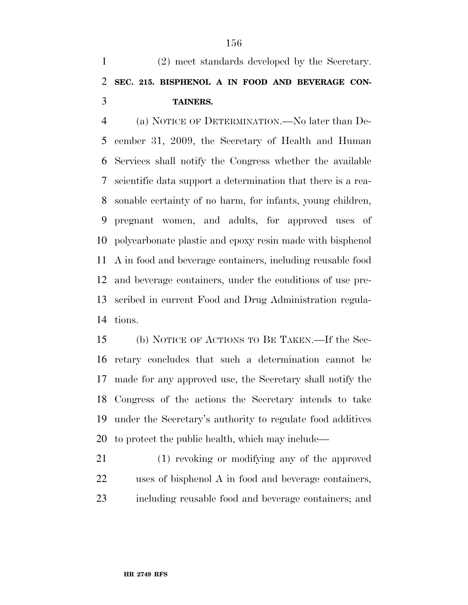(2) meet standards developed by the Secretary. **SEC. 215. BISPHENOL A IN FOOD AND BEVERAGE CON-TAINERS.** 

 (a) NOTICE OF DETERMINATION.—No later than De- cember 31, 2009, the Secretary of Health and Human Services shall notify the Congress whether the available scientific data support a determination that there is a rea- sonable certainty of no harm, for infants, young children, pregnant women, and adults, for approved uses of polycarbonate plastic and epoxy resin made with bisphenol A in food and beverage containers, including reusable food and beverage containers, under the conditions of use pre- scribed in current Food and Drug Administration regula-tions.

 (b) NOTICE OF ACTIONS TO BE TAKEN.—If the Sec- retary concludes that such a determination cannot be made for any approved use, the Secretary shall notify the Congress of the actions the Secretary intends to take under the Secretary's authority to regulate food additives to protect the public health, which may include—

 (1) revoking or modifying any of the approved uses of bisphenol A in food and beverage containers, including reusable food and beverage containers; and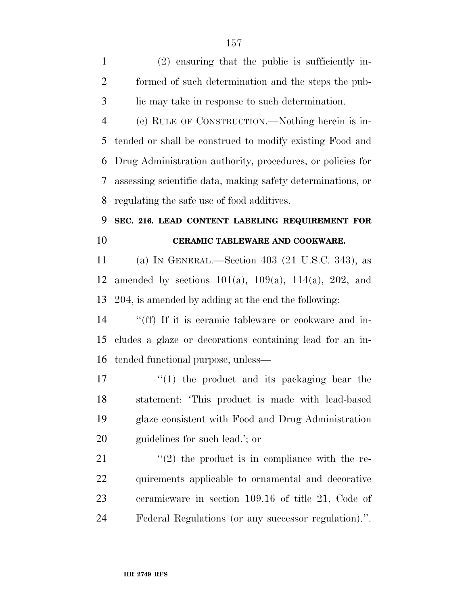(2) ensuring that the public is sufficiently in- formed of such determination and the steps the pub-lic may take in response to such determination.

 (c) RULE OF CONSTRUCTION.—Nothing herein is in- tended or shall be construed to modify existing Food and Drug Administration authority, procedures, or policies for assessing scientific data, making safety determinations, or regulating the safe use of food additives.

# **SEC. 216. LEAD CONTENT LABELING REQUIREMENT FOR CERAMIC TABLEWARE AND COOKWARE.**

 (a) IN GENERAL.—Section 403 (21 U.S.C. 343), as amended by sections 101(a), 109(a), 114(a), 202, and 204, is amended by adding at the end the following:

14 "(ff) If it is ceramic tableware or cookware and in- cludes a glaze or decorations containing lead for an in-tended functional purpose, unless—

 $\frac{1}{2}$  (1) the product and its packaging bear the statement: 'This product is made with lead-based glaze consistent with Food and Drug Administration guidelines for such lead.'; or

 $(2)$  the product is in compliance with the re- quirements applicable to ornamental and decorative ceramicware in section 109.16 of title 21, Code of Federal Regulations (or any successor regulation).''.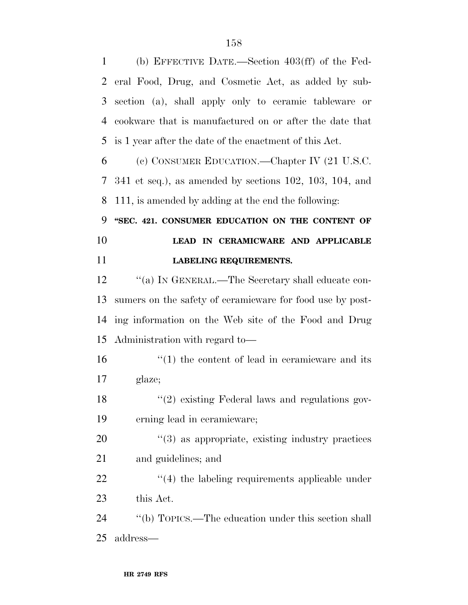(b) EFFECTIVE DATE.—Section 403(ff) of the Fed- eral Food, Drug, and Cosmetic Act, as added by sub- section (a), shall apply only to ceramic tableware or cookware that is manufactured on or after the date that is 1 year after the date of the enactment of this Act.

 (c) CONSUMER EDUCATION.—Chapter IV (21 U.S.C. 341 et seq.), as amended by sections 102, 103, 104, and 111, is amended by adding at the end the following:

 **''SEC. 421. CONSUMER EDUCATION ON THE CONTENT OF LEAD IN CERAMICWARE AND APPLICABLE LABELING REQUIREMENTS.** 

12 "(a) IN GENERAL.—The Secretary shall educate con- sumers on the safety of ceramicware for food use by post- ing information on the Web site of the Food and Drug Administration with regard to—

16 ''(1) the content of lead in ceramicware and its glaze;

18 ''(2) existing Federal laws and regulations gov-erning lead in ceramicware;

20  $\frac{1}{2}$  (3) as appropriate, existing industry practices and guidelines; and

22 ''(4) the labeling requirements applicable under this Act.

 ''(b) TOPICS.—The education under this section shall address—